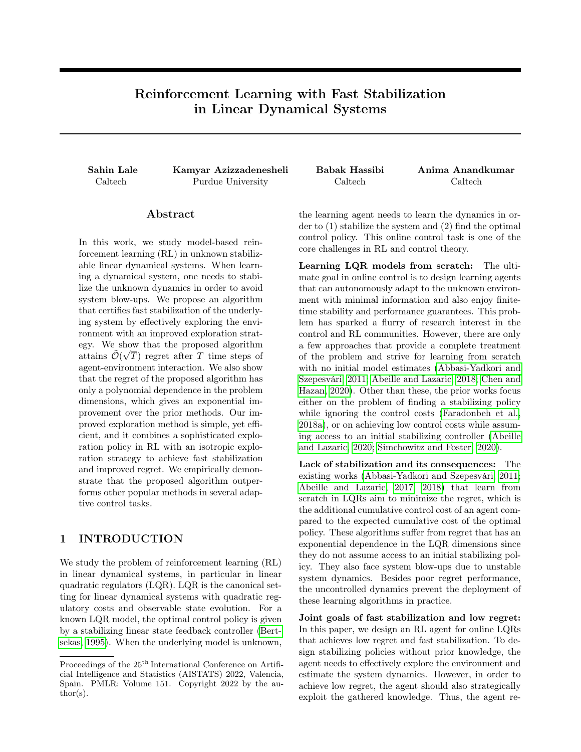# Reinforcement Learning with Fast Stabilization in Linear Dynamical Systems

Sahin Lale Kamyar Azizzadenesheli Babak Hassibi Anima Anandkumar Caltech Purdue University Caltech Caltech

## Abstract

In this work, we study model-based reinforcement learning (RL) in unknown stabilizable linear dynamical systems. When learning a dynamical system, one needs to stabilize the unknown dynamics in order to avoid system blow-ups. We propose an algorithm that certifies fast stabilization of the underlying system by effectively exploring the environment with an improved exploration strategy. We show that the proposed algorithm attains  $\tilde{\mathcal{O}}(\sqrt{T})$  regret after T time steps of agent-environment interaction. We also show that the regret of the proposed algorithm has only a polynomial dependence in the problem dimensions, which gives an exponential improvement over the prior methods. Our improved exploration method is simple, yet efficient, and it combines a sophisticated exploration policy in RL with an isotropic exploration strategy to achieve fast stabilization and improved regret. We empirically demonstrate that the proposed algorithm outperforms other popular methods in several adaptive control tasks.

# 1 INTRODUCTION

We study the problem of reinforcement learning (RL) in linear dynamical systems, in particular in linear quadratic regulators (LQR). LQR is the canonical setting for linear dynamical systems with quadratic regulatory costs and observable state evolution. For a known LQR model, the optimal control policy is given by a stabilizing linear state feedback controller [\(Bert](#page-9-0)[sekas, 1995\)](#page-9-0). When the underlying model is unknown, the learning agent needs to learn the dynamics in order to (1) stabilize the system and (2) find the optimal control policy. This online control task is one of the core challenges in RL and control theory.

Learning LQR models from scratch: The ultimate goal in online control is to design learning agents that can autonomously adapt to the unknown environment with minimal information and also enjoy finitetime stability and performance guarantees. This problem has sparked a flurry of research interest in the control and RL communities. However, there are only a few approaches that provide a complete treatment of the problem and strive for learning from scratch with no initial model estimates [\(Abbasi-Yadkori and](#page-9-1) [Szepesvári, 2011;](#page-9-1) [Abeille and Lazaric, 2018;](#page-9-2) [Chen and](#page-9-3) [Hazan, 2020\)](#page-9-3). Other than these, the prior works focus either on the problem of finding a stabilizing policy while ignoring the control costs [\(Faradonbeh et al.,](#page-9-4) [2018a\)](#page-9-4), or on achieving low control costs while assuming access to an initial stabilizing controller [\(Abeille](#page-9-5) [and Lazaric, 2020;](#page-9-5) [Simchowitz and Foster, 2020\)](#page-9-6).

Lack of stabilization and its consequences: The existing works [\(Abbasi-Yadkori and Szepesvári, 2011;](#page-9-1) [Abeille and Lazaric, 2017,](#page-9-7) [2018\)](#page-9-2) that learn from scratch in LQRs aim to minimize the regret, which is the additional cumulative control cost of an agent compared to the expected cumulative cost of the optimal policy. These algorithms suffer from regret that has an exponential dependence in the LQR dimensions since they do not assume access to an initial stabilizing policy. They also face system blow-ups due to unstable system dynamics. Besides poor regret performance, the uncontrolled dynamics prevent the deployment of these learning algorithms in practice.

Joint goals of fast stabilization and low regret: In this paper, we design an RL agent for online LQRs that achieves low regret and fast stabilization. To design stabilizing policies without prior knowledge, the agent needs to effectively explore the environment and estimate the system dynamics. However, in order to achieve low regret, the agent should also strategically exploit the gathered knowledge. Thus, the agent re-

Proceedings of the  $25<sup>th</sup>$  International Conference on Artificial Intelligence and Statistics (AISTATS) 2022, Valencia, Spain. PMLR: Volume 151. Copyright 2022 by the au- $\text{thor}(s)$ .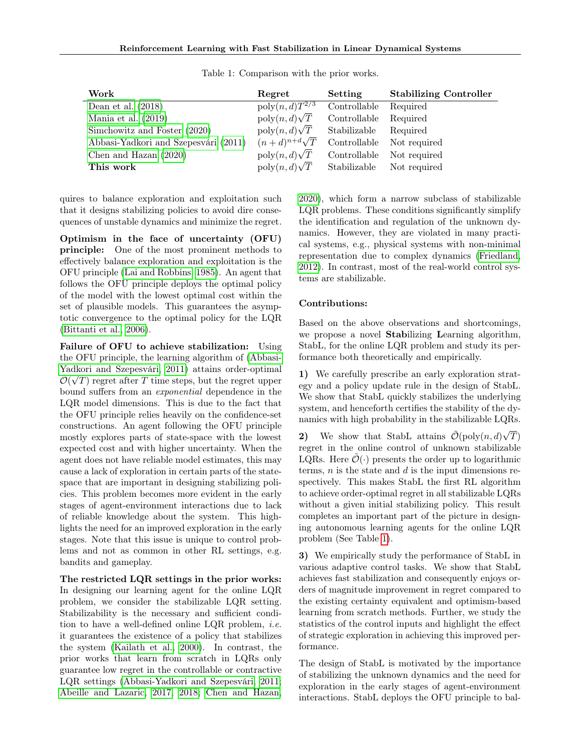<span id="page-1-0"></span>

| Work                                 | Regret                               | Setting      | <b>Stabilizing Controller</b> |
|--------------------------------------|--------------------------------------|--------------|-------------------------------|
| Dean et al. $(2018)$                 | $\overline{\text{poly}(n,d)T^{2/3}}$ | Controllable | Required                      |
| Mania et al. $(2019)$                | $poly(n, d)\sqrt{T}$                 | Controllable | Required                      |
| Simchowitz and Foster (2020)         | $poly(n, d)\sqrt{T}$                 | Stabilizable | Required                      |
| Abbasi-Yadkori and Szepesvári (2011) | $(n+d)^{n+d}\sqrt{T}$                | Controllable | Not required                  |
| Chen and Hazan $(2020)$              | $poly(n, d)\sqrt{T}$                 | Controllable | Not required                  |
| This work                            | $poly(n, d)\sqrt{T}$                 | Stabilizable | Not required                  |

Table 1: Comparison with the prior works.

quires to balance exploration and exploitation such that it designs stabilizing policies to avoid dire consequences of unstable dynamics and minimize the regret.

Optimism in the face of uncertainty (OFU) principle: One of the most prominent methods to effectively balance exploration and exploitation is the OFU principle [\(Lai and Robbins, 1985\)](#page-9-10). An agent that follows the OFU principle deploys the optimal policy of the model with the lowest optimal cost within the set of plausible models. This guarantees the asymptotic convergence to the optimal policy for the LQR [\(Bittanti et al., 2006\)](#page-9-11).

Failure of OFU to achieve stabilization: Using the OFU principle, the learning algorithm of [\(Abbasi-](#page-9-1)[Yadkori and Szepesvári, 2011\)](#page-9-1) attains order-optimal √  $\tilde{\mathcal{O}}(\sqrt{T})$  regret after T time steps, but the regret upper bound suffers from an exponential dependence in the LQR model dimensions. This is due to the fact that the OFU principle relies heavily on the confidence-set constructions. An agent following the OFU principle mostly explores parts of state-space with the lowest expected cost and with higher uncertainty. When the agent does not have reliable model estimates, this may cause a lack of exploration in certain parts of the statespace that are important in designing stabilizing policies. This problem becomes more evident in the early stages of agent-environment interactions due to lack of reliable knowledge about the system. This highlights the need for an improved exploration in the early stages. Note that this issue is unique to control problems and not as common in other RL settings, e.g. bandits and gameplay.

The restricted LQR settings in the prior works: In designing our learning agent for the online LQR problem, we consider the stabilizable LQR setting. Stabilizability is the necessary and sufficient condition to have a well-defined online LQR problem, i.e. it guarantees the existence of a policy that stabilizes the system [\(Kailath et al., 2000\)](#page-9-12). In contrast, the prior works that learn from scratch in LQRs only guarantee low regret in the controllable or contractive LQR settings [\(Abbasi-Yadkori and Szepesvári, 2011;](#page-9-1) [Abeille and Lazaric, 2017,](#page-9-7) [2018;](#page-9-2) [Chen and Hazan,](#page-9-3) [2020\)](#page-9-3), which form a narrow subclass of stabilizable LQR problems. These conditions significantly simplify the identification and regulation of the unknown dynamics. However, they are violated in many practical systems, e.g., physical systems with non-minimal representation due to complex dynamics [\(Friedland,](#page-9-13) [2012\)](#page-9-13). In contrast, most of the real-world control systems are stabilizable.

### Contributions:

Based on the above observations and shortcomings, we propose a novel Stabilizing Learning algorithm, StabL, for the online LQR problem and study its performance both theoretically and empirically.

1) We carefully prescribe an early exploration strategy and a policy update rule in the design of StabL. We show that StabL quickly stabilizes the underlying system, and henceforth certifies the stability of the dynamics with high probability in the stabilizable LQRs.

2) We show that StabL attains  $\tilde{\mathcal{O}}(\text{poly}(n,d))$  $\left(T\right)$ regret in the online control of unknown stabilizable LQRs. Here  $\mathcal{O}(\cdot)$  presents the order up to logarithmic terms,  $n$  is the state and  $d$  is the input dimensions respectively. This makes StabL the first RL algorithm to achieve order-optimal regret in all stabilizable LQRs without a given initial stabilizing policy. This result completes an important part of the picture in designing autonomous learning agents for the online LQR problem (See Table [1\)](#page-1-0).

3) We empirically study the performance of StabL in various adaptive control tasks. We show that StabL achieves fast stabilization and consequently enjoys orders of magnitude improvement in regret compared to the existing certainty equivalent and optimism-based learning from scratch methods. Further, we study the statistics of the control inputs and highlight the effect of strategic exploration in achieving this improved performance.

The design of StabL is motivated by the importance of stabilizing the unknown dynamics and the need for exploration in the early stages of agent-environment interactions. StabL deploys the OFU principle to bal-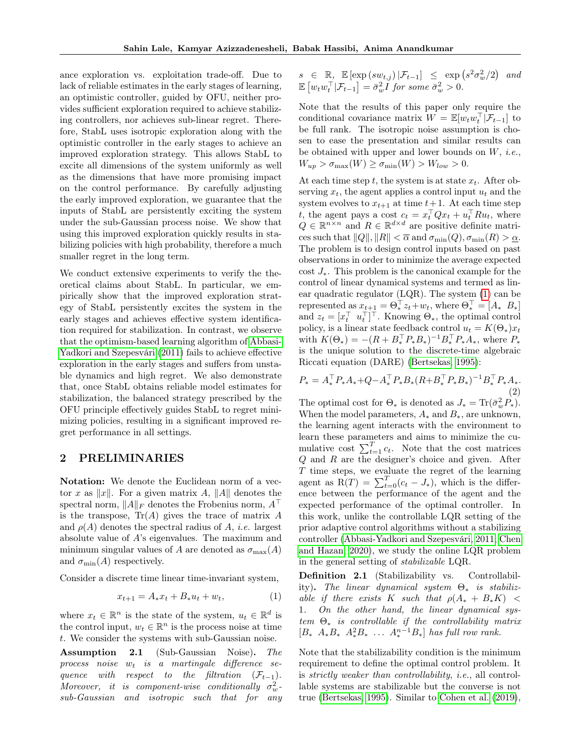ance exploration vs. exploitation trade-off. Due to lack of reliable estimates in the early stages of learning, an optimistic controller, guided by OFU, neither provides sufficient exploration required to achieve stabilizing controllers, nor achieves sub-linear regret. Therefore, StabL uses isotropic exploration along with the optimistic controller in the early stages to achieve an improved exploration strategy. This allows StabL to excite all dimensions of the system uniformly as well as the dimensions that have more promising impact on the control performance. By carefully adjusting the early improved exploration, we guarantee that the inputs of StabL are persistently exciting the system under the sub-Gaussian process noise. We show that using this improved exploration quickly results in stabilizing policies with high probability, therefore a much smaller regret in the long term.

We conduct extensive experiments to verify the theoretical claims about StabL. In particular, we empirically show that the improved exploration strategy of StabL persistently excites the system in the early stages and achieves effective system identification required for stabilization. In contrast, we observe that the optimism-based learning algorithm of [Abbasi-](#page-9-1)[Yadkori and Szepesvári](#page-9-1) [\(2011\)](#page-9-1) fails to achieve effective exploration in the early stages and suffers from unstable dynamics and high regret. We also demonstrate that, once StabL obtains reliable model estimates for stabilization, the balanced strategy prescribed by the OFU principle effectively guides StabL to regret minimizing policies, resulting in a significant improved regret performance in all settings.

### 2 PRELIMINARIES

Notation: We denote the Euclidean norm of a vector x as  $||x||$ . For a given matrix A,  $||A||$  denotes the spectral norm,  $||A||_F$  denotes the Frobenius norm,  $A^{\perp}$ is the transpose,  $Tr(A)$  gives the trace of matrix  $A$ and  $\rho(A)$  denotes the spectral radius of A, *i.e.* largest absolute value of A's eigenvalues. The maximum and minimum singular values of A are denoted as  $\sigma_{\text{max}}(A)$ and  $\sigma_{\min}(A)$  respectively.

Consider a discrete time linear time-invariant system,

$$
x_{t+1} = A_* x_t + B_* u_t + w_t, \tag{1}
$$

where  $x_t \in \mathbb{R}^n$  is the state of the system,  $u_t \in \mathbb{R}^d$  is the control input,  $w_t \in \mathbb{R}^n$  is the process noise at time t. We consider the systems with sub-Gaussian noise.

<span id="page-2-3"></span>Assumption 2.1 (Sub-Gaussian Noise). The process noise  $w_t$  is a martingale difference sequence with respect to the filtration  $(\mathcal{F}_{t-1})$ . Moreover, it is component-wise conditionally  $\sigma_w^2$ sub-Gaussian and isotropic such that for any  $s \in \mathbb{R}, \mathbb{E} [\exp(s w_{t,j}) | \mathcal{F}_{t-1}] \leq \exp(s^2 \sigma_w^2/2)$  and  $\mathbb{E}\left[w_t w_t^{\top} | \mathcal{F}_{t-1}\right] = \bar{\sigma}_w^2 I$  for some  $\bar{\sigma}_w^2 > 0$ .

Note that the results of this paper only require the conditional covariance matrix  $W = \mathbb{E}[w_t w_t^{\top} | \mathcal{F}_{t-1}]$  to be full rank. The isotropic noise assumption is chosen to ease the presentation and similar results can be obtained with upper and lower bounds on  $W$ , *i.e.*,  $W_{up} > \sigma_{\max}(W) \geq \sigma_{\min}(W) > W_{low} > 0.$ 

At each time step t, the system is at state  $x_t$ . After observing  $x_t$ , the agent applies a control input  $u_t$  and the system evolves to  $x_{t+1}$  at time  $t+1$ . At each time step t, the agent pays a cost  $c_t = x_t^\top Q x_t + u_t^\top R u_t$ , where  $Q \in \mathbb{R}^{n \times n}$  and  $R \in \mathbb{R}^{d \times d}$  are positive definite matrices such that  $||Q||, ||R|| < \overline{\alpha}$  and  $\sigma_{\min}(Q), \sigma_{\min}(R) > \underline{\alpha}$ . The problem is to design control inputs based on past observations in order to minimize the average expected cost  $J_*$ . This problem is the canonical example for the control of linear dynamical systems and termed as linear quadratic regulator (LQR). The system [\(1\)](#page-2-0) can be represented as  $x_{t+1} = \Theta_*^{\top} z_t + w_t$ , where  $\Theta_*^{\top} = [A_* \ B_*]$ and  $z_t = [x_t^\top \ u_t^\top]^\top$ . Knowing  $\Theta_*$ , the optimal control policy, is a linear state feedback control  $u_t = K(\Theta_*)x_t$ with  $K(\Theta_*) = -(R + B_*^{\top} P_* B_*)^{-1} B_*^{\top} P_* A_*,$  where  $P_*$ is the unique solution to the discrete-time algebraic Riccati equation (DARE) [\(Bertsekas, 1995\)](#page-9-0):

<span id="page-2-1"></span>
$$
P_* = A_*^\top P_* A_* + Q - A_*^\top P_* B_* (R + B_*^\top P_* B_*)^{-1} B_*^\top P_* A_*.
$$
\n(2)

The optimal cost for  $\Theta_*$  is denoted as  $J_* = \text{Tr}(\bar{\sigma}_w^2 P_*)$ . When the model parameters,  $A_*$  and  $B_*$ , are unknown, the learning agent interacts with the environment to learn these parameters and aims to minimize the cumulative cost  $\sum_{t=1}^{T} c_t$ . Note that the cost matrices Q and R are the designer's choice and given. After T time steps, we evaluate the regret of the learning agent as  $R(T) = \sum_{t=0}^{T} (c_t - J_*)$ , which is the difference between the performance of the agent and the expected performance of the optimal controller. In this work, unlike the controllable LQR setting of the prior adaptive control algorithms without a stabilizing controller [\(Abbasi-Yadkori and Szepesvári, 2011;](#page-9-1) [Chen](#page-9-3) [and Hazan, 2020\)](#page-9-3), we study the online LQR problem in the general setting of stabilizable LQR.

<span id="page-2-2"></span><span id="page-2-0"></span>Definition 2.1 (Stabilizability vs. Controllability). The linear dynamical system  $\Theta_*$  is stabilizable if there exists K such that  $\rho(A_* + B_*K)$  < 1. On the other hand, the linear dynamical system  $\Theta_*$  is controllable if the controllability matrix  $[B_* \ A_* B_* \ A_*^2 B_* \ \ldots \ A_*^{n-1} B_*]$  has full row rank.

Note that the stabilizability condition is the minimum requirement to define the optimal control problem. It is strictly weaker than controllability, i.e., all controllable systems are stabilizable but the converse is not true [\(Bertsekas, 1995\)](#page-9-0). Similar to [Cohen et al.](#page-9-14) [\(2019\)](#page-9-14),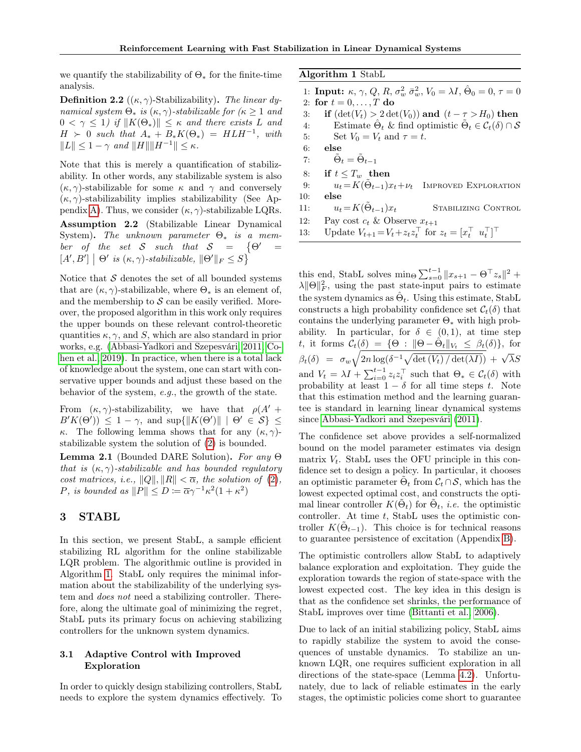we quantify the stabilizability of  $\Theta_*$  for the finite-time analysis.

<span id="page-3-2"></span>**Definition 2.2** ( $(\kappa, \gamma)$ -Stabilizability). The linear dynamical system  $\Theta_*$  is  $(\kappa, \gamma)$ -stabilizable for  $(\kappa \geq 1$  and  $0 \leq \gamma \leq 1$ ) if  $||K(\Theta_*)|| \leq \kappa$  and there exists L and  $H > 0$  such that  $A_* + B_* K(\Theta_*) = H L H^{-1}$ , with  $||L|| \leq 1 - \gamma$  and  $||H|| ||H^{-1}|| < \kappa$ .

<span id="page-3-1"></span>Note that this is merely a quantification of stabilizability. In other words, any stabilizable system is also  $(\kappa, \gamma)$ -stabilizable for some  $\kappa$  and  $\gamma$  and conversely  $(\kappa, \gamma)$ -stabilizability implies stabilizability (See Ap-pendix [A\)](#page-11-0). Thus, we consider  $(\kappa, \gamma)$ -stabilizable LQRs. Assumption 2.2 (Stabilizable Linear Dynamical System). The unknown parameter  $\Theta_*$  is a member of the set S such that  $S = \{ \Theta' = \Theta \}$  $[A', B'] \mid \Theta'$  is  $(\kappa, \gamma)$ -stabilizable,  $\|\Theta'\|_F \leq S$ 

Notice that  $S$  denotes the set of all bounded systems that are  $(\kappa, \gamma)$ -stabilizable, where  $\Theta_*$  is an element of, and the membership to  $S$  can be easily verified. Moreover, the proposed algorithm in this work only requires the upper bounds on these relevant control-theoretic quantities  $\kappa$ ,  $\gamma$ , and S, which are also standard in prior works, e.g. [\(Abbasi-Yadkori and Szepesvári, 2011;](#page-9-1) [Co](#page-9-14)[hen et al., 2019\)](#page-9-14). In practice, when there is a total lack of knowledge about the system, one can start with conservative upper bounds and adjust these based on the behavior of the system, e.g., the growth of the state.

From  $(\kappa, \gamma)$ -stabilizability, we have that  $\rho(A' +$  $B'K(\Theta')\leq 1-\gamma$ , and  $\sup\{\|K(\Theta')\| \mid \Theta' \in \mathcal{S}\}\leq$ κ. The following lemma shows that for any  $(\kappa, \gamma)$ stabilizable system the solution of [\(2\)](#page-2-1) is bounded.

<span id="page-3-4"></span>**Lemma 2.1** (Bounded DARE Solution). For any  $\Theta$ that is  $(\kappa, \gamma)$ -stabilizable and has bounded regulatory cost matrices, i.e.,  $||Q||, ||R|| < \overline{\alpha}$ , the solution of [\(2\)](#page-2-1), P, is bounded as  $||P|| \le D := \overline{\alpha} \gamma^{-1} \kappa^2 (1 + \kappa^2)$ 

# 3 STABL

In this section, we present StabL, a sample efficient stabilizing RL algorithm for the online stabilizable LQR problem. The algorithmic outline is provided in Algorithm [1.](#page-3-0) StabL only requires the minimal information about the stabilizability of the underlying system and *does not* need a stabilizing controller. Therefore, along the ultimate goal of minimizing the regret, StabL puts its primary focus on achieving stabilizing controllers for the unknown system dynamics.

### <span id="page-3-3"></span>3.1 Adaptive Control with Improved Exploration

In order to quickly design stabilizing controllers, StabL needs to explore the system dynamics effectively. To <span id="page-3-0"></span>Algorithm 1 StabL

| 1: <b>Input:</b> $\kappa$ , $\gamma$ , $Q$ , $R$ , $\sigma_w^2 \bar{\sigma}_w^2$ , $V_0 = \lambda I$ , $\Theta_0 = 0$ , $\tau = 0$ |
|------------------------------------------------------------------------------------------------------------------------------------|
| 2: for $t = 0, , T$ do                                                                                                             |
| if $(\det(V_t) > 2 \det(V_0))$ and $(t - \tau > H_0)$ then                                                                         |
| Estimate $\hat{\Theta}_t$ & find optimistic $\hat{\Theta}_t \in \mathcal{C}_t(\delta) \cap \mathcal{S}$                            |
| Set $V_0 = V_t$ and $\tau = t$ .                                                                                                   |
| else                                                                                                                               |
| $\tilde{\Theta}_t = \tilde{\Theta}_{t-1}$                                                                                          |
| if $t \leq T_w$ then                                                                                                               |
| $u_t = K(\tilde{\Theta}_{t-1})x_t + \nu_t$ IMPROVED EXPLORATION                                                                    |
| else                                                                                                                               |
| $u_t = K(\Theta_{t-1})x_t$<br>STABILIZING CONTROL                                                                                  |
| Pay cost $c_t$ & Observe $x_{t+1}$                                                                                                 |
| Update $V_{t+1} = V_t + z_t z_t^{\top}$ for $z_t = [x_t^{\top} \ u_t^{\top}]^{\top}$                                               |
|                                                                                                                                    |

this end, StabL solves min<sub> $\Theta$ </sub> $\sum_{s=0}^{t-1} ||x_{s+1} - \Theta^\top z_s||^2 +$  $\lambda ||\Theta||_F^2$ , using the past state-input pairs to estimate the system dynamics as  $\hat{\Theta}_t$ . Using this estimate, StabL constructs a high probability confidence set  $\mathcal{C}_t(\delta)$  that contains the underlying parameter  $\Theta_*$  with high probability. In particular, for  $\delta \in (0,1)$ , at time step t, it forms  $\mathcal{C}_t(\delta) = \{ \Theta : ||\Theta - \hat{\Theta}_t||_{V_t} \leq \beta_t(\delta) \},\$  for  $\beta_t(\delta) = \sigma_w \sqrt{2n \log(\delta^{-1} \sqrt{\det(V_t)/\det(\lambda I)})} + \sqrt{\lambda} S$ and  $V_t = \lambda I + \sum_{i=0}^{t-1} z_i z_i^{\top}$  such that  $\Theta_* \in C_t(\delta)$  with probability at least  $1 - \delta$  for all time steps t. Note that this estimation method and the learning guarantee is standard in learning linear dynamical systems since [Abbasi-Yadkori and Szepesvári](#page-9-1) [\(2011\)](#page-9-1).

The confidence set above provides a self-normalized bound on the model parameter estimates via design matrix  $V_t$ . StabL uses the OFU principle in this confidence set to design a policy. In particular, it chooses an optimistic parameter  $\tilde{\Theta}_t$  from  $\mathcal{C}_t \cap \mathcal{S}$ , which has the lowest expected optimal cost, and constructs the optimal linear controller  $K(\tilde{\Theta}_t)$  for  $\tilde{\Theta}_t$ , *i.e.* the optimistic controller. At time  $t$ , StabL uses the optimistic controller  $K(\tilde{\Theta}_{t-1})$ . This choice is for technical reasons to guarantee persistence of excitation (Appendix [B\)](#page-12-0).

The optimistic controllers allow StabL to adaptively balance exploration and exploitation. They guide the exploration towards the region of state-space with the lowest expected cost. The key idea in this design is that as the confidence set shrinks, the performance of StabL improves over time [\(Bittanti et al., 2006\)](#page-9-11).

Due to lack of an initial stabilizing policy, StabL aims to rapidly stabilize the system to avoid the consequences of unstable dynamics. To stabilize an unknown LQR, one requires sufficient exploration in all directions of the state-space (Lemma [4.2\)](#page-5-0). Unfortunately, due to lack of reliable estimates in the early stages, the optimistic policies come short to guarantee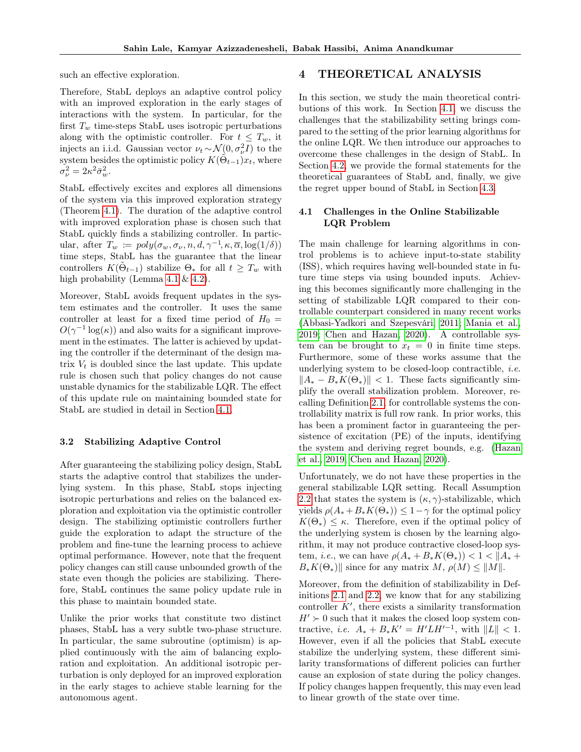such an effective exploration.

Therefore, StabL deploys an adaptive control policy with an improved exploration in the early stages of interactions with the system. In particular, for the first  $T_w$  time-steps StabL uses isotropic perturbations along with the optimistic controller. For  $t \leq T_w$ , it injects an i.i.d. Gaussian vector  $\nu_t \sim \mathcal{N}(0, \sigma_\nu^2 I)$  to the system besides the optimistic policy  $K(\tilde{\Theta}_{t-1})x_t$ , where  $\sigma_{\nu}^2 = 2\kappa^2 \bar{\sigma}_{w}^2.$ 

StabL effectively excites and explores all dimensions of the system via this improved exploration strategy (Theorem [4.1\)](#page-5-1). The duration of the adaptive control with improved exploration phase is chosen such that StabL quickly finds a stabilizing controller. In particular, after  $T_w := poly(\sigma_w, \sigma_\nu, n, d, \gamma^{-1}, \kappa, \overline{\alpha}, \log(1/\delta))$ time steps, StabL has the guarantee that the linear controllers  $K(\tilde{\Theta}_{t-1})$  stabilize  $\Theta_*$  for all  $t \geq T_w$  with high probability (Lemma [4.1](#page-5-2) & [4.2\)](#page-5-0).

Moreover, StabL avoids frequent updates in the system estimates and the controller. It uses the same controller at least for a fixed time period of  $H_0 =$  $O(\gamma^{-1} \log(\kappa))$  and also waits for a significant improvement in the estimates. The latter is achieved by updating the controller if the determinant of the design matrix  $V_t$  is doubled since the last update. This update rule is chosen such that policy changes do not cause unstable dynamics for the stabilizable LQR. The effect of this update rule on maintaining bounded state for StabL are studied in detail in Section [4.1.](#page-4-0)

### 3.2 Stabilizing Adaptive Control

After guaranteeing the stabilizing policy design, StabL starts the adaptive control that stabilizes the underlying system. In this phase, StabL stops injecting isotropic perturbations and relies on the balanced exploration and exploitation via the optimistic controller design. The stabilizing optimistic controllers further guide the exploration to adapt the structure of the problem and fine-tune the learning process to achieve optimal performance. However, note that the frequent policy changes can still cause unbounded growth of the state even though the policies are stabilizing. Therefore, StabL continues the same policy update rule in this phase to maintain bounded state.

Unlike the prior works that constitute two distinct phases, StabL has a very subtle two-phase structure. In particular, the same subroutine (optimism) is applied continuously with the aim of balancing exploration and exploitation. An additional isotropic perturbation is only deployed for an improved exploration in the early stages to achieve stable learning for the autonomous agent.

# 4 THEORETICAL ANALYSIS

In this section, we study the main theoretical contributions of this work. In Section [4.1,](#page-4-0) we discuss the challenges that the stabilizability setting brings compared to the setting of the prior learning algorithms for the online LQR. We then introduce our approaches to overcome these challenges in the design of StabL. In Section [4.2,](#page-5-3) we provide the formal statements for the theoretical guarantees of StabL and, finally, we give the regret upper bound of StabL in Section [4.3.](#page-5-4)

### <span id="page-4-0"></span>4.1 Challenges in the Online Stabilizable LQR Problem

The main challenge for learning algorithms in control problems is to achieve input-to-state stability (ISS), which requires having well-bounded state in future time steps via using bounded inputs. Achieving this becomes significantly more challenging in the setting of stabilizable LQR compared to their controllable counterpart considered in many recent works [\(Abbasi-Yadkori and Szepesvári, 2011;](#page-9-1) [Mania et al.,](#page-9-9) [2019;](#page-9-9) [Chen and Hazan, 2020\)](#page-9-3). A controllable system can be brought to  $x_t = 0$  in finite time steps. Furthermore, some of these works assume that the underlying system to be closed-loop contractible, i.e.  $||A_{*} - B_{*}K(\Theta_{*})|| < 1$ . These facts significantly simplify the overall stabilization problem. Moreover, recalling Definition [2.1,](#page-2-2) for controllable systems the controllability matrix is full row rank. In prior works, this has been a prominent factor in guaranteeing the persistence of excitation (PE) of the inputs, identifying the system and deriving regret bounds, e.g. [\(Hazan](#page-9-15) [et al., 2019;](#page-9-15) [Chen and Hazan, 2020\)](#page-9-3).

Unfortunately, we do not have these properties in the general stabilizable LQR setting. Recall Assumption [2.2](#page-3-1) that states the system is  $(\kappa, \gamma)$ -stabilizable, which yields  $\rho(A_* + B_* K(\Theta_*)) \leq 1-\gamma$  for the optimal policy  $K(\Theta_*) \leq \kappa$ . Therefore, even if the optimal policy of the underlying system is chosen by the learning algorithm, it may not produce contractive closed-loop system, *i.e.*, we can have  $\rho(A_* + B_*K(\Theta_*)) < 1 < |A_*|$  $B_*K(\Theta_*)$ || since for any matrix  $M, \rho(M) \leq ||M||.$ 

Moreover, from the definition of stabilizability in Definitions [2.1](#page-2-2) and [2.2,](#page-3-2) we know that for any stabilizing controller  $K'$ , there exists a similarity transformation  $H' \succ 0$  such that it makes the closed loop system contractive, *i.e.*  $A_* + B_*K' = H'LH'^{-1}$ , with  $||L|| < 1$ . However, even if all the policies that StabL execute stabilize the underlying system, these different similarity transformations of different policies can further cause an explosion of state during the policy changes. If policy changes happen frequently, this may even lead to linear growth of the state over time.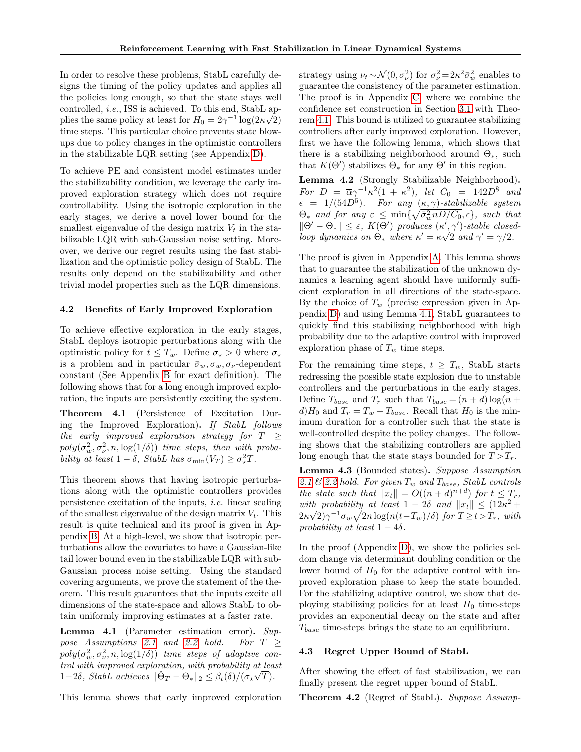In order to resolve these problems, StabL carefully designs the timing of the policy updates and applies all the policies long enough, so that the state stays well controlled, i.e., ISS is achieved. To this end, StabL ap-√ plies the same policy at least for  $H_0 = 2\gamma^{-1} \log(2\kappa \sqrt{2})$ time steps. This particular choice prevents state blowups due to policy changes in the optimistic controllers in the stabilizable LQR setting (see Appendix [D\)](#page-19-0).

To achieve PE and consistent model estimates under the stabilizability condition, we leverage the early improved exploration strategy which does not require controllability. Using the isotropic exploration in the early stages, we derive a novel lower bound for the smallest eigenvalue of the design matrix  $V_t$  in the stabilizable LQR with sub-Gaussian noise setting. Moreover, we derive our regret results using the fast stabilization and the optimistic policy design of StabL. The results only depend on the stabilizability and other trivial model properties such as the LQR dimensions.

### <span id="page-5-3"></span>4.2 Benefits of Early Improved Exploration

To achieve effective exploration in the early stages, StabL deploys isotropic perturbations along with the optimistic policy for  $t \leq T_w$ . Define  $\sigma_{\star} > 0$  where  $\sigma_{\star}$ is a problem and in particular  $\bar{\sigma}_w, \sigma_w, \sigma_\nu$ -dependent constant (See Appendix [B](#page-12-0) for exact definition). The following shows that for a long enough improved exploration, the inputs are persistently exciting the system.

<span id="page-5-1"></span>Theorem 4.1 (Persistence of Excitation During the Improved Exploration). If StabL follows the early improved exploration strategy for  $T \geq$  $poly(\sigma_w^2, \sigma_\nu^2, n, \log(1/\delta))$  time steps, then with probability at least  $1 - \delta$ , StabL has  $\sigma_{\min}(V_T) \geq \sigma_{\star}^2 T$ .

This theorem shows that having isotropic perturbations along with the optimistic controllers provides persistence excitation of the inputs, i.e. linear scaling of the smallest eigenvalue of the design matrix  $V_t$ . This result is quite technical and its proof is given in Appendix [B.](#page-12-0) At a high-level, we show that isotropic perturbations allow the covariates to have a Gaussian-like tail lower bound even in the stabilizable LQR with sub-Gaussian process noise setting. Using the standard covering arguments, we prove the statement of the theorem. This result guarantees that the inputs excite all dimensions of the state-space and allows StabL to obtain uniformly improving estimates at a faster rate.

<span id="page-5-2"></span>Lemma 4.1 (Parameter estimation error). Sup-pose Assumptions [2.1](#page-2-3) and [2.2](#page-3-1) hold. For  $T \geq$  $poly(\sigma_w^2, \sigma_\nu^2, n, \log(1/\delta))$  time steps of adaptive control with improved exploration, with probability at least 1−2δ, StabL achieves  $\|\hat{\Theta}_T - \Theta_*\|_2 \leq \beta_t(\delta)/(\sigma_*\sqrt{T}).$ 

This lemma shows that early improved exploration

strategy using  $\nu_t \sim \mathcal{N}(0, \sigma_\nu^2)$  for  $\sigma_\nu^2 = 2\kappa^2 \bar{\sigma}_w^2$  enables to guarantee the consistency of the parameter estimation. The proof is in Appendix [C,](#page-17-0) where we combine the confidence set construction in Section [3.1](#page-3-3) with Theorem [4.1.](#page-5-1) This bound is utilized to guarantee stabilizing controllers after early improved exploration. However, first we have the following lemma, which shows that there is a stabilizing neighborhood around  $\Theta_{\ast}$ , such that  $K(\Theta')$  stabilizes  $\Theta_*$  for any  $\Theta'$  in this region.

<span id="page-5-0"></span>Lemma 4.2 (Strongly Stabilizable Neighborhood). For  $D = \overline{\alpha}\gamma^{-1}\kappa^2(1 + \kappa^2)$ , let  $C_0 = 142D^8$  and  $\epsilon = 1/(54D^5)$ . For any  $(\kappa, \gamma)$ -stabilizable system  $\Theta_*$  and for any  $\varepsilon \leq \min\{\sqrt{\bar{\sigma}_w^2 n D/C_0}, \epsilon\}$ , such that  $\|\Theta' - \Theta_{\ast}\| \leq \varepsilon$ ,  $K(\Theta')$  produces  $(\kappa', \gamma')$ -stable closedloop dynamics on  $\Theta_*$  where  $\kappa' = \kappa \sqrt{2}$  and  $\gamma' = \gamma/2$ .

The proof is given in Appendix [A.](#page-11-0) This lemma shows that to guarantee the stabilization of the unknown dynamics a learning agent should have uniformly sufficient exploration in all directions of the state-space. By the choice of  $T_w$  (precise expression given in Appendix [D\)](#page-19-0) and using Lemma [4.1,](#page-5-2) StabL guarantees to quickly find this stabilizing neighborhood with high probability due to the adaptive control with improved exploration phase of  $T_w$  time steps.

For the remaining time steps,  $t \geq T_w$ , StabL starts redressing the possible state explosion due to unstable controllers and the perturbations in the early stages. Define  $T_{base}$  and  $T_r$  such that  $T_{base} = (n + d) \log(n +$  $d)H_0$  and  $T_r = T_w + T_{base}$ . Recall that  $H_0$  is the minimum duration for a controller such that the state is well-controlled despite the policy changes. The following shows that the stabilizing controllers are applied long enough that the state stays bounded for  $T > T_r$ .

<span id="page-5-5"></span>Lemma 4.3 (Bounded states). Suppose Assumption [2.1](#page-2-3)  $\mathcal{C}$  [2.2](#page-3-1) hold. For given  $T_w$  and  $T_{base}$ , StabL controls the state such that  $||x_t|| = O((n+d)^{n+d})$  for  $t \leq T_r$ , with probability at least  $1 - 2\delta$  and  $||x_t|| \leq (12\kappa^2 +$  $2\kappa\sqrt{2}\gamma^{-1}\sigma_w\sqrt{2n\log(n(t-T_w)/\delta)}$  for  $T\geq t>T_r$ , with probability at least  $1 - 4\delta$ .

In the proof  $(Appendix D)$  $(Appendix D)$ , we show the policies seldom change via determinant doubling condition or the lower bound of  $H_0$  for the adaptive control with improved exploration phase to keep the state bounded. For the stabilizing adaptive control, we show that deploying stabilizing policies for at least  $H_0$  time-steps provides an exponential decay on the state and after  $T_{base}$  time-steps brings the state to an equilibrium.

#### <span id="page-5-4"></span>4.3 Regret Upper Bound of StabL

After showing the effect of fast stabilization, we can finally present the regret upper bound of StabL.

<span id="page-5-6"></span>Theorem 4.2 (Regret of StabL). Suppose Assump-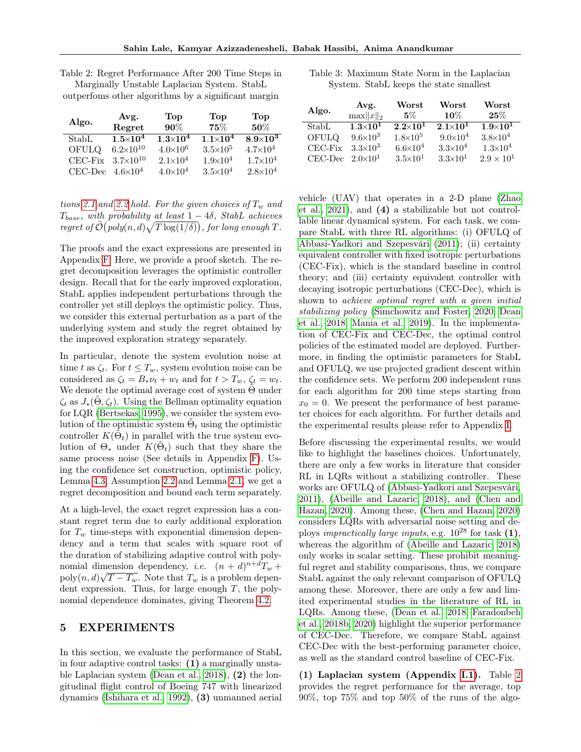| Algo.                         | Avg.<br>Regret          | Top<br>$90\%$       | Top<br>75%          | Top<br>50%          |
|-------------------------------|-------------------------|---------------------|---------------------|---------------------|
| StabL                         | $1.5\!\!\times\!\!10^4$ | $1.3\times10^4$     | $1.1\times10^{4}$   | $8.9\times10^3$     |
| OFULQ                         | $6.2\times10^{10}$      | $4.0 \times 10^6$   | $3.5\times10^{5}$   | $4.7 \times 10^{4}$ |
| CEC-Fix                       | $3.7\times10^{10}$      | $2.1 \times 10^{4}$ | $1.9\times10^{4}$   | $1.7 \times 10^{4}$ |
| $CEC\text{-}\mathop{\rm Dec}$ | $4.6 \times 10^4$       | $4.0 \times 10^4$   | $3.5 \times 10^{4}$ | $2.8 \times 10^{4}$ |

<span id="page-6-0"></span>Table 2: Regret Performance After 200 Time Steps in Marginally Unstable Laplacian System. StabL

outperfoms other algorithms by a significant margin

tions [2.1](#page-2-3) and [2.2](#page-3-1) hold. For the given choices of  $T_w$  and  $T_{base}$ , with probability at least  $1 - 4\delta$ , StabL achieves regret of  $\tilde{\mathcal{O}}(\overline{\mathit{poly}(n,d)}\sqrt{T\log(1/\delta)})$ , for long enough T.

The proofs and the exact expressions are presented in Appendix [F.](#page-22-0) Here, we provide a proof sketch. The regret decomposition leverages the optimistic controller design. Recall that for the early improved exploration, StabL applies independent perturbations through the controller yet still deploys the optimistic policy. Thus, we consider this external perturbation as a part of the underlying system and study the regret obtained by the improved exploration strategy separately.

In particular, denote the system evolution noise at time t as  $\zeta_t$ . For  $t \leq T_w$ , system evolution noise can be considered as  $\zeta_t = B_* \nu_t + w_t$  and for  $t > T_w$ ,  $\zeta_t = w_t$ . We denote the optimal average cost of system  $\Theta$  under  $\zeta_t$  as  $J_*(\Theta, \zeta_t)$ . Using the Bellman optimality equation for LQR [\(Bertsekas, 1995\)](#page-9-0), we consider the system evolution of the optimistic system  $\tilde{\Theta}_t$  using the optimistic controller  $K(\tilde{\Theta}_t)$  in parallel with the true system evolution of  $\Theta_*$  under  $K(\tilde{\Theta}_t)$  such that they share the same process noise (See details in Appendix [F\)](#page-22-0). Using the confidence set construction, optimistic policy, Lemma [4.3,](#page-5-5) Assumption [2.2](#page-3-1) and Lemma [2.1,](#page-3-4) we get a regret decomposition and bound each term separately.

At a high-level, the exact regret expression has a constant regret term due to early additional exploration for  $T_w$  time-steps with exponential dimension dependency and a term that scales with square root of the duration of stabilizing adaptive control with polynomial dimension dependency, *i.e.*  $(n + d)^{n+d}T_w$  +  $\text{poly}(n, d)\sqrt{T-T_w}$ . Note that  $T_w$  is a problem dependent expression. Thus, for large enough  $T$ , the polynomial dependence dominates, giving Theorem [4.2.](#page-5-6)

## <span id="page-6-2"></span>5 EXPERIMENTS

In this section, we evaluate the performance of StabL in four adaptive control tasks: (1) a marginally unstable Laplacian system [\(Dean et al., 2018\)](#page-9-8), (2) the longitudinal flight control of Boeing 747 with linearized dynamics [\(Ishihara et al., 1992\)](#page-9-16), (3) unmanned aerial

<span id="page-6-1"></span>

| Table 3: Maximum State Norm in the Laplacian |  |  |  |  |
|----------------------------------------------|--|--|--|--|
| System. StabL keeps the state smallest       |  |  |  |  |

| Algo.                     | Avg.<br>$\max  x  _2$ | Worst<br>$5\%$      | Worst<br>$10\%$   | Worst<br>25%        |
|---------------------------|-----------------------|---------------------|-------------------|---------------------|
| StabL                     | $1.3 \times 10^{1}$   | $2.2\times10^{1}$   | $2.1\times10^{1}$ | $1.9 \times 10^{1}$ |
| OFULQ                     | $9.6 \times 10^3$     | $1.8 \times 10^5$   | $9.0 \times 10^4$ | $3.8 \times 10^{4}$ |
| $CEC-Fix$                 | $3.3\times10^3$       | $6.6 \times 10^{4}$ | $3.3 \times 10^4$ | $1.3 \times 10^{4}$ |
| CEC-Dec $2.0\times10^{1}$ |                       | $3.5 \times 10^{1}$ | $3.3\times10^{1}$ | $2.9 \times 10^{1}$ |

vehicle (UAV) that operates in a 2-D plane [\(Zhao](#page-9-17) [et al., 2021\)](#page-9-17), and (4) a stabilizable but not controllable linear dynamical system. For each task, we compare StabL with three RL algorithms: (i) OFULQ of [Abbasi-Yadkori and Szepesvári](#page-9-1) [\(2011\)](#page-9-1); (ii) certainty equivalent controller with fixed isotropic perturbations (CEC-Fix), which is the standard baseline in control theory; and (iii) certainty equivalent controller with decaying isotropic perturbations (CEC-Dec), which is shown to *achieve optimal regret with a given initial* stabilizing policy [\(Simchowitz and Foster, 2020;](#page-9-6) [Dean](#page-9-8) [et al., 2018;](#page-9-8) [Mania et al., 2019\)](#page-9-9). In the implementation of CEC-Fix and CEC-Dec, the optimal control policies of the estimated model are deployed. Furthermore, in finding the optimistic parameters for StabL and OFULQ, we use projected gradient descent within the confidence sets. We perform 200 independent runs for each algorithm for 200 time steps starting from  $x_0 = 0$ . We present the performance of best parameter choices for each algorithm. For further details and the experimental results please refer to Appendix [I.](#page-30-0)

Before discussing the experimental results, we would like to highlight the baselines choices. Unfortunately, there are only a few works in literature that consider RL in LQRs without a stabilizing controller. These works are OFULQ of [\(Abbasi-Yadkori and Szepesvári,](#page-9-1) [2011\)](#page-9-1), [\(Abeille and Lazaric, 2018\)](#page-9-2), and [\(Chen and](#page-9-3) [Hazan, 2020\)](#page-9-3). Among these, [\(Chen and Hazan, 2020\)](#page-9-3) considers LQRs with adversarial noise setting and deploys *impractically large inputs*, e.g.  $10^{28}$  for task  $(1)$ , whereas the algorithm of [\(Abeille and Lazaric, 2018\)](#page-9-2) only works in scalar setting. These prohibit meaningful regret and stability comparisons, thus, we compare StabL against the only relevant comparison of OFULQ among these. Moreover, there are only a few and limited experimental studies in the literature of RL in LQRs. Among these, [\(Dean et al., 2018;](#page-9-8) [Faradonbeh](#page-9-18) [et al., 2018b,](#page-9-18) [2020\)](#page-9-19) highlight the superior performance of CEC-Dec. Therefore, we compare StabL against CEC-Dec with the best-performing parameter choice, as well as the standard control baseline of CEC-Fix.

(1) Laplacian system (Appendix [I.1\)](#page-31-0). Table [2](#page-6-0) provides the regret performance for the average, top 90%, top 75% and top 50% of the runs of the algo-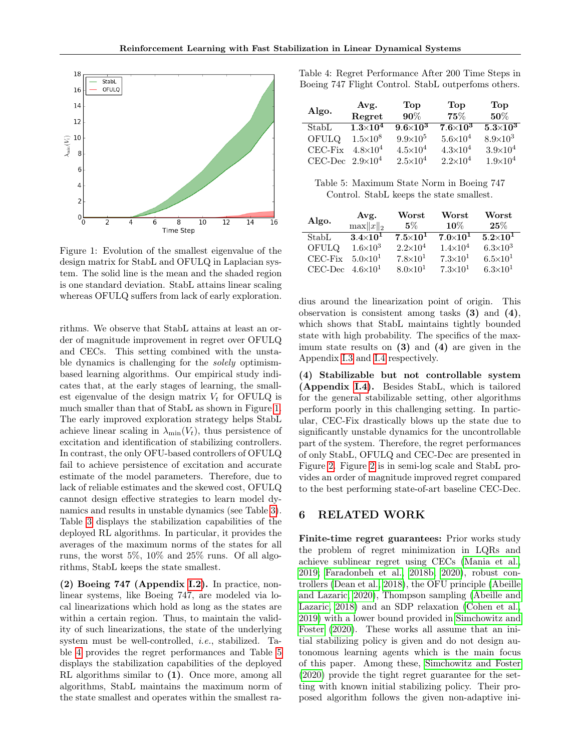<span id="page-7-0"></span>

Figure 1: Evolution of the smallest eigenvalue of the design matrix for StabL and OFULQ in Laplacian system. The solid line is the mean and the shaded region is one standard deviation. StabL attains linear scaling whereas OFULQ suffers from lack of early exploration.

rithms. We observe that StabL attains at least an order of magnitude improvement in regret over OFULQ and CECs. This setting combined with the unstable dynamics is challenging for the solely optimismbased learning algorithms. Our empirical study indicates that, at the early stages of learning, the smallest eigenvalue of the design matrix  $V_t$  for OFULQ is much smaller than that of StabL as shown in Figure [1.](#page-7-0) The early improved exploration strategy helps StabL achieve linear scaling in  $\lambda_{\min}(V_t)$ , thus persistence of excitation and identification of stabilizing controllers. In contrast, the only OFU-based controllers of OFULQ fail to achieve persistence of excitation and accurate estimate of the model parameters. Therefore, due to lack of reliable estimates and the skewed cost, OFULQ cannot design effective strategies to learn model dynamics and results in unstable dynamics (see Table [3\)](#page-6-1). Table [3](#page-6-1) displays the stabilization capabilities of the deployed RL algorithms. In particular, it provides the averages of the maximum norms of the states for all runs, the worst 5%, 10% and 25% runs. Of all algorithms, StabL keeps the state smallest.

(2) Boeing 747 (Appendix [I.2\)](#page-32-0). In practice, nonlinear systems, like Boeing 747, are modeled via local linearizations which hold as long as the states are within a certain region. Thus, to maintain the validity of such linearizations, the state of the underlying system must be well-controlled, i.e., stabilized. Table [4](#page-7-1) provides the regret performances and Table [5](#page-7-2) displays the stabilization capabilities of the deployed RL algorithms similar to (1). Once more, among all algorithms, StabL maintains the maximum norm of the state smallest and operates within the smallest ra<span id="page-7-1"></span>Table 4: Regret Performance After 200 Time Steps in Boeing 747 Flight Control. StabL outperfoms others.

| Algo.                   | Avg.<br>Regret             | Top<br>90%          | Top<br>$75\%$       | Top<br>$50\%$       |
|-------------------------|----------------------------|---------------------|---------------------|---------------------|
| StabL                   | $\overline{1.3\times10^4}$ | $9.6\times10^3$     | $7.6 \times 10^3$   | $5.3\times10^3$     |
| OFULQ                   | $1.5 \times 10^8$          | $9.9 \times 10^5$   | $5.6 \times 10^{4}$ | $8.9 \times 10^3$   |
| CEC-Fix                 | $4.8 \times 10^4$          | $4.5 \times 10^{4}$ | $4.3 \times 10^{4}$ | $3.9 \times 10^{4}$ |
| CEC-Dec $2.9\times10^4$ |                            | $2.5 \times 10^4$   | $2.2\times10^{4}$   | $1.9 \times 10^{4}$ |

<span id="page-7-2"></span>Table 5: Maximum State Norm in Boeing 747 Control. StabL keeps the state smallest.

| Algo.             | Avg.<br>$\max   x  _2$ | ${\bf Worst}$<br>5% | Worst<br>$10\%$     | Worst<br>25%        |
|-------------------|------------------------|---------------------|---------------------|---------------------|
| Stab <sub>L</sub> | $3.4\times10^{1}$      | $7.5 \times 10^{1}$ | $7.0 \times 10^{1}$ | $5.2 \times 10^{1}$ |
| OFULQ             | $1.6 \times 10^3$      | $2.2 \times 10^4$   | $1.4\times10^{4}$   | $6.3\times10^{3}$   |
| CEC-Fix           | $5.0\times10^{1}$      | $7.8 \times 10^{1}$ | $7.3\times10^{1}$   | $6.5 \times 10^{1}$ |
| CEC-Dec           | $4.6 \times 10^{1}$    | $8.0 \times 10^{1}$ | $7.3 \times 10^{1}$ | $6.3\times10^{1}$   |

dius around the linearization point of origin. This observation is consistent among tasks (3) and (4), which shows that StabL maintains tightly bounded state with high probability. The specifics of the maximum state results on (3) and (4) are given in the Appendix [I.3](#page-34-0) and [I.4](#page-35-0) respectively.

(4) Stabilizable but not controllable system (Appendix [I.4\)](#page-35-0). Besides StabL, which is tailored for the general stabilizable setting, other algorithms perform poorly in this challenging setting. In particular, CEC-Fix drastically blows up the state due to significantly unstable dynamics for the uncontrollable part of the system. Therefore, the regret performances of only StabL, OFULQ and CEC-Dec are presented in Figure [2.](#page-8-0) Figure [2](#page-8-0) is in semi-log scale and StabL provides an order of magnitude improved regret compared to the best performing state-of-art baseline CEC-Dec.

## 6 RELATED WORK

Finite-time regret guarantees: Prior works study the problem of regret minimization in LQRs and achieve sublinear regret using CECs [\(Mania et al.,](#page-9-9) [2019;](#page-9-9) [Faradonbeh et al., 2018b,](#page-9-18) [2020\)](#page-9-19), robust controllers [\(Dean et al., 2018\)](#page-9-8), the OFU principle [\(Abeille](#page-9-5) [and Lazaric, 2020\)](#page-9-5), Thompson sampling [\(Abeille and](#page-9-2) [Lazaric, 2018\)](#page-9-2) and an SDP relaxation [\(Cohen et al.,](#page-9-14) [2019\)](#page-9-14) with a lower bound provided in [Simchowitz and](#page-9-6) [Foster](#page-9-6) [\(2020\)](#page-9-6). These works all assume that an initial stabilizing policy is given and do not design autonomous learning agents which is the main focus of this paper. Among these, [Simchowitz and Foster](#page-9-6) [\(2020\)](#page-9-6) provide the tight regret guarantee for the setting with known initial stabilizing policy. Their proposed algorithm follows the given non-adaptive ini-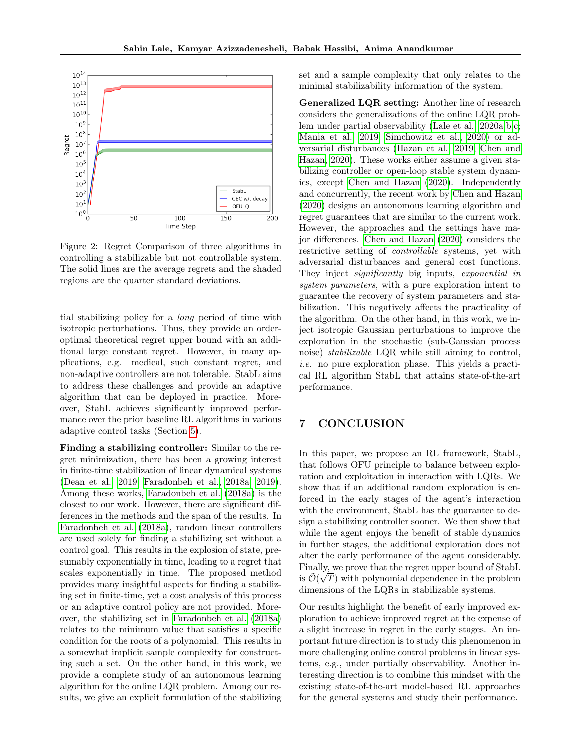<span id="page-8-0"></span>

Figure 2: Regret Comparison of three algorithms in controlling a stabilizable but not controllable system. The solid lines are the average regrets and the shaded regions are the quarter standard deviations.

tial stabilizing policy for a long period of time with isotropic perturbations. Thus, they provide an orderoptimal theoretical regret upper bound with an additional large constant regret. However, in many applications, e.g. medical, such constant regret, and non-adaptive controllers are not tolerable. StabL aims to address these challenges and provide an adaptive algorithm that can be deployed in practice. Moreover, StabL achieves significantly improved performance over the prior baseline RL algorithms in various adaptive control tasks (Section [5\)](#page-6-2).

Finding a stabilizing controller: Similar to the regret minimization, there has been a growing interest in finite-time stabilization of linear dynamical systems [\(Dean et al., 2019;](#page-9-20) [Faradonbeh et al., 2018a,](#page-9-4) [2019\)](#page-9-21). Among these works, [Faradonbeh et al.](#page-9-4) [\(2018a\)](#page-9-4) is the closest to our work. However, there are significant differences in the methods and the span of the results. In [Faradonbeh et al.](#page-9-4) [\(2018a\)](#page-9-4), random linear controllers are used solely for finding a stabilizing set without a control goal. This results in the explosion of state, presumably exponentially in time, leading to a regret that scales exponentially in time. The proposed method provides many insightful aspects for finding a stabilizing set in finite-time, yet a cost analysis of this process or an adaptive control policy are not provided. Moreover, the stabilizing set in [Faradonbeh et al.](#page-9-4) [\(2018a\)](#page-9-4) relates to the minimum value that satisfies a specific condition for the roots of a polynomial. This results in a somewhat implicit sample complexity for constructing such a set. On the other hand, in this work, we provide a complete study of an autonomous learning algorithm for the online LQR problem. Among our results, we give an explicit formulation of the stabilizing set and a sample complexity that only relates to the minimal stabilizability information of the system.

Generalized LQR setting: Another line of research considers the generalizations of the online LQR problem under partial observability [\(Lale et al., 2020a,](#page-9-22)[b,](#page-9-23)[c;](#page-9-24) [Mania et al., 2019;](#page-9-9) [Simchowitz et al., 2020\)](#page-9-25) or adversarial disturbances [\(Hazan et al., 2019;](#page-9-15) [Chen and](#page-9-3) [Hazan, 2020\)](#page-9-3). These works either assume a given stabilizing controller or open-loop stable system dynamics, except [Chen and Hazan](#page-9-3) [\(2020\)](#page-9-3). Independently and concurrently, the recent work by [Chen and Hazan](#page-9-3) [\(2020\)](#page-9-3) designs an autonomous learning algorithm and regret guarantees that are similar to the current work. However, the approaches and the settings have major differences. [Chen and Hazan](#page-9-3) [\(2020\)](#page-9-3) considers the restrictive setting of controllable systems, yet with adversarial disturbances and general cost functions. They inject *significantly* big inputs, *exponential in* system parameters, with a pure exploration intent to guarantee the recovery of system parameters and stabilization. This negatively affects the practicality of the algorithm. On the other hand, in this work, we inject isotropic Gaussian perturbations to improve the exploration in the stochastic (sub-Gaussian process noise) stabilizable LQR while still aiming to control, i.e. no pure exploration phase. This yields a practical RL algorithm StabL that attains state-of-the-art performance.

# 7 CONCLUSION

In this paper, we propose an RL framework, StabL, that follows OFU principle to balance between exploration and exploitation in interaction with LQRs. We show that if an additional random exploration is enforced in the early stages of the agent's interaction with the environment, StabL has the guarantee to design a stabilizing controller sooner. We then show that while the agent enjoys the benefit of stable dynamics in further stages, the additional exploration does not alter the early performance of the agent considerably. Finally, we prove that the regret upper bound of StabL is  $\tilde{\mathcal{O}}(\sqrt{T})$  with polynomial dependence in the problem dimensions of the LQRs in stabilizable systems.

Our results highlight the benefit of early improved exploration to achieve improved regret at the expense of a slight increase in regret in the early stages. An important future direction is to study this phenomenon in more challenging online control problems in linear systems, e.g., under partially observability. Another interesting direction is to combine this mindset with the existing state-of-the-art model-based RL approaches for the general systems and study their performance.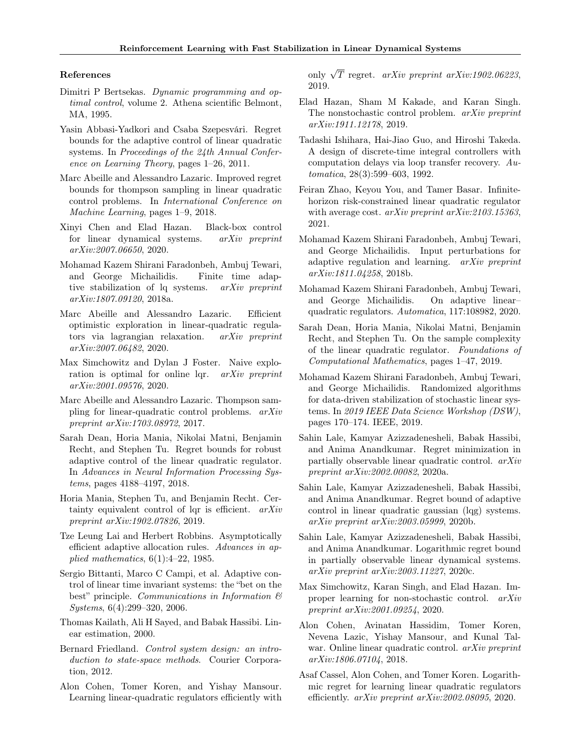#### References

- <span id="page-9-0"></span>Dimitri P Bertsekas. Dynamic programming and optimal control, volume 2. Athena scientific Belmont, MA, 1995.
- <span id="page-9-1"></span>Yasin Abbasi-Yadkori and Csaba Szepesvári. Regret bounds for the adaptive control of linear quadratic systems. In Proceedings of the 24th Annual Conference on Learning Theory, pages 1–26, 2011.
- <span id="page-9-2"></span>Marc Abeille and Alessandro Lazaric. Improved regret bounds for thompson sampling in linear quadratic control problems. In International Conference on Machine Learning, pages 1–9, 2018.
- <span id="page-9-3"></span>Xinyi Chen and Elad Hazan. Black-box control for linear dynamical systems. arXiv preprint arXiv:2007.06650, 2020.
- <span id="page-9-4"></span>Mohamad Kazem Shirani Faradonbeh, Ambuj Tewari, and George Michailidis. Finite time adaptive stabilization of lq systems. arXiv preprint arXiv:1807.09120, 2018a.
- <span id="page-9-5"></span>Marc Abeille and Alessandro Lazaric. Efficient optimistic exploration in linear-quadratic regulators via lagrangian relaxation. arXiv preprint arXiv:2007.06482, 2020.
- <span id="page-9-6"></span>Max Simchowitz and Dylan J Foster. Naive exploration is optimal for online lqr. arXiv preprint arXiv:2001.09576, 2020.
- <span id="page-9-7"></span>Marc Abeille and Alessandro Lazaric. Thompson sampling for linear-quadratic control problems. arXiv preprint arXiv:1703.08972, 2017.
- <span id="page-9-8"></span>Sarah Dean, Horia Mania, Nikolai Matni, Benjamin Recht, and Stephen Tu. Regret bounds for robust adaptive control of the linear quadratic regulator. In Advances in Neural Information Processing Systems, pages 4188–4197, 2018.
- <span id="page-9-9"></span>Horia Mania, Stephen Tu, and Benjamin Recht. Certainty equivalent control of lqr is efficient.  $arXiv$ preprint arXiv:1902.07826, 2019.
- <span id="page-9-10"></span>Tze Leung Lai and Herbert Robbins. Asymptotically efficient adaptive allocation rules. Advances in applied mathematics, 6(1):4–22, 1985.
- <span id="page-9-11"></span>Sergio Bittanti, Marco C Campi, et al. Adaptive control of linear time invariant systems: the "bet on the best" principle. Communications in Information  $\mathcal B$ Systems, 6(4):299–320, 2006.
- <span id="page-9-12"></span>Thomas Kailath, Ali H Sayed, and Babak Hassibi. Linear estimation, 2000.
- <span id="page-9-13"></span>Bernard Friedland. Control system design: an introduction to state-space methods. Courier Corporation, 2012.
- <span id="page-9-14"></span>Alon Cohen, Tomer Koren, and Yishay Mansour. Learning linear-quadratic regulators efficiently with

only  $\sqrt{T}$  regret. *arXiv preprint arXiv:1902.06223*, 2019.

- <span id="page-9-15"></span>Elad Hazan, Sham M Kakade, and Karan Singh. The nonstochastic control problem. arXiv preprint arXiv:1911.12178, 2019.
- <span id="page-9-16"></span>Tadashi Ishihara, Hai-Jiao Guo, and Hiroshi Takeda. A design of discrete-time integral controllers with computation delays via loop transfer recovery. Automatica, 28(3):599–603, 1992.
- <span id="page-9-17"></span>Feiran Zhao, Keyou You, and Tamer Basar. Infinitehorizon risk-constrained linear quadratic regulator with average cost. arXiv preprint arXiv:2103.15363, 2021.
- <span id="page-9-18"></span>Mohamad Kazem Shirani Faradonbeh, Ambuj Tewari, and George Michailidis. Input perturbations for adaptive regulation and learning. arXiv preprint arXiv:1811.04258, 2018b.
- <span id="page-9-19"></span>Mohamad Kazem Shirani Faradonbeh, Ambuj Tewari, and George Michailidis. On adaptive linear– quadratic regulators. Automatica, 117:108982, 2020.
- <span id="page-9-20"></span>Sarah Dean, Horia Mania, Nikolai Matni, Benjamin Recht, and Stephen Tu. On the sample complexity of the linear quadratic regulator. Foundations of Computational Mathematics, pages 1–47, 2019.
- <span id="page-9-21"></span>Mohamad Kazem Shirani Faradonbeh, Ambuj Tewari, and George Michailidis. Randomized algorithms for data-driven stabilization of stochastic linear systems. In 2019 IEEE Data Science Workshop (DSW), pages 170–174. IEEE, 2019.
- <span id="page-9-22"></span>Sahin Lale, Kamyar Azizzadenesheli, Babak Hassibi, and Anima Anandkumar. Regret minimization in partially observable linear quadratic control. arXiv preprint arXiv:2002.00082, 2020a.
- <span id="page-9-23"></span>Sahin Lale, Kamyar Azizzadenesheli, Babak Hassibi, and Anima Anandkumar. Regret bound of adaptive control in linear quadratic gaussian (lqg) systems. arXiv preprint arXiv:2003.05999, 2020b.
- <span id="page-9-24"></span>Sahin Lale, Kamyar Azizzadenesheli, Babak Hassibi, and Anima Anandkumar. Logarithmic regret bound in partially observable linear dynamical systems. arXiv preprint arXiv:2003.11227, 2020c.
- <span id="page-9-25"></span>Max Simchowitz, Karan Singh, and Elad Hazan. Improper learning for non-stochastic control. arXiv preprint arXiv:2001.09254, 2020.
- <span id="page-9-26"></span>Alon Cohen, Avinatan Hassidim, Tomer Koren, Nevena Lazic, Yishay Mansour, and Kunal Talwar. Online linear quadratic control. *arXiv preprint* arXiv:1806.07104, 2018.
- <span id="page-9-27"></span>Asaf Cassel, Alon Cohen, and Tomer Koren. Logarithmic regret for learning linear quadratic regulators efficiently. arXiv preprint arXiv:2002.08095, 2020.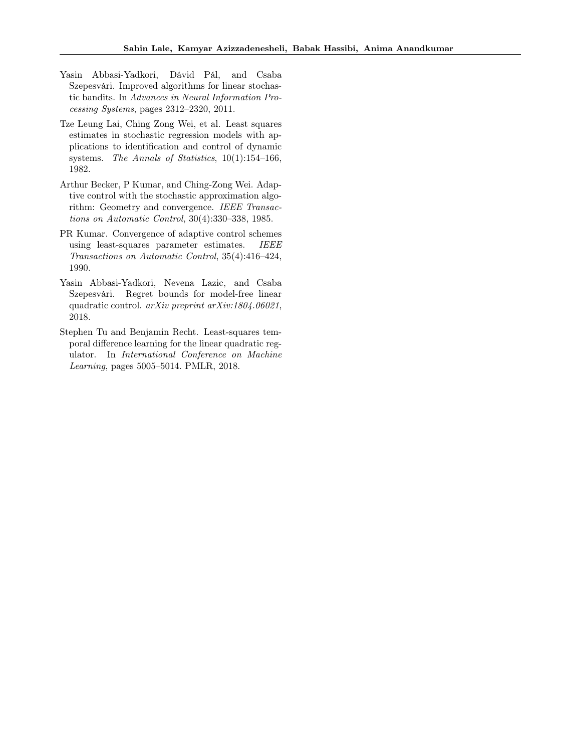- <span id="page-10-0"></span>Yasin Abbasi-Yadkori, Dávid Pál, and Csaba Szepesvári. Improved algorithms for linear stochastic bandits. In Advances in Neural Information Processing Systems, pages 2312–2320, 2011.
- <span id="page-10-1"></span>Tze Leung Lai, Ching Zong Wei, et al. Least squares estimates in stochastic regression models with applications to identification and control of dynamic systems. The Annals of Statistics, 10(1):154–166, 1982.
- <span id="page-10-2"></span>Arthur Becker, P Kumar, and Ching-Zong Wei. Adaptive control with the stochastic approximation algorithm: Geometry and convergence. IEEE Transactions on Automatic Control, 30(4):330–338, 1985.
- <span id="page-10-3"></span>PR Kumar. Convergence of adaptive control schemes using least-squares parameter estimates. IEEE Transactions on Automatic Control, 35(4):416–424, 1990.
- <span id="page-10-4"></span>Yasin Abbasi-Yadkori, Nevena Lazic, and Csaba Szepesvári. Regret bounds for model-free linear quadratic control. arXiv preprint arXiv:1804.06021, 2018.
- <span id="page-10-5"></span>Stephen Tu and Benjamin Recht. Least-squares temporal difference learning for the linear quadratic regulator. In International Conference on Machine Learning, pages 5005–5014. PMLR, 2018.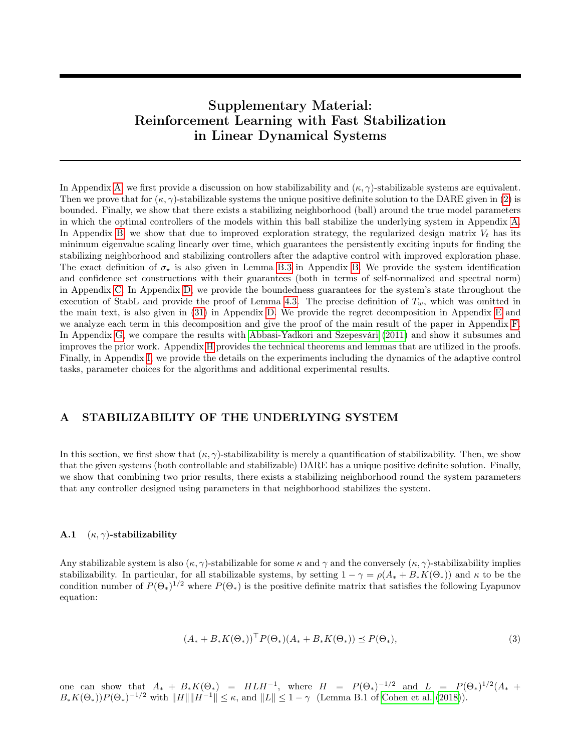# Supplementary Material: Reinforcement Learning with Fast Stabilization in Linear Dynamical Systems

In Appendix [A,](#page-11-0) we first provide a discussion on how stabilizability and  $(\kappa, \gamma)$ -stabilizable systems are equivalent. Then we prove that for  $(\kappa, \gamma)$ -stabilizable systems the unique positive definite solution to the DARE given in [\(2\)](#page-2-1) is bounded. Finally, we show that there exists a stabilizing neighborhood (ball) around the true model parameters in which the optimal controllers of the models within this ball stabilize the underlying system in Appendix [A.](#page-11-0) In Appendix [B,](#page-12-0) we show that due to improved exploration strategy, the regularized design matrix  $V_t$  has its minimum eigenvalue scaling linearly over time, which guarantees the persistently exciting inputs for finding the stabilizing neighborhood and stabilizing controllers after the adaptive control with improved exploration phase. The exact definition of  $\sigma_{\star}$  is also given in Lemma [B.3](#page-16-0) in Appendix [B.](#page-12-0) We provide the system identification and confidence set constructions with their guarantees (both in terms of self-normalized and spectral norm) in Appendix [C.](#page-17-0) In Appendix [D,](#page-19-0) we provide the boundedness guarantees for the system's state throughout the execution of StabL and provide the proof of Lemma [4.3.](#page-5-5) The precise definition of  $T_w$ , which was omitted in the main text, is also given in [\(31\)](#page-19-1) in Appendix [D.](#page-19-0) We provide the regret decomposition in Appendix [E](#page-21-0) and we analyze each term in this decomposition and give the proof of the main result of the paper in Appendix [F.](#page-22-0) In Appendix [G,](#page-29-0) we compare the results with [Abbasi-Yadkori and Szepesvári](#page-9-1) [\(2011\)](#page-9-1) and show it subsumes and improves the prior work. Appendix [H](#page-29-1) provides the technical theorems and lemmas that are utilized in the proofs. Finally, in Appendix [I,](#page-30-0) we provide the details on the experiments including the dynamics of the adaptive control tasks, parameter choices for the algorithms and additional experimental results.

# <span id="page-11-0"></span>A STABILIZABILITY OF THE UNDERLYING SYSTEM

In this section, we first show that  $(\kappa, \gamma)$ -stabilizability is merely a quantification of stabilizability. Then, we show that the given systems (both controllable and stabilizable) DARE has a unique positive definite solution. Finally, we show that combining two prior results, there exists a stabilizing neighborhood round the system parameters that any controller designed using parameters in that neighborhood stabilizes the system.

### A.1  $(\kappa, \gamma)$ -stabilizability

Any stabilizable system is also  $(\kappa, \gamma)$ -stabilizable for some  $\kappa$  and  $\gamma$  and the conversely  $(\kappa, \gamma)$ -stabilizability implies stabilizability. In particular, for all stabilizable systems, by setting  $1 - \gamma = \rho(A_* + B_*K(\Theta_*))$  and  $\kappa$  to be the condition number of  $P(\Theta_*)^{1/2}$  where  $P(\Theta_*)$  is the positive definite matrix that satisfies the following Lyapunov equation:

$$
(A_* + B_*K(\Theta_*))^\top P(\Theta_*)(A_* + B_*K(\Theta_*)) \preceq P(\Theta_*),\tag{3}
$$

one can show that  $A_* + B_* K(\Theta_*) = H L H^{-1}$ , where  $H = P(\Theta_*)^{-1/2}$  and  $L = P(\Theta_*)^{1/2} (A_* +$  $B_*K(\Theta_*)P(\Theta_*)^{-1/2}$  with  $||H|| ||H^{-1}|| \leq \kappa$ , and  $||L|| \leq 1-\gamma$  (Lemma B.1 of [Cohen et al.](#page-9-26) [\(2018\)](#page-9-26)).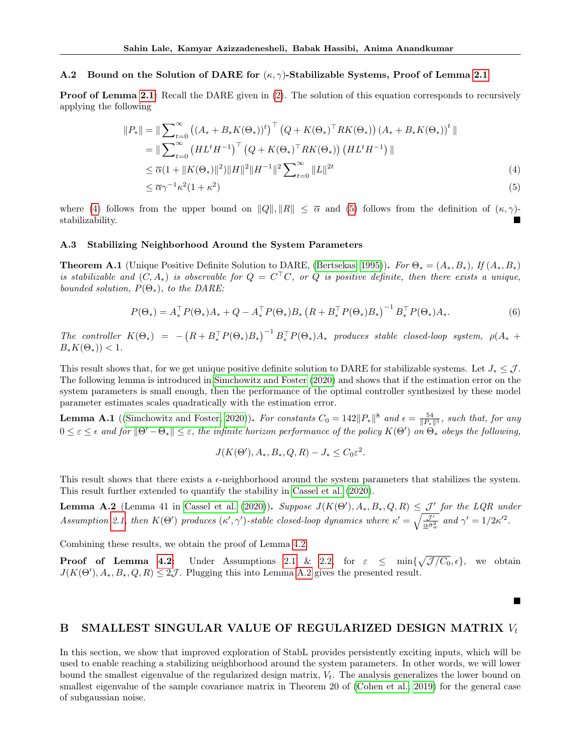#### A.2 Bound on the Solution of DARE for  $(\kappa, \gamma)$ -Stabilizable Systems, Proof of Lemma [2.1](#page-3-4)

**Proof of Lemma [2.1:](#page-3-4)** Recall the DARE given in [\(2\)](#page-2-1). The solution of this equation corresponds to recursively applying the following

<span id="page-12-2"></span><span id="page-12-1"></span>
$$
||P_*|| = ||\sum_{t=0}^{\infty} ((A_* + B_* K(\Theta_*))^t)^{\top} (Q + K(\Theta_*)^{\top} R K(\Theta_*)) (A_* + B_* K(\Theta_*))^t ||
$$
  
\n
$$
= ||\sum_{t=0}^{\infty} (HL^t H^{-1})^{\top} (Q + K(\Theta_*)^{\top} R K(\Theta_*)) (HL^t H^{-1}) ||
$$
  
\n
$$
\leq \overline{\alpha}(1 + ||K(\Theta_*)||^2) ||H||^2 ||H^{-1}||^2 \sum_{t=0}^{\infty} ||L||^{2t}
$$
\n(4)  
\n
$$
\leq \overline{\alpha} \gamma^{-1} \kappa^2 (1 + \kappa^2)
$$

where [\(4\)](#page-12-1) follows from the upper bound on  $||Q||, ||R|| \leq \overline{\alpha}$  and [\(5\)](#page-12-2) follows from the definition of  $(\kappa, \gamma)$ stabilizability. ■

#### A.3 Stabilizing Neighborhood Around the System Parameters

**Theorem A.1** (Unique Positive Definite Solution to DARE, [\(Bertsekas, 1995\)](#page-9-0)). For  $\Theta_* = (A_*, B_*)$ , If  $(A_*, B_*)$ is stabilizable and  $(C, A_*)$  is observable for  $Q = C^{\top}C$ , or Q is positive definite, then there exists a unique, bounded solution,  $P(\Theta_*)$ , to the DARE:

$$
P(\Theta_*) = A_*^{\top} P(\Theta_*) A_* + Q - A_*^{\top} P(\Theta_*) B_* \left( R + B_*^{\top} P(\Theta_*) B_* \right)^{-1} B_*^{\top} P(\Theta_*) A_*.
$$
 (6)

The controller  $K(\Theta_*) = -\left(R + B_*^{\top}P(\Theta_*)B_*\right)^{-1}B_*^{\top}P(\Theta_*)A_*$  produces stable closed-loop system,  $\rho(A_* +$  $B_*K(\Theta_*)$ ) < 1.

This result shows that, for we get unique positive definite solution to DARE for stabilizable systems. Let  $J_* \leq \mathcal{J}$ . The following lemma is introduced in [Simchowitz and Foster](#page-9-6) [\(2020\)](#page-9-6) and shows that if the estimation error on the system parameters is small enough, then the performance of the optimal controller synthesized by these model parameter estimates scales quadratically with the estimation error.

**Lemma A.1** ([\(Simchowitz and Foster, 2020\)](#page-9-6)). For constants  $C_0 = 142 ||P_*||^8$  and  $\epsilon = \frac{54}{||P_*||^5}$ , such that, for any  $0\leq\varepsilon\leq\epsilon$  and for  $\|\Theta'-\Theta_\ast\|\leq\varepsilon$ , the infinite horizon performance of the policy  $K(\Theta')$  on  $\Theta_\ast$  obeys the following,

$$
J(K(\Theta'), A_*, B_*, Q, R) - J_* \leq C_0 \varepsilon^2.
$$

This result shows that there exists a  $\epsilon$ -neighborhood around the system parameters that stabilizes the system. This result further extended to quantify the stability in [Cassel et al.](#page-9-27) [\(2020\)](#page-9-27).

<span id="page-12-3"></span>**Lemma A.2** (Lemma 41 in [Cassel et al.](#page-9-27) [\(2020\)](#page-9-27)). Suppose  $J(K(\Theta'), A_*, B_*, Q, R) \leq \mathcal{J}'$  for the LQR under Assumption [2.1,](#page-2-3) then  $K(\Theta')$  produces  $(\kappa', \gamma')$ -stable closed-loop dynamics where  $\kappa' = \sqrt{\frac{\mathcal{J}'}{\underline{\alpha}\bar{\sigma}_w^2}}$  and  $\gamma' = 1/2\kappa'^2$ .

Combining these results, we obtain the proof of Lemma [4.2.](#page-5-0)

**Proof of Lemma [4.2:](#page-5-0)** Under Assumptions [2.1](#page-2-3) & [2.2,](#page-3-1) for  $\varepsilon \leq \min\{\sqrt{\mathcal{J}/C_0}, \epsilon\}$ , we obtain  $J(K(\Theta'), A_*, B_*, Q, R) \leq 2\mathcal{J}$ . Plugging this into Lemma [A.2](#page-12-3) gives the presented result.

# <span id="page-12-0"></span>B SMALLEST SINGULAR VALUE OF REGULARIZED DESIGN MATRIX  $V_t$

■

In this section, we show that improved exploration of StabL provides persistently exciting inputs, which will be used to enable reaching a stabilizing neighborhood around the system parameters. In other words, we will lower bound the smallest eigenvalue of the regularized design matrix,  $V_t$ . The analysis generalizes the lower bound on smallest eigenvalue of the sample covariance matrix in Theorem 20 of [\(Cohen et al., 2019\)](#page-9-14) for the general case of subgaussian noise.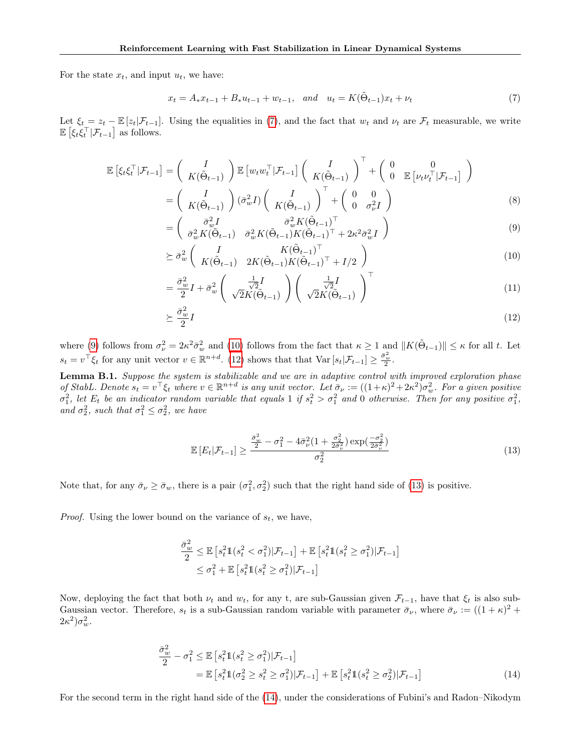For the state  $x_t$ , and input  $u_t$ , we have:

<span id="page-13-0"></span>
$$
x_t = A_* x_{t-1} + B_* u_{t-1} + w_{t-1}, \quad and \quad u_t = K(\tilde{\Theta}_{t-1}) x_t + \nu_t \tag{7}
$$

Let  $\xi_t = z_t - \mathbb{E}[z_t|\mathcal{F}_{t-1}]$ . Using the equalities in [\(7\)](#page-13-0), and the fact that  $w_t$  and  $\nu_t$  are  $\mathcal{F}_t$  measurable, we write  $\mathbb{E}\left[\xi_t\xi_t^\top|\mathcal{F}_{t-1}\right]$  as follows.

$$
\mathbb{E}\left[\xi_t\xi_t^\top|\mathcal{F}_{t-1}\right] = \begin{pmatrix} I \\ K(\tilde{\Theta}_{t-1}) \end{pmatrix} \mathbb{E}\left[w_t w_t^\top|\mathcal{F}_{t-1}\right] \begin{pmatrix} I \\ K(\tilde{\Theta}_{t-1}) \end{pmatrix}^\top + \begin{pmatrix} 0 & 0 \\ 0 & \mathbb{E}\left[v_t v_t^\top|\mathcal{F}_{t-1}\right] \end{pmatrix}
$$

$$
= \begin{pmatrix} I \\ K(\tilde{\Theta}_{t-1}) \end{pmatrix} (\bar{\sigma}_w^2 I) \begin{pmatrix} I \\ K(\tilde{\Theta}_{t-1}) \end{pmatrix}^\top + \begin{pmatrix} 0 & 0 \\ 0 & \sigma_v^2 I \end{pmatrix}
$$
(8)

<span id="page-13-1"></span>
$$
= \begin{pmatrix} \bar{\sigma}_w^2 I & \bar{\sigma}_w^2 K (\tilde{\Theta}_{t-1})^\top \\ \bar{\sigma}_w^2 K (\tilde{\Theta}_{t-1}) & \bar{\sigma}_w^2 K (\tilde{\Theta}_{t-1}) K (\tilde{\Theta}_{t-1})^\top + 2\kappa^2 \bar{\sigma}_w^2 I \end{pmatrix} \tag{9}
$$

<span id="page-13-2"></span>
$$
\geq \bar{\sigma}_w^2 \left( \begin{array}{cc} I & K(\tilde{\Theta}_{t-1})^{\top} \\ K(\tilde{\Theta}_{t-1}) & 2K(\tilde{\Theta}_{t-1})K(\tilde{\Theta}_{t-1})^{\top} + I/2 \end{array} \right) \tag{10}
$$

$$
= \frac{\bar{\sigma}_w^2}{2} I + \bar{\sigma}_w^2 \left( \frac{\frac{1}{\sqrt{2}} I}{\sqrt{2} K(\tilde{\Theta}_{t-1})} \right) \left( \frac{\frac{1}{\sqrt{2}} I}{\sqrt{2} K(\tilde{\Theta}_{t-1})} \right)^{\top}
$$
(11)

<span id="page-13-3"></span>
$$
\geq \frac{\bar{\sigma}_w^2}{2}I\tag{12}
$$

where [\(9\)](#page-13-1) follows from  $\sigma_{\nu}^2 = 2\kappa^2 \bar{\sigma}_{w}^2$  and [\(10\)](#page-13-2) follows from the fact that  $\kappa \geq 1$  and  $||K(\tilde{\Theta}_{t-1})|| \leq \kappa$  for all t. Let  $s_t = v^\top \xi_t$  for any unit vector  $v \in \mathbb{R}^{n+d}$ . [\(12\)](#page-13-3) shows that that  $\text{Var}\left[s_t|\mathcal{F}_{t-1}\right] \geq \frac{\bar{\sigma}_w^2}{2}$ .

<span id="page-13-6"></span>**Lemma B.1.** Suppose the system is stabilizable and we are in adaptive control with improved exploration phase of StabL. Denote  $s_t = v^\top \xi_t$  where  $v \in \mathbb{R}^{n+d}$  is any unit vector. Let  $\bar{\sigma}_{\nu} := ((1+\kappa)^2 + 2\kappa^2)\sigma_w^2$ . For a given positive  $\sigma_1^2$ , let  $E_t$  be an indicator random variable that equals 1 if  $s_t^2 > \sigma_1^2$  and 0 otherwise. Then for any positive  $\sigma_1^2$ , and  $\sigma_2^2$ , such that  $\sigma_1^2 \leq \sigma_2^2$ , we have

<span id="page-13-4"></span>
$$
\mathbb{E}\left[E_t|\mathcal{F}_{t-1}\right] \ge \frac{\frac{\bar{\sigma}_w^2}{2} - \sigma_1^2 - 4\bar{\sigma}_\nu^2 (1 + \frac{\sigma_2^2}{2\bar{\sigma}_\nu^2}) \exp\left(\frac{-\sigma_2^2}{2\bar{\sigma}_\nu^2}\right)}{\sigma_2^2} \tag{13}
$$

Note that, for any  $\bar{\sigma}_{\nu} \ge \bar{\sigma}_{w}$ , there is a pair  $(\sigma_1^2, \sigma_2^2)$  such that the right hand side of [\(13\)](#page-13-4) is positive.

*Proof.* Using the lower bound on the variance of  $s_t$ , we have,

$$
\frac{\bar{\sigma}_w^2}{2} \leq \mathbb{E}\left[s_t^2 \mathbb{1}(s_t^2 < \sigma_1^2) | \mathcal{F}_{t-1}\right] + \mathbb{E}\left[s_t^2 \mathbb{1}(s_t^2 \geq \sigma_1^2) | \mathcal{F}_{t-1}\right] \leq \sigma_1^2 + \mathbb{E}\left[s_t^2 \mathbb{1}(s_t^2 \geq \sigma_1^2) | \mathcal{F}_{t-1}\right]
$$

Now, deploying the fact that both  $\nu_t$  and  $w_t$ , for any t, are sub-Gaussian given  $\mathcal{F}_{t-1}$ , have that  $\xi_t$  is also sub-Gaussian vector. Therefore,  $s_t$  is a sub-Gaussian random variable with parameter  $\bar{\sigma}_{\nu}$ , where  $\bar{\sigma}_{\nu} := ((1 + \kappa)^2 +$  $2\kappa^2\sigma_w^2$ .

<span id="page-13-5"></span>
$$
\frac{\bar{\sigma}_w^2}{2} - \sigma_1^2 \le \mathbb{E} \left[ s_t^2 \mathbb{1}(s_t^2 \ge \sigma_1^2) | \mathcal{F}_{t-1} \right] \n= \mathbb{E} \left[ s_t^2 \mathbb{1}( \sigma_2^2 \ge s_t^2 \ge \sigma_1^2) | \mathcal{F}_{t-1} \right] + \mathbb{E} \left[ s_t^2 \mathbb{1}(s_t^2 \ge \sigma_2^2) | \mathcal{F}_{t-1} \right]
$$
\n(14)

For the second term in the right hand side of the [\(14\)](#page-13-5), under the considerations of Fubini's and Radon–Nikodym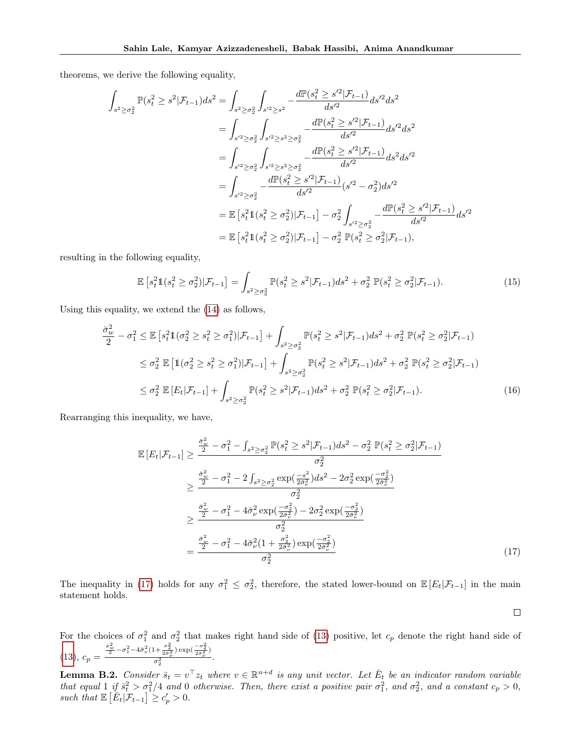theorems, we derive the following equality,

$$
\int_{s^2 \ge \sigma_2^2} \mathbb{P}(s_t^2 \ge s^2 | \mathcal{F}_{t-1}) ds^2 = \int_{s^2 \ge \sigma_2^2} \int_{s'^2 \ge s^2} -\frac{d\mathbb{P}(s_t^2 \ge s'^2 | \mathcal{F}_{t-1})}{ds'^2} ds^2
$$
  
\n
$$
= \int_{s'^2 \ge \sigma_2^2} \int_{s'^2 \ge s^2 \ge \sigma_2^2} -\frac{d\mathbb{P}(s_t^2 \ge s'^2 | \mathcal{F}_{t-1})}{ds'^2} ds^2
$$
  
\n
$$
= \int_{s'^2 \ge \sigma_2^2} \int_{s'^2 \ge s^2 \ge \sigma_2^2} -\frac{d\mathbb{P}(s_t^2 \ge s'^2 | \mathcal{F}_{t-1})}{ds'^2} ds^2 ds'^2
$$
  
\n
$$
= \int_{s'^2 \ge \sigma_2^2} -\frac{d\mathbb{P}(s_t^2 \ge s'^2 | \mathcal{F}_{t-1})}{ds'^2} (s'^2 - \sigma_2^2) ds'^2
$$
  
\n
$$
= \mathbb{E}\left[s_t^2 \mathbb{1}(s_t^2 \ge \sigma_2^2) | \mathcal{F}_{t-1}\right] -\sigma_2^2 \int_{s'^2 \ge \sigma_2^2} -\frac{d\mathbb{P}(s_t^2 \ge s'^2 | \mathcal{F}_{t-1})}{ds'^2}
$$
  
\n
$$
= \mathbb{E}\left[s_t^2 \mathbb{1}(s_t^2 \ge \sigma_2^2) | \mathcal{F}_{t-1}\right] -\sigma_2^2 \mathbb{P}(s_t^2 \ge \sigma_2^2 | \mathcal{F}_{t-1}),
$$

resulting in the following equality,

$$
\mathbb{E}\left[s_t^2 \mathbb{1}(s_t^2 \ge \sigma_2^2)|\mathcal{F}_{t-1}\right] = \int_{s^2 \ge \sigma_2^2} \mathbb{P}(s_t^2 \ge s^2|\mathcal{F}_{t-1})ds^2 + \sigma_2^2 \mathbb{P}(s_t^2 \ge \sigma_2^2|\mathcal{F}_{t-1}).\tag{15}
$$

Using this equality, we extend the [\(14\)](#page-13-5) as follows,

$$
\frac{\bar{\sigma}_{w}^{2}}{2} - \sigma_{1}^{2} \leq \mathbb{E}\left[s_{t}^{2}\mathbb{1}(\sigma_{2}^{2} \geq s_{t}^{2} \geq \sigma_{1}^{2})|\mathcal{F}_{t-1}\right] + \int_{s^{2} \geq \sigma_{2}^{2}} \mathbb{P}(s_{t}^{2} \geq s^{2}|\mathcal{F}_{t-1})ds^{2} + \sigma_{2}^{2}\mathbb{P}(s_{t}^{2} \geq \sigma_{2}^{2}|\mathcal{F}_{t-1})
$$
\n
$$
\leq \sigma_{2}^{2} \mathbb{E}\left[\mathbb{1}(\sigma_{2}^{2} \geq s_{t}^{2} \geq \sigma_{1}^{2})|\mathcal{F}_{t-1}\right] + \int_{s^{2} \geq \sigma_{2}^{2}} \mathbb{P}(s_{t}^{2} \geq s^{2}|\mathcal{F}_{t-1})ds^{2} + \sigma_{2}^{2}\mathbb{P}(s_{t}^{2} \geq \sigma_{2}^{2}|\mathcal{F}_{t-1})
$$
\n
$$
\leq \sigma_{2}^{2} \mathbb{E}\left[E_{t}|\mathcal{F}_{t-1}\right] + \int_{s^{2} \geq \sigma_{2}^{2}} \mathbb{P}(s_{t}^{2} \geq s^{2}|\mathcal{F}_{t-1})ds^{2} + \sigma_{2}^{2}\mathbb{P}(s_{t}^{2} \geq \sigma_{2}^{2}|\mathcal{F}_{t-1}). \tag{16}
$$

Rearranging this inequality, we have,

$$
\mathbb{E}\left[E_{t}|\mathcal{F}_{t-1}\right] \geq \frac{\frac{\bar{\sigma}_{w}^{2}}{2} - \sigma_{1}^{2} - \int_{s^{2} \geq \sigma_{2}^{2}} \mathbb{P}(s_{t}^{2} \geq s^{2}|\mathcal{F}_{t-1}) ds^{2} - \sigma_{2}^{2} \mathbb{P}(s_{t}^{2} \geq \sigma_{2}^{2}|\mathcal{F}_{t-1})}{\sigma_{2}^{2}}
$$
\n
$$
\geq \frac{\frac{\bar{\sigma}_{w}^{2}}{2} - \sigma_{1}^{2} - 2 \int_{s^{2} \geq \sigma_{2}^{2}} \exp\left(\frac{-s^{2}}{2\sigma_{\nu}^{2}}\right) ds^{2} - 2\sigma_{2}^{2} \exp\left(\frac{-\sigma_{2}^{2}}{2\sigma_{\nu}^{2}}\right)}{\sigma_{2}^{2}}
$$
\n
$$
\geq \frac{\frac{\bar{\sigma}_{w}^{2}}{2} - \sigma_{1}^{2} - 4\bar{\sigma}_{\nu}^{2} \exp\left(\frac{-\sigma_{2}^{2}}{2\sigma_{\nu}^{2}}\right) - 2\sigma_{2}^{2} \exp\left(\frac{-\sigma_{2}^{2}}{2\sigma_{\nu}^{2}}\right)}{\sigma_{2}^{2}}
$$
\n
$$
= \frac{\frac{\bar{\sigma}_{w}^{2}}{2} - \sigma_{1}^{2} - 4\bar{\sigma}_{\nu}^{2} \left(1 + \frac{\sigma_{2}^{2}}{2\sigma_{\nu}^{2}}\right) \exp\left(\frac{-\sigma_{2}^{2}}{2\sigma_{\nu}^{2}}\right)}{\sigma_{2}^{2}}
$$
\n
$$
(17)
$$

The inequality in [\(17\)](#page-14-0) holds for any  $\sigma_1^2 \leq \sigma_2^2$ , therefore, the stated lower-bound on  $\mathbb{E}[E_t|\mathcal{F}_{t-1}]$  in the main statement holds.

<span id="page-14-2"></span><span id="page-14-1"></span><span id="page-14-0"></span> $\Box$ 

For the choices of  $\sigma_1^2$  and  $\sigma_2^2$  that makes right hand side of [\(13\)](#page-13-4) positive, let  $c_p$  denote the right hand side of  $(13), c_p =$  $(13), c_p =$  $\frac{\sigma_w^2}{2} - \sigma_1^2 - 4\bar{\sigma}_\nu^2 \left(1 + \frac{\sigma_2^2}{2\bar{\sigma}_\nu^2}\right) \exp\left(\frac{-\sigma_2^2}{2\bar{\sigma}_\nu^2}\right)$  $\frac{2\bar{\sigma}_{\tilde{\nu}}^2}{\sigma_2^2}$ . 2

<span id="page-14-3"></span>**Lemma B.2.** Consider  $\bar{s}_t = v^\top z_t$  where  $v \in \mathbb{R}^{n+d}$  is any unit vector. Let  $\bar{E}_t$  be an indicator random variable that equal  $1$  if  $\bar{s}_t^2 > \sigma_1^2/4$  and 0 otherwise. Then, there exist a positive pair  $\sigma_1^2$ , and  $\sigma_2^2$ , and a constant  $c_p > 0$ , such that  $\mathbb{E}\left[\bar{E}_t|\mathcal{F}_{t-1}\right] \geq c_p' > 0.$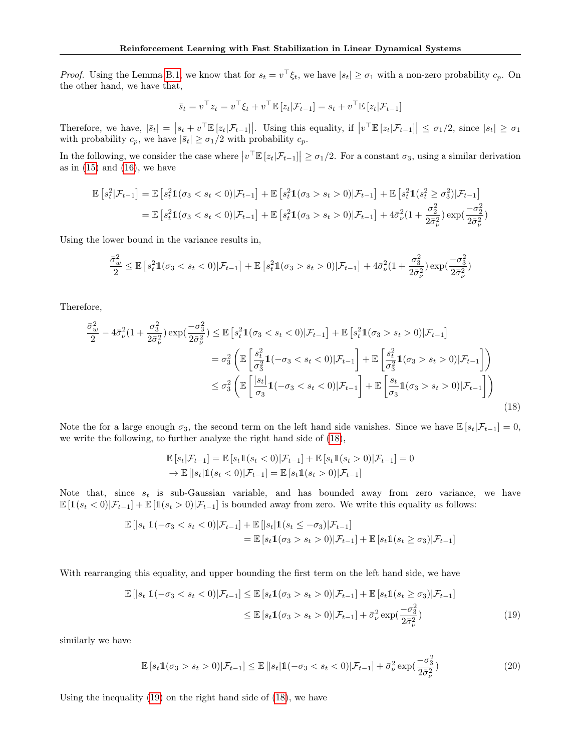*Proof.* Using the Lemma [B.1,](#page-13-6) we know that for  $s_t = v^\top \xi_t$ , we have  $|s_t| \geq \sigma_1$  with a non-zero probability  $c_p$ . On the other hand, we have that,

$$
\bar{s}_t = v^\top z_t = v^\top \xi_t + v^\top \mathbb{E} [z_t | \mathcal{F}_{t-1}] = s_t + v^\top \mathbb{E} [z_t | \mathcal{F}_{t-1}]
$$

Therefore, we have,  $|\bar{s}_t| = |s_t + v^\top \mathbb{E} [z_t | \mathcal{F}_{t-1}]|$ . Using this equality, if  $|v^\top \mathbb{E} [z_t | \mathcal{F}_{t-1}] | \leq \sigma_1/2$ , since  $|s_t| \geq \sigma_1$ with probability  $c_p$ , we have  $|\bar{s}_t| \geq \sigma_1/2$  with probability  $c_p$ .

In the following, we consider the case where  $|v^\top \mathbb{E} [z_t | \mathcal{F}_{t-1}]| \geq \sigma_1/2$ . For a constant  $\sigma_3$ , using a similar derivation as in  $(15)$  and  $(16)$ , we have

$$
\mathbb{E}\left[s_t^2|\mathcal{F}_{t-1}\right] = \mathbb{E}\left[s_t^2\mathbb{1}(\sigma_3 < s_t < 0)|\mathcal{F}_{t-1}\right] + \mathbb{E}\left[s_t^2\mathbb{1}(\sigma_3 > s_t > 0)|\mathcal{F}_{t-1}\right] + \mathbb{E}\left[s_t^2\mathbb{1}(s_t^2 \geq \sigma_3^2)|\mathcal{F}_{t-1}\right]
$$
\n
$$
= \mathbb{E}\left[s_t^2\mathbb{1}(\sigma_3 < s_t < 0)|\mathcal{F}_{t-1}\right] + \mathbb{E}\left[s_t^2\mathbb{1}(\sigma_3 > s_t > 0)|\mathcal{F}_{t-1}\right] + 4\bar{\sigma}_\nu^2(1 + \frac{\sigma_2^2}{2\bar{\sigma}_\nu^2})\exp(\frac{-\sigma_2^2}{2\bar{\sigma}_\nu^2})
$$

Using the lower bound in the variance results in,

$$
\frac{\bar{\sigma}_w^2}{2} \leq \mathbb{E}\left[s_t^2 \mathbb{1}(\sigma_3 < s_t < 0) | \mathcal{F}_{t-1}\right] + \mathbb{E}\left[s_t^2 \mathbb{1}(\sigma_3 > s_t > 0) | \mathcal{F}_{t-1}\right] + 4\bar{\sigma}_\nu^2 (1 + \frac{\sigma_3^2}{2\bar{\sigma}_\nu^2}) \exp(\frac{-\sigma_3^2}{2\bar{\sigma}_\nu^2})
$$

Therefore,

$$
\frac{\bar{\sigma}_{w}^{2}}{2} - 4\bar{\sigma}_{\nu}^{2}(1 + \frac{\sigma_{3}^{2}}{2\bar{\sigma}_{\nu}^{2}}) \exp\left(\frac{-\sigma_{3}^{2}}{2\bar{\sigma}_{\nu}^{2}}\right) \leq \mathbb{E}\left[s_{t}^{2}\mathbb{1}(\sigma_{3} < s_{t} < 0)|\mathcal{F}_{t-1}\right] + \mathbb{E}\left[s_{t}^{2}\mathbb{1}(\sigma_{3} > s_{t} > 0)|\mathcal{F}_{t-1}\right]
$$
\n
$$
= \sigma_{3}^{2}\left(\mathbb{E}\left[\frac{s_{t}^{2}}{\sigma_{3}^{2}}\mathbb{1}(-\sigma_{3} < s_{t} < 0)|\mathcal{F}_{t-1}\right] + \mathbb{E}\left[\frac{s_{t}^{2}}{\sigma_{3}^{2}}\mathbb{1}(\sigma_{3} > s_{t} > 0)|\mathcal{F}_{t-1}\right]\right)
$$
\n
$$
\leq \sigma_{3}^{2}\left(\mathbb{E}\left[\frac{|s_{t}|}{\sigma_{3}}\mathbb{1}(-\sigma_{3} < s_{t} < 0)|\mathcal{F}_{t-1}\right] + \mathbb{E}\left[\frac{s_{t}}{\sigma_{3}}\mathbb{1}(\sigma_{3} > s_{t} > 0)|\mathcal{F}_{t-1}\right]\right)
$$
\n(18)

Note the for a large enough  $\sigma_3$ , the second term on the left hand side vanishes. Since we have  $\mathbb{E}[s_t|\mathcal{F}_{t-1}] = 0$ , we write the following, to further analyze the right hand side of [\(18\)](#page-15-0),

<span id="page-15-0"></span>
$$
\mathbb{E}[s_t|\mathcal{F}_{t-1}] = \mathbb{E}[s_t \mathbb{1}(s_t < 0)|\mathcal{F}_{t-1}] + \mathbb{E}[s_t \mathbb{1}(s_t > 0)|\mathcal{F}_{t-1}] = 0
$$
  
\n
$$
\rightarrow \mathbb{E}[s_t | \mathbb{1}(s_t < 0)|\mathcal{F}_{t-1}] = \mathbb{E}[s_t \mathbb{1}(s_t > 0)|\mathcal{F}_{t-1}]
$$

Note that, since  $s_t$  is sub-Gaussian variable, and has bounded away from zero variance, we have  $\mathbb{E} [1(s_t < 0)|\mathcal{F}_{t-1}] + \mathbb{E} [1(s_t > 0)|\mathcal{F}_{t-1}]$  is bounded away from zero. We write this equality as follows:

$$
\mathbb{E} [ |s_t| 1(-\sigma_3 < s_t < 0) | \mathcal{F}_{t-1}] + \mathbb{E} [ |s_t| 1(s_t \leq -\sigma_3) | \mathcal{F}_{t-1}] \n= \mathbb{E} [s_t 1(\sigma_3 > s_t > 0) | \mathcal{F}_{t-1}] + \mathbb{E} [s_t 1(s_t \geq \sigma_3) | \mathcal{F}_{t-1}]
$$

With rearranging this equality, and upper bounding the first term on the left hand side, we have

$$
\mathbb{E}\left[|s_t|\mathbb{1}(-\sigma_3 < s_t < 0)|\mathcal{F}_{t-1}\right] \le \mathbb{E}\left[s_t\mathbb{1}(\sigma_3 > s_t > 0)|\mathcal{F}_{t-1}\right] + \mathbb{E}\left[s_t\mathbb{1}(s_t \ge \sigma_3)|\mathcal{F}_{t-1}\right] \\
 \le \mathbb{E}\left[s_t\mathbb{1}(\sigma_3 > s_t > 0)|\mathcal{F}_{t-1}\right] + \bar{\sigma}_\nu^2 \exp(\frac{-\sigma_3^2}{2\bar{\sigma}_\nu^2})\n \tag{19}
$$

similarly we have

<span id="page-15-1"></span>
$$
\mathbb{E}\left[s_t \mathbb{1}(\sigma_3 > s_t > 0)|\mathcal{F}_{t-1}\right] \le \mathbb{E}\left[|s_t| \mathbb{1}(-\sigma_3 < s_t < 0)|\mathcal{F}_{t-1}\right] + \bar{\sigma}_\nu^2 \exp(\frac{-\sigma_3^2}{2\bar{\sigma}_\nu^2})\tag{20}
$$

Using the inequality [\(19\)](#page-15-1) on the right hand side of [\(18\)](#page-15-0), we have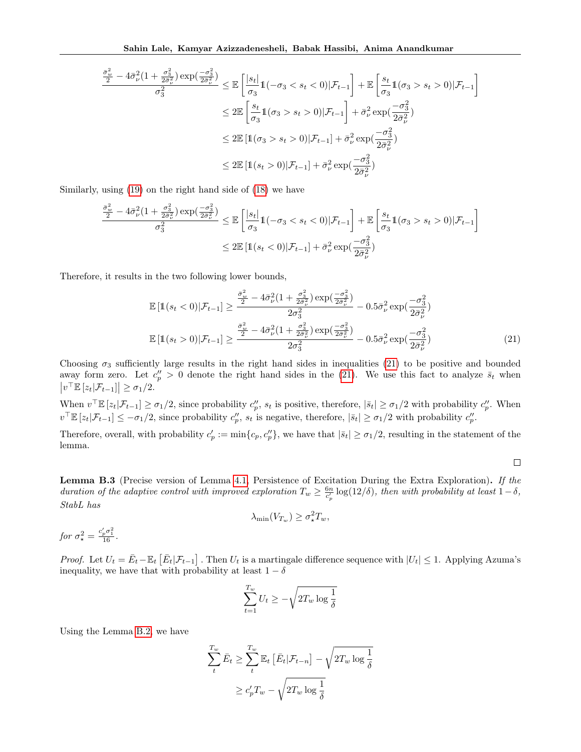$$
\frac{\frac{\bar{\sigma}_w^2}{2} - 4\bar{\sigma}_\nu^2 (1 + \frac{\sigma_3^2}{2\bar{\sigma}_\nu^2}) \exp\left(\frac{-\sigma_3^2}{2\bar{\sigma}_\nu^2}\right)}{\sigma_3^2} \leq \mathbb{E}\left[\frac{|s_t|}{\sigma_3} \mathbb{1}(-\sigma_3 < s_t < 0)|\mathcal{F}_{t-1}\right] + \mathbb{E}\left[\frac{s_t}{\sigma_3} \mathbb{1}(\sigma_3 > s_t > 0)|\mathcal{F}_{t-1}\right]
$$
\n
$$
\leq 2\mathbb{E}\left[\frac{s_t}{\sigma_3} \mathbb{1}(\sigma_3 > s_t > 0)|\mathcal{F}_{t-1}\right] + \bar{\sigma}_\nu^2 \exp\left(\frac{-\sigma_3^2}{2\bar{\sigma}_\nu^2}\right)
$$
\n
$$
\leq 2\mathbb{E}\left[\mathbb{1}(\sigma_3 > s_t > 0)|\mathcal{F}_{t-1}\right] + \bar{\sigma}_\nu^2 \exp\left(\frac{-\sigma_3^2}{2\bar{\sigma}_\nu^2}\right)
$$
\n
$$
\leq 2\mathbb{E}\left[\mathbb{1}(s_t > 0)|\mathcal{F}_{t-1}\right] + \bar{\sigma}_\nu^2 \exp\left(\frac{-\sigma_3^2}{2\bar{\sigma}_\nu^2}\right)
$$

Similarly, using [\(19\)](#page-15-1) on the right hand side of [\(18\)](#page-15-0) we have

$$
\frac{\frac{\bar{\sigma}_w^2}{2} - 4\bar{\sigma}_\nu^2 (1 + \frac{\sigma_3^2}{2\bar{\sigma}_\nu^2}) \exp\left(\frac{-\sigma_3^2}{2\bar{\sigma}_\nu^2}\right)}{\sigma_3^2} \leq \mathbb{E}\left[\frac{|s_t|}{\sigma_3} \mathbb{1}(-\sigma_3 < s_t < 0)|\mathcal{F}_{t-1}\right] + \mathbb{E}\left[\frac{s_t}{\sigma_3} \mathbb{1}(\sigma_3 > s_t > 0)|\mathcal{F}_{t-1}\right]
$$
\n
$$
\leq 2\mathbb{E}\left[\mathbb{1}(s_t < 0)|\mathcal{F}_{t-1}\right] + \bar{\sigma}_\nu^2 \exp\left(\frac{-\sigma_3^2}{2\bar{\sigma}_\nu^2}\right)
$$

Therefore, it results in the two following lower bounds,

$$
\mathbb{E}\left[\mathbb{1}(s_t < 0)|\mathcal{F}_{t-1}\right] \ge \frac{\frac{\bar{\sigma}_w^2}{2} - 4\bar{\sigma}_\nu^2 (1 + \frac{\sigma_3^2}{2\bar{\sigma}_\nu^2}) \exp\left(\frac{-\sigma_3^2}{2\bar{\sigma}_\nu^2}\right)}{2\sigma_3^2} - 0.5\bar{\sigma}_\nu^2 \exp\left(\frac{-\sigma_3^2}{2\bar{\sigma}_\nu^2}\right)
$$

$$
\mathbb{E}\left[\mathbb{1}(s_t > 0)|\mathcal{F}_{t-1}\right] \ge \frac{\frac{\bar{\sigma}_w^2}{2} - 4\bar{\sigma}_\nu^2 (1 + \frac{\sigma_3^2}{2\bar{\sigma}_\nu^2}) \exp\left(\frac{-\sigma_3^2}{2\bar{\sigma}_\nu^2}\right)}{2\sigma_3^2} - 0.5\bar{\sigma}_\nu^2 \exp\left(\frac{-\sigma_3^2}{2\bar{\sigma}_\nu^2}\right) \tag{21}
$$

Choosing  $\sigma_3$  sufficiently large results in the right hand sides in inequalities [\(21\)](#page-16-1) to be positive and bounded away form zero. Let  $c_p'' > 0$  denote the right hand sides in the [\(21\)](#page-16-1). We use this fact to analyze  $\bar{s}_t$  when  $|v^\top \mathbb{E} [z_t | \mathcal{F}_{t-1}]| \geq \sigma_1/2.$ 

When  $v^{\top} \mathbb{E} [z_t | \mathcal{F}_{t-1}] \geq \sigma_1/2$ , since probability  $c_p''$ ,  $s_t$  is positive, therefore,  $|\bar{s}_t| \geq \sigma_1/2$  with probability  $c_p''$ . When  $v^{\top} \mathbb{E} [z_t | \mathcal{F}_{t-1}] \leq -\sigma_1/2$ , since probability  $c_p''$ ,  $s_t$  is negative, therefore,  $|\bar{s}_t| \geq \sigma_1/2$  with probability  $c_p''$ .

Therefore, overall, with probability  $c'_p := \min\{c_p, c''_p\}$ , we have that  $|\bar{s}_t| \ge \sigma_1/2$ , resulting in the statement of the lemma.

<span id="page-16-1"></span> $\Box$ 

<span id="page-16-0"></span>Lemma B.3 (Precise version of Lemma [4.1,](#page-5-1) Persistence of Excitation During the Extra Exploration). If the duration of the adaptive control with improved exploration  $T_w \geq \frac{6n}{c_p'} \log(12/\delta)$ , then with probability at least  $1-\delta$ , StabL has

$$
\lambda_{\min}(V_{T_w}) \ge \sigma_\star^2 T_w,
$$

$$
for \sigma_{\star}^2 = \frac{c_p' \sigma_1^2}{16}.
$$

*Proof.* Let  $U_t = \bar{E}_t - \mathbb{E}_t [\bar{E}_t | \mathcal{F}_{t-1}]$ . Then  $U_t$  is a martingale difference sequence with  $|U_t| \leq 1$ . Applying Azuma's inequality, we have that with probability at least  $1 - \delta$ 

$$
\sum_{t=1}^{T_w} U_t \ge -\sqrt{2T_w \log \frac{1}{\delta}}
$$

Using the Lemma [B.2,](#page-14-3) we have

$$
\sum_{t}^{T_w} \bar{E}_t \ge \sum_{t}^{T_w} \mathbb{E}_t \left[ \bar{E}_t | \mathcal{F}_{t-n} \right] - \sqrt{2T_w \log \frac{1}{\delta}}
$$

$$
\ge c_p' T_w - \sqrt{2T_w \log \frac{1}{\delta}}
$$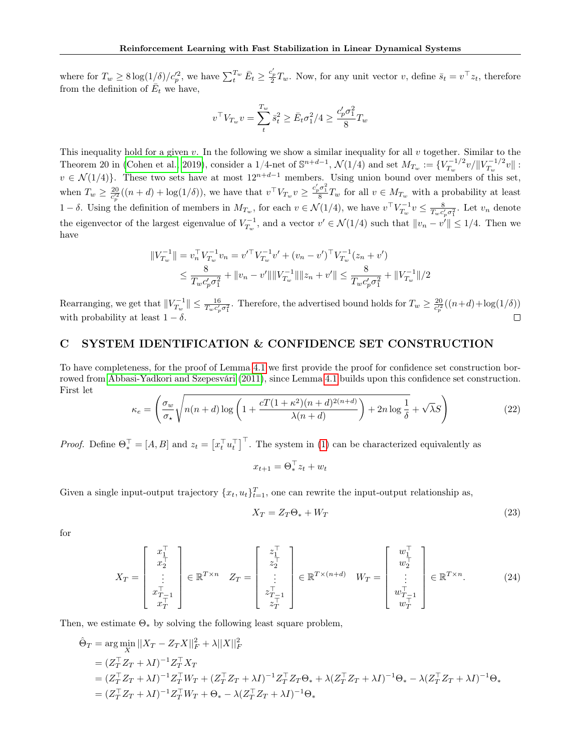where for  $T_w \ge 8 \log(1/\delta)/c_p^2$ , we have  $\sum_t^{T_w} \bar{E}_t \ge \frac{c_p'}{2} T_w$ . Now, for any unit vector v, define  $\bar{s}_t = v^\top z_t$ , therefore from the definition of  $\overline{E}_t$  we have,

$$
v^\top V_{T_w} v = \sum_t^{T_w} \bar{s}_t^2 \ge \bar{E}_t \sigma_1^2/4 \ge \frac{c_p' \sigma_1^2}{8} T_w
$$

This inequality hold for a given v. In the following we show a similar inequality for all v together. Similar to the Theorem 20 in [\(Cohen et al., 2019\)](#page-9-14), consider a 1/4-net of  $\mathbb{S}^{n+d-1}$ ,  $\mathcal{N}(1/4)$  and set  $M_{T_w} := \{V_{T_w}^{-1/2}$  $T_w^{-1/2}v/\|V_{T_w}^{-1/2}\|$  $T_w^{-1/2}v\|:$  $v \in \mathcal{N}(1/4)$ . These two sets have at most  $12^{n+d-1}$  members. Using union bound over members of this set, when  $T_w \geq \frac{20}{c_p^2}((n+d) + \log(1/\delta))$ , we have that  $v^{\top}V_{T_w}v \geq \frac{c_p'\sigma_1^2}{8}T_w$  for all  $v \in M_{T_w}$  with a probability at least  $1-\delta$ . Using the definition of members in  $M_{T_w}$ , for each  $v \in \mathcal{N}(1/4)$ , we have  $v^\top V_{T_w}^{-1} v \leq \frac{8}{T_w c_p' \sigma_1^2}$ . Let  $v_n$  denote the eigenvector of the largest eigenvalue of  $V_{T_w}^{-1}$ , and a vector  $v' \in \mathcal{N}(1/4)$  such that  $||v_n - v'|| \leq 1/4$ . Then we have

$$
||V_{T_w}^{-1}|| = v_n^{\top} V_{T_w}^{-1} v_n = v'^{\top} V_{T_w}^{-1} v' + (v_n - v')^{\top} V_{T_w}^{-1} (z_n + v')
$$
  

$$
\leq \frac{8}{T_w c_p' \sigma_1^2} + ||v_n - v'|| ||V_{T_w}^{-1}|| ||z_n + v'|| \leq \frac{8}{T_w c_p' \sigma_1^2} + ||V_{T_w}^{-1}||/2
$$

Rearranging, we get that  $||V_{T_w}^{-1}|| \le \frac{16}{T_w c'_p \sigma_1^2}$ . Therefore, the advertised bound holds for  $T_w \ge \frac{20}{c'^2_p}((n+d)+\log(1/\delta))$ with probability at least  $1 - \delta$ .  $\Box$ 

## <span id="page-17-0"></span>C SYSTEM IDENTIFICATION & CONFIDENCE SET CONSTRUCTION

To have completeness, for the proof of Lemma [4.1](#page-5-2) we first provide the proof for confidence set construction borrowed from [Abbasi-Yadkori and Szepesvári](#page-9-1) [\(2011\)](#page-9-1), since Lemma [4.1](#page-5-2) builds upon this confidence set construction. First let

$$
\kappa_e = \left(\frac{\sigma_w}{\sigma_\star} \sqrt{n(n+d)\log\left(1 + \frac{cT(1+\kappa^2)(n+d)^{2(n+d)}}{\lambda(n+d)}\right) + 2n\log\frac{1}{\delta}} + \sqrt{\lambda}S\right)
$$
(22)

*Proof.* Define  $\Theta_*^{\top} = [A, B]$  and  $z_t = [x_t^{\top} u_t^{\top}]^{\top}$ . The system in [\(1\)](#page-2-0) can be characterized equivalently as

$$
x_{t+1} = \Theta_*^\top z_t + w_t
$$

Given a single input-output trajectory  $\{x_t, u_t\}_{t=1}^T$ , one can rewrite the input-output relationship as,

$$
X_T = Z_T \Theta_* + W_T \tag{23}
$$

for

$$
X_T = \begin{bmatrix} x_1^\top \\ x_2^\top \\ \vdots \\ x_T^{\top} \\ x_T^{\top} \end{bmatrix} \in \mathbb{R}^{T \times n} \quad Z_T = \begin{bmatrix} z_1^\top \\ z_2^\top \\ \vdots \\ z_T^{\top} \\ z_T^{\top} \end{bmatrix} \in \mathbb{R}^{T \times (n+d)} \quad W_T = \begin{bmatrix} w_1^\top \\ w_2^\top \\ \vdots \\ w_T^{\top} \\ w_T^{\top} \end{bmatrix} \in \mathbb{R}^{T \times n}. \tag{24}
$$

Then, we estimate  $\Theta_*$  by solving the following least square problem,

$$
\hat{\Theta}_T = \arg \min_X ||X_T - Z_T X||_F^2 + \lambda ||X||_F^2
$$
  
=  $(Z_T^\top Z_T + \lambda I)^{-1} Z_T^\top X_T$   
=  $(Z_T^\top Z_T + \lambda I)^{-1} Z_T^\top W_T + (Z_T^\top Z_T + \lambda I)^{-1} Z_T^\top Z_T \Theta_* + \lambda (Z_T^\top Z_T + \lambda I)^{-1} \Theta_* - \lambda (Z_T^\top Z_T + \lambda I)^{-1} \Theta_*$   
=  $(Z_T^\top Z_T + \lambda I)^{-1} Z_T^\top W_T + \Theta_* - \lambda (Z_T^\top Z_T + \lambda I)^{-1} \Theta_*$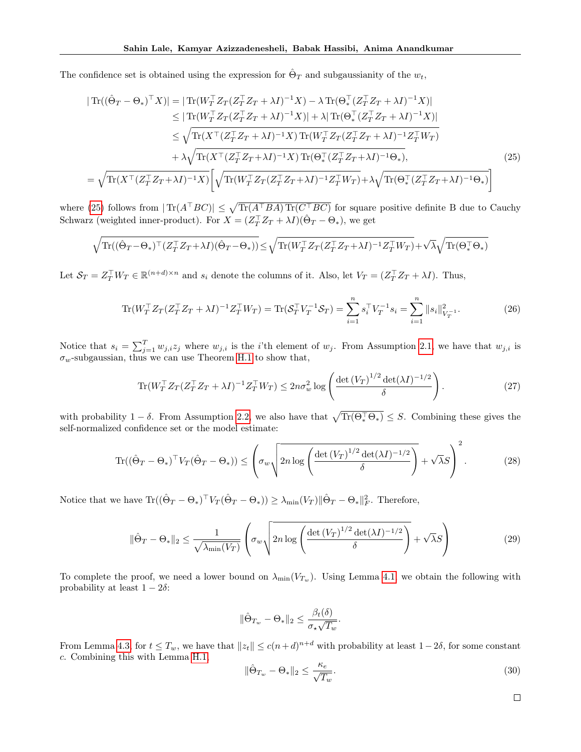The confidence set is obtained using the expression for  $\hat{\Theta}_T$  and subgaussianity of the  $w_t$ ,

$$
|\operatorname{Tr}((\hat{\Theta}_{T} - \Theta_{*})^{\top}X)| = |\operatorname{Tr}(W_{T}^{\top}Z_{T}(Z_{T}^{\top}Z_{T} + \lambda I)^{-1}X) - \lambda \operatorname{Tr}(\Theta_{*}^{\top}(Z_{T}^{\top}Z_{T} + \lambda I)^{-1}X)|
$$
  
\n
$$
\leq |\operatorname{Tr}(W_{T}^{\top}Z_{T}(Z_{T}^{\top}Z_{T} + \lambda I)^{-1}X)| + \lambda |\operatorname{Tr}(\Theta_{*}^{\top}(Z_{T}^{\top}Z_{T} + \lambda I)^{-1}X)|
$$
  
\n
$$
\leq \sqrt{\operatorname{Tr}(X^{\top}(Z_{T}^{\top}Z_{T} + \lambda I)^{-1}X) \operatorname{Tr}(W_{T}^{\top}Z_{T}(Z_{T}^{\top}Z_{T} + \lambda I)^{-1}Z_{T}^{\top}W_{T})}
$$
  
\n
$$
+ \lambda \sqrt{\operatorname{Tr}(X^{\top}(Z_{T}^{\top}Z_{T} + \lambda I)^{-1}X) \operatorname{Tr}(\Theta_{*}^{\top}(Z_{T}^{\top}Z_{T} + \lambda I)^{-1}\Theta_{*})},
$$
  
\n
$$
= \sqrt{\operatorname{Tr}(X^{\top}(Z_{T}^{\top}Z_{T} + \lambda I)^{-1}X)} \left[ \sqrt{\operatorname{Tr}(W_{T}^{\top}Z_{T}(Z_{T}^{\top}Z_{T} + \lambda I)^{-1}Z_{T}^{\top}W_{T})} + \lambda \sqrt{\operatorname{Tr}(\Theta_{*}^{\top}(Z_{T}^{\top}Z_{T} + \lambda I)^{-1}\Theta_{*})} \right]
$$
(25)

where [\(25\)](#page-18-0) follows from  $|\text{Tr}(A^{\top}BC)| \leq \sqrt{\text{Tr}(A^{\top}BA)\text{Tr}(C^{\top}BC)}$  for square positive definite B due to Cauchy Schwarz (weighted inner-product). For  $X = (Z_T^\top Z_T + \lambda I)(\hat{\Theta}_T - \Theta_*)$ , we get

$$
\sqrt{\mathrm{Tr}((\hat{\Theta}_{T}-\Theta_{*})^{\top}(Z_{T}^{\top}Z_{T}+\lambda I)(\hat{\Theta}_{T}-\Theta_{*}))} \leq \sqrt{\mathrm{Tr}(W_{T}^{\top}Z_{T}(Z_{T}^{\top}Z_{T}+\lambda I)^{-1}Z_{T}^{\top}W_{T})}+\sqrt{\lambda}\sqrt{\mathrm{Tr}(\Theta_{*}^{\top}\Theta_{*})}
$$

Let  $\mathcal{S}_T = Z_T^\top W_T \in \mathbb{R}^{(n+d)\times n}$  and  $s_i$  denote the columns of it. Also, let  $V_T = (Z_T^\top Z_T + \lambda I)$ . Thus,

<span id="page-18-0"></span>
$$
\text{Tr}(W_T^\top Z_T (Z_T^\top Z_T + \lambda I)^{-1} Z_T^\top W_T) = \text{Tr}(\mathcal{S}_T^\top V_T^{-1} \mathcal{S}_T) = \sum_{i=1}^n s_i^\top V_T^{-1} s_i = \sum_{i=1}^n \|s_i\|_{V_T^{-1}}^2. \tag{26}
$$

Notice that  $s_i = \sum_{j=1}^T w_{j,i} z_j$  where  $w_{j,i}$  is the *i*'th element of  $w_j$ . From Assumption [2.1,](#page-2-3) we have that  $w_{j,i}$  is  $\sigma_w$ -subgaussian, thus we can use Theorem [H.1](#page-29-2) to show that,

$$
\text{Tr}(W_T^\top Z_T (Z_T^\top Z_T + \lambda I)^{-1} Z_T^\top W_T) \le 2n\sigma_w^2 \log \left( \frac{\det \left( V_T \right)^{1/2} \det(\lambda I)^{-1/2}}{\delta} \right). \tag{27}
$$

with probability  $1 - \delta$ . From Assumption [2.2,](#page-3-1) we also have that  $\sqrt{\text{Tr}(\Theta_*^{\top} \Theta_*)} \leq S$ . Combining these gives the self-normalized confidence set or the model estimate:

$$
\operatorname{Tr}((\hat{\Theta}_T - \Theta_*)^\top V_T(\hat{\Theta}_T - \Theta_*)) \le \left(\sigma_w \sqrt{2n \log \left(\frac{\det \left(V_T\right)^{1/2} \det(\lambda I)^{-1/2}}{\delta}\right)} + \sqrt{\lambda} S\right)^2. \tag{28}
$$

Notice that we have  $\text{Tr}((\hat{\Theta}_T - \Theta_*)^{\top} V_T(\hat{\Theta}_T - \Theta_*)) \geq \lambda_{\min}(V_T) ||\hat{\Theta}_T - \Theta_*||_F^2$ . Therefore,

$$
\|\hat{\Theta}_T - \Theta_*\|_2 \le \frac{1}{\sqrt{\lambda_{\min}(V_T)}} \left( \sigma_w \sqrt{2n \log \left( \frac{\det \left( V_T \right)^{1/2} \det (\lambda I)^{-1/2}}{\delta} \right)} + \sqrt{\lambda} S \right) \tag{29}
$$

To complete the proof, we need a lower bound on  $\lambda_{\min}(V_{T_w})$ . Using Lemma [4.1,](#page-5-1) we obtain the following with probability at least  $1 - 2\delta$ :

$$
\|\hat{\Theta}_{T_w} - \Theta_*\|_2 \le \frac{\beta_t(\delta)}{\sigma_* \sqrt{T_w}}.
$$

From Lemma [4.3,](#page-5-5) for  $t \leq T_w$ , we have that  $||z_t|| \leq c(n+d)^{n+d}$  with probability at least  $1-2\delta$ , for some constant c. Combining this with Lemma [H.1,](#page-29-3)

$$
\|\hat{\Theta}_{T_w} - \Theta_*\|_2 \le \frac{\kappa_e}{\sqrt{T_w}}.\tag{30}
$$

 $\Box$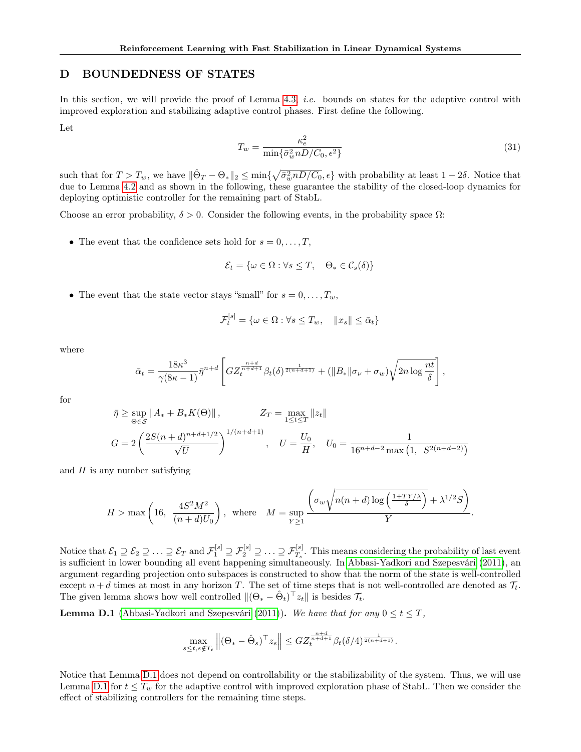# <span id="page-19-0"></span>D BOUNDEDNESS OF STATES

In this section, we will provide the proof of Lemma [4.3,](#page-5-5) *i.e.* bounds on states for the adaptive control with improved exploration and stabilizing adaptive control phases. First define the following.

Let

<span id="page-19-1"></span>
$$
T_w = \frac{\kappa_e^2}{\min\{\bar{\sigma}_w^2 n D / C_0, \epsilon^2\}}\tag{31}
$$

such that for  $T > T_w$ , we have  $\|\hat{\Theta}_T - \Theta_*\|_2 \le \min\{\sqrt{\bar{\sigma}_w^2 n D/C_0}, \epsilon\}$  with probability at least  $1 - 2\delta$ . Notice that due to Lemma [4.2](#page-5-0) and as shown in the following, these guarantee the stability of the closed-loop dynamics for deploying optimistic controller for the remaining part of StabL.

Choose an error probability,  $\delta > 0$ . Consider the following events, in the probability space  $\Omega$ :

• The event that the confidence sets hold for  $s = 0, \ldots, T$ ,

$$
\mathcal{E}_t = \{ \omega \in \Omega : \forall s \le T, \quad \Theta_* \in \mathcal{C}_s(\delta) \}
$$

• The event that the state vector stays "small" for  $s = 0, \ldots, T_w$ ,

$$
\mathcal{F}_t^{[s]} = \{ \omega \in \Omega : \forall s \le T_w, \quad ||x_s|| \le \bar{\alpha}_t \}
$$

where

$$
\bar{\alpha}_t = \frac{18\kappa^3}{\gamma(8\kappa - 1)} \bar{\eta}^{n+d} \left[ G Z_t^{\frac{n+d}{n+d+1}} \beta_t(\delta)^{\frac{1}{2(n+d+1)}} + (\|B_*\| \sigma_\nu + \sigma_w) \sqrt{2n \log \frac{nt}{\delta}} \right],
$$

for

$$
\bar{\eta} \ge \sup_{\Theta \in \mathcal{S}} \|A_* + B_* K(\Theta)\|, \qquad Z_T = \max_{1 \le t \le T} \|z_t\|
$$
  

$$
G = 2 \left( \frac{2S(n+d)^{n+d+1/2}}{\sqrt{U}} \right)^{1/(n+d+1)}, \quad U = \frac{U_0}{H}, \quad U_0 = \frac{1}{16^{n+d-2} \max\left(1, S^{2(n+d-2)}\right)}
$$

and  $H$  is any number satisfying

$$
H > \max\left(16, \frac{4S^2M^2}{(n+d)U_0}\right), \text{ where } M = \sup_{Y \ge 1} \frac{\left(\sigma_w \sqrt{n(n+d)\log\left(\frac{1+TY/\lambda}{\delta}\right)} + \lambda^{1/2}S\right)}{Y}.
$$

Notice that  $\mathcal{E}_1 \supseteq \mathcal{E}_2 \supseteq \ldots \supseteq \mathcal{E}_T$  and  $\mathcal{F}_1^{[s]} \supseteq \mathcal{F}_2^{[s]} \supseteq \ldots \supseteq \mathcal{F}_{T_s}^{[s]}$ . This means considering the probability of last event is sufficient in lower bounding all event happening simultaneously. In [Abbasi-Yadkori and Szepesvári](#page-9-1) [\(2011\)](#page-9-1), an argument regarding projection onto subspaces is constructed to show that the norm of the state is well-controlled except  $n + d$  times at most in any horizon T. The set of time steps that is not well-controlled are denoted as  $\mathcal{T}_t$ . The given lemma shows how well controlled  $\|(\Theta_* - \hat{\Theta}_t)^{\top} z_t\|$  is besides  $\mathcal{T}_t$ .

<span id="page-19-2"></span>**Lemma D.1** [\(Abbasi-Yadkori and Szepesvári](#page-9-1) [\(2011\)](#page-9-1)). We have that for any  $0 \le t \le T$ ,

$$
\max_{s\leq t, s\notin T_t} \left\| (\Theta_* - \hat{\Theta}_s)^\top z_s \right\| \leq G Z_t^{\frac{n+d}{n+d+1}} \beta_t(\delta/4)^{\frac{1}{2(n+d+1)}}.
$$

Notice that Lemma [D.1](#page-19-2) does not depend on controllability or the stabilizability of the system. Thus, we will use Lemma [D.1](#page-19-2) for  $t \leq T_w$  for the adaptive control with improved exploration phase of StabL. Then we consider the effect of stabilizing controllers for the remaining time steps.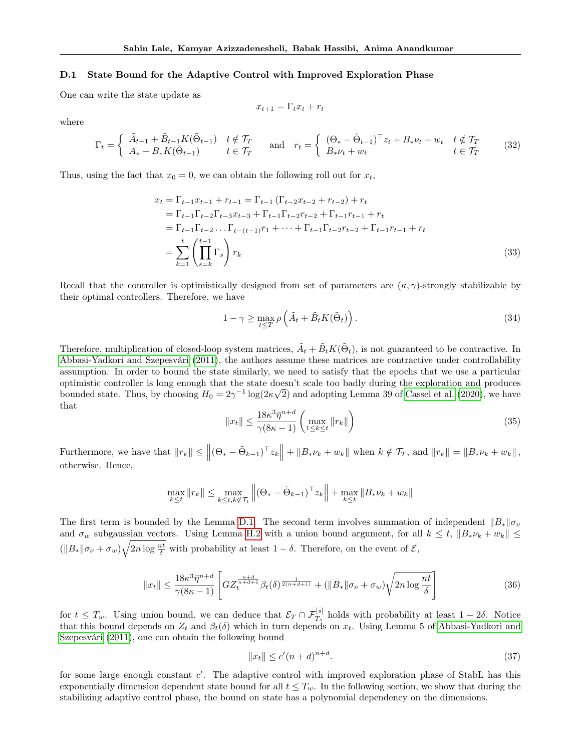#### D.1 State Bound for the Adaptive Control with Improved Exploration Phase

One can write the state update as

$$
x_{t+1} = \Gamma_t x_t + r_t
$$

where

$$
\Gamma_t = \begin{cases} \n\tilde{A}_{t-1} + \tilde{B}_{t-1} K(\tilde{\Theta}_{t-1}) & t \notin \mathcal{T}_T \\
A_* + B_* K(\tilde{\Theta}_{t-1}) & t \in \mathcal{T}_T\n\end{cases} \quad \text{and} \quad r_t = \begin{cases} \n(\Theta_* - \tilde{\Theta}_{t-1})^\top z_t + B_* \nu_t + w_t & t \notin \mathcal{T}_T \\
B_* \nu_t + w_t & t \in \mathcal{T}_T\n\end{cases} \tag{32}
$$

Thus, using the fact that  $x_0 = 0$ , we can obtain the following roll out for  $x_t$ ,

$$
x_{t} = \Gamma_{t-1}x_{t-1} + r_{t-1} = \Gamma_{t-1}(\Gamma_{t-2}x_{t-2} + r_{t-2}) + r_{t}
$$
  
\n
$$
= \Gamma_{t-1}\Gamma_{t-2}\Gamma_{t-3}x_{t-3} + \Gamma_{t-1}\Gamma_{t-2}r_{t-2} + \Gamma_{t-1}r_{t-1} + r_{t}
$$
  
\n
$$
= \Gamma_{t-1}\Gamma_{t-2}... \Gamma_{t-(t-1)}r_{1} + \cdots + \Gamma_{t-1}\Gamma_{t-2}r_{t-2} + \Gamma_{t-1}r_{t-1} + r_{t}
$$
  
\n
$$
= \sum_{k=1}^{t} \left(\prod_{s=k}^{t-1} \Gamma_{s}\right)r_{k}
$$
\n(33)

Recall that the controller is optimistically designed from set of parameters are  $(\kappa, \gamma)$ -strongly stabilizable by their optimal controllers. Therefore, we have

$$
1 - \gamma \ge \max_{t \le T} \rho \left( \tilde{A}_t + \tilde{B}_t K(\tilde{\Theta}_t) \right). \tag{34}
$$

Therefore, multiplication of closed-loop system matrices,  $\tilde{A}_t + \tilde{B}_t K(\tilde{\Theta}_t)$ , is not guaranteed to be contractive. In [Abbasi-Yadkori and Szepesvári](#page-9-1) [\(2011\)](#page-9-1), the authors assume these matrices are contractive under controllability assumption. In order to bound the state similarly, we need to satisfy that the epochs that we use a particular optimistic controller is long enough that the state doesn't scale too badly during the exploration and produces bounded state. Thus, by choosing  $H_0 = 2\gamma^{-1} \log(2\kappa\sqrt{2})$  and adopting Lemma 39 of [Cassel et al.](#page-9-27) [\(2020\)](#page-9-27), we have that

$$
||x_t|| \le \frac{18\kappa^3 \bar{\eta}^{n+d}}{\gamma(8\kappa - 1)} \left( \max_{1 \le k \le t} ||r_k|| \right) \tag{35}
$$

Furthermore, we have that  $||r_k|| \le ||(\Theta_* - \tilde{\Theta}_{k-1})^\top z_k|| + ||B_* \nu_k + w_k||$  when  $k \notin \mathcal{T}_T$ , and  $||r_k|| = ||B_* \nu_k + w_k||$ , otherwise. Hence,

$$
\max_{k \le t} \|r_k\| \le \max_{k \le t, k \notin \mathcal{T}_t} \left\| (\Theta_* - \tilde{\Theta}_{k-1})^\top z_k \right\| + \max_{k \le t} \|B_* \nu_k + w_k\|
$$

The first term is bounded by the Lemma [D.1.](#page-19-2) The second term involves summation of independent  $||B_*||\sigma_\nu$ and  $\sigma_w$  subgaussian vectors. Using Lemma [H.2](#page-29-4) with a union bound argument, for all  $k \le t$ ,  $||B_* \nu_k + w_k|| \le$  $(||B_*||\sigma_{\nu} + \sigma_w)\sqrt{2n\log{\frac{nt}{\delta}}}$  with probability at least  $1-\delta$ . Therefore, on the event of  $\mathcal{E}$ ,

$$
||x_t|| \le \frac{18\kappa^3 \bar{\eta}^{n+d}}{\gamma(8\kappa - 1)} \left[ G Z_t^{\frac{n+d}{n+d+1}} \beta_t(\delta)^{\frac{1}{2(n+d+1)}} + (||B_*||\sigma_\nu + \sigma_w) \sqrt{2n \log \frac{nt}{\delta}} \right]
$$
(36)

for  $t \leq T_w$ . Using union bound, we can deduce that  $\mathcal{E}_T \cap \mathcal{F}_{T_s}^{[s]}$  holds with probability at least  $1-2\delta$ . Notice that this bound depends on  $Z_t$  and  $\beta_t(\delta)$  which in turn depends on  $x_t$ . Using Lemma 5 of [Abbasi-Yadkori and](#page-9-1) [Szepesvári](#page-9-1) [\(2011\)](#page-9-1), one can obtain the following bound

$$
||x_t|| \le c'(n+d)^{n+d}.\tag{37}
$$

for some large enough constant c'. The adaptive control with improved exploration phase of StabL has this exponentially dimension dependent state bound for all  $t \leq T_w$ . In the following section, we show that during the stabilizing adaptive control phase, the bound on state has a polynomial dependency on the dimensions.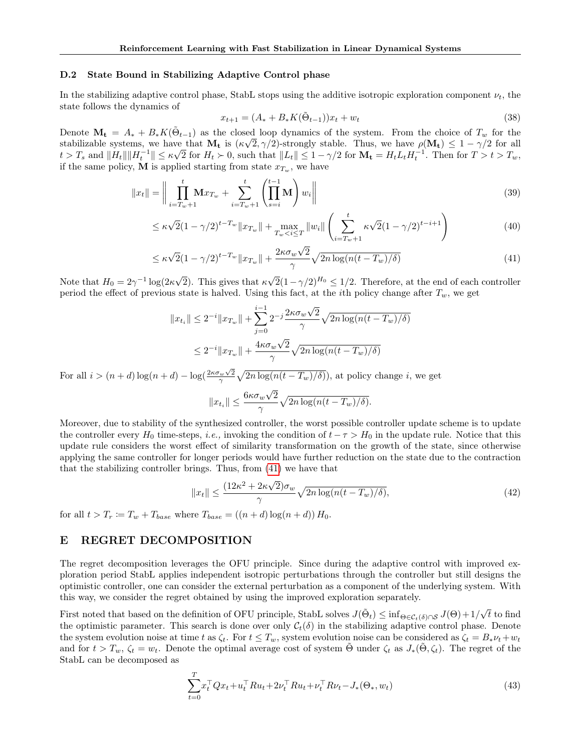#### D.2 State Bound in Stabilizing Adaptive Control phase

In the stabilizing adaptive control phase, StabL stops using the additive isotropic exploration component  $\nu_t$ , the state follows the dynamics of

<span id="page-21-1"></span>
$$
x_{t+1} = (A_* + B_* K(\tilde{\Theta}_{t-1})) x_t + w_t \tag{38}
$$

Denote  $\mathbf{M_t} = A_* + B_* K(\tilde{\Theta}_{t-1})$  as the closed loop dynamics of the system. From the choice of  $T_w$  for the stabilizable systems, we have that  $M_t$  is  $(\kappa \sqrt{2}, \gamma/2)$ -strongly stable. Thus, we have  $\rho(M_t) \leq 1 - \gamma/2$  for all  $t > T_s$  and  $||H_t|| ||H_t^{-1}|| \leq \kappa \sqrt{2}$  for  $H_t > 0$ , such that  $||L_t|| \leq 1 - \gamma/2$  for  $\mathbf{M_t} = H_t L_t H_t^{-1}$ . Then for  $T > t > T_w$ , if the same policy, M is applied starting from state  $x_{T_w}$ , we have

$$
||x_t|| = \left\| \prod_{i=T_w+1}^t \mathbf{M} x_{T_w} + \sum_{i=T_w+1}^t \left( \prod_{s=i}^{t-1} \mathbf{M} \right) w_i \right\|
$$
\n(39)

$$
\leq \kappa \sqrt{2} (1 - \gamma/2)^{t - T_w} \|x_{T_w}\| + \max_{T_w < i \leq T} \|w_i\| \left( \sum_{i = T_w + 1}^t \kappa \sqrt{2} (1 - \gamma/2)^{t - i + 1} \right) \tag{40}
$$

$$
\leq \kappa\sqrt{2}(1-\gamma/2)^{t-T_w} \|x_{T_w}\| + \frac{2\kappa\sigma_w\sqrt{2}}{\gamma}\sqrt{2n\log(n(t-T_w)/\delta)}\tag{41}
$$

Note that  $H_0 = 2\gamma^{-1} \log(2\kappa)$ 2). This gives that  $\kappa$  $\sqrt{2}(1-\gamma/2)^{H_0} \leq 1/2$ . Therefore, at the end of each controller period the effect of previous state is halved. Using this fact, at the *i*th policy change after  $T_w$ , we get

$$
||x_{t_i}|| \le 2^{-i} ||x_{T_w}|| + \sum_{j=0}^{i-1} 2^{-j} \frac{2\kappa \sigma_w \sqrt{2}}{\gamma} \sqrt{2n \log(n(t - T_w)/\delta)}
$$
  

$$
\le 2^{-i} ||x_{T_w}|| + \frac{4\kappa \sigma_w \sqrt{2}}{\gamma} \sqrt{2n \log(n(t - T_w)/\delta)}
$$

For all  $i > (n + d) \log(n + d) - \log(\frac{2\kappa \sigma_w \sqrt{2}}{\gamma} \sqrt{2n \log(n(t - T_w)/\delta)})$ , at policy change i, we get

$$
||x_{t_i}|| \le \frac{6\kappa\sigma_w\sqrt{2}}{\gamma} \sqrt{2n\log(n(t-T_w)/\delta)}.
$$

Moreover, due to stability of the synthesized controller, the worst possible controller update scheme is to update the controller every  $H_0$  time-steps, *i.e.*, invoking the condition of  $t - \tau > H_0$  in the update rule. Notice that this update rule considers the worst effect of similarity transformation on the growth of the state, since otherwise applying the same controller for longer periods would have further reduction on the state due to the contraction that the stabilizing controller brings. Thus, from [\(41\)](#page-21-1) we have that

$$
||x_t|| \le \frac{(12\kappa^2 + 2\kappa\sqrt{2})\sigma_w}{\gamma} \sqrt{2n \log(n(t - T_w)/\delta)},
$$
\n(42)

for all  $t > T_r := T_w + T_{base}$  where  $T_{base} = ((n+d) \log(n+d)) H_0$ .

# <span id="page-21-0"></span>E REGRET DECOMPOSITION

The regret decomposition leverages the OFU principle. Since during the adaptive control with improved exploration period StabL applies independent isotropic perturbations through the controller but still designs the optimistic controller, one can consider the external perturbation as a component of the underlying system. With this way, we consider the regret obtained by using the improved exploration separately.

First noted that based on the definition of OFU principle, StabL solves  $J(\tilde{\Theta}_t) \leq \inf_{\Theta \in \mathcal{C}_t(\delta) \cap \mathcal{S}} J(\Theta) + 1/\sqrt{\frac{1}{\sigma^2}}$ √ t to find the optimistic parameter. This search is done over only  $C_t(\delta)$  in the stabilizing adaptive control phase. Denote the system evolution noise at time t as  $\zeta_t$ . For  $t \leq T_w$ , system evolution noise can be considered as  $\zeta_t = B_* \nu_t + w_t$ and for  $t > T_w$ ,  $\zeta_t = w_t$ . Denote the optimal average cost of system  $\Theta$  under  $\zeta_t$  as  $J_*(\Theta, \zeta_t)$ . The regret of the StabL can be decomposed as

<span id="page-21-2"></span>
$$
\sum_{t=0}^{T} x_t^\top Q x_t + u_t^\top R u_t + 2v_t^\top R u_t + v_t^\top R v_t - J_*(\Theta_*, w_t)
$$
\n(43)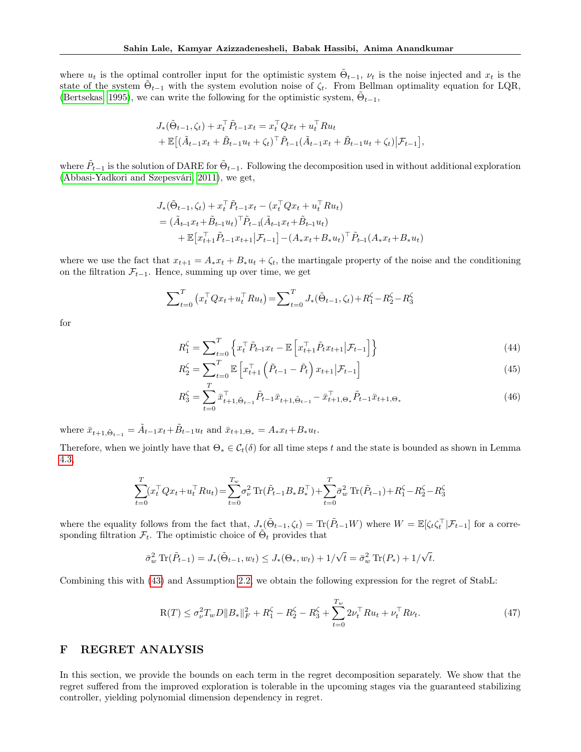where  $u_t$  is the optimal controller input for the optimistic system  $\tilde{\Theta}_{t-1}$ ,  $\nu_t$  is the noise injected and  $x_t$  is the state of the system  $\tilde{\Theta}_{t-1}$  with the system evolution noise of  $\zeta_t$ . From Bellman optimality equation for LQR, [\(Bertsekas, 1995\)](#page-9-0), we can write the following for the optimistic system,  $\tilde{\Theta}_{t-1}$ ,

$$
J_{*}(\tilde{\Theta}_{t-1}, \zeta_{t}) + x_{t}^{\top} \tilde{P}_{t-1} x_{t} = x_{t}^{\top} Q x_{t} + u_{t}^{\top} R u_{t}
$$
  
+  $\mathbb{E}[(\tilde{A}_{t-1} x_{t} + \tilde{B}_{t-1} u_{t} + \zeta_{t})^{\top} \tilde{P}_{t-1} (\tilde{A}_{t-1} x_{t} + \tilde{B}_{t-1} u_{t} + \zeta_{t}) | \mathcal{F}_{t-1}],$ 

where  $\tilde{P}_{t-1}$  is the solution of DARE for  $\tilde{\Theta}_{t-1}$ . Following the decomposition used in without additional exploration [\(Abbasi-Yadkori and Szepesvári, 2011\)](#page-9-1), we get,

$$
J_{*}(\tilde{\Theta}_{t-1}, \zeta_{t}) + x_{t}^{\top} \tilde{P}_{t-1} x_{t} - (x_{t}^{\top} Q x_{t} + u_{t}^{\top} R u_{t})
$$
  
=  $(\tilde{A}_{t-1} x_{t} + \tilde{B}_{t-1} u_{t})^{\top} \tilde{P}_{t-1} (\tilde{A}_{t-1} x_{t} + \tilde{B}_{t-1} u_{t})$   
+  $\mathbb{E} [x_{t+1}^{\top} \tilde{P}_{t-1} x_{t+1} | \mathcal{F}_{t-1}] - (A_{*} x_{t} + B_{*} u_{t})^{\top} \tilde{P}_{t-1} (A_{*} x_{t} + B_{*} u_{t})$ 

where we use the fact that  $x_{t+1} = A_* x_t + B_* u_t + \zeta_t$ , the martingale property of the noise and the conditioning on the filtration  $\mathcal{F}_{t-1}$ . Hence, summing up over time, we get

$$
\sum_{t=0}^{T} (x_t^\top Q x_t + u_t^\top R u_t) = \sum_{t=0}^{T} J_*(\tilde{\Theta}_{t-1}, \zeta_t) + R_1^{\zeta} - R_2^{\zeta} - R_3^{\zeta}
$$

for

<span id="page-22-2"></span><span id="page-22-1"></span>
$$
R_1^{\zeta} = \sum_{t=0}^T \left\{ x_t^{\top} \tilde{P}_{t-1} x_t - \mathbb{E} \left[ x_{t+1}^{\top} \tilde{P}_t x_{t+1} | \mathcal{F}_{t-1} \right] \right\}
$$
(44)

$$
R_2^{\zeta} = \sum_{t=0}^{T} \mathbb{E} \left[ x_{t+1}^{\top} \left( \tilde{P}_{t-1} - \tilde{P}_t \right) x_{t+1} | \mathcal{F}_{t-1} \right]
$$
(45)

<span id="page-22-3"></span>
$$
R_3^{\zeta} = \sum_{t=0}^{T} \bar{x}_{t+1,\tilde{\Theta}_{t-1}}^{\top} \tilde{P}_{t-1} \bar{x}_{t+1,\tilde{\Theta}_{t-1}} - \bar{x}_{t+1,\Theta_*}^{\top} \tilde{P}_{t-1} \bar{x}_{t+1,\Theta_*}
$$
(46)

where  $\bar{x}_{t+1, \tilde{\Theta}_{t-1}} = \tilde{A}_{t-1} x_t + \tilde{B}_{t-1} u_t$  and  $\bar{x}_{t+1, \Theta_*} = A_* x_t + B_* u_t$ .

Therefore, when we jointly have that  $\Theta_* \in C_t(\delta)$  for all time steps t and the state is bounded as shown in Lemma [4.3,](#page-5-5)

$$
\sum_{t=0}^{T} (x_t^\top Q x_t + u_t^\top R u_t) = \sum_{t=0}^{T_w} \sigma_{\nu}^2 \operatorname{Tr}(\tilde{P}_{t-1} B_* B_*^\top) + \sum_{t=0}^{T} \bar{\sigma}_w^2 \operatorname{Tr}(\tilde{P}_{t-1}) + R_1^{\zeta} - R_2^{\zeta} - R_3^{\zeta}
$$

where the equality follows from the fact that,  $J_{\ast}(\tilde{\Theta}_{t-1}, \zeta_t) = \text{Tr}(\tilde{P}_{t-1}W)$  where  $W = \mathbb{E}[\zeta_t \zeta_t^\top | \mathcal{F}_{t-1}]$  for a corresponding filtration  $\mathcal{F}_t$ . The optimistic choice of  $\tilde{\Theta}_t$  provides that

$$
\bar{\sigma}_w^2 \operatorname{Tr}(\tilde{P}_{t-1}) = J_*(\tilde{\Theta}_{t-1}, w_t) \le J_*(\Theta_*, w_t) + 1/\sqrt{t} = \bar{\sigma}_w^2 \operatorname{Tr}(P_*) + 1/\sqrt{t}.
$$

Combining this with [\(43\)](#page-21-2) and Assumption [2.2,](#page-3-1) we obtain the following expression for the regret of StabL:

$$
R(T) \le \sigma_{\nu}^2 T_w D ||B_*||_F^2 + R_1^{\zeta} - R_2^{\zeta} - R_3^{\zeta} + \sum_{t=0}^{T_w} 2\nu_t^{\top} R u_t + \nu_t^{\top} R \nu_t.
$$
\n(47)

# <span id="page-22-0"></span>F REGRET ANALYSIS

In this section, we provide the bounds on each term in the regret decomposition separately. We show that the regret suffered from the improved exploration is tolerable in the upcoming stages via the guaranteed stabilizing controller, yielding polynomial dimension dependency in regret.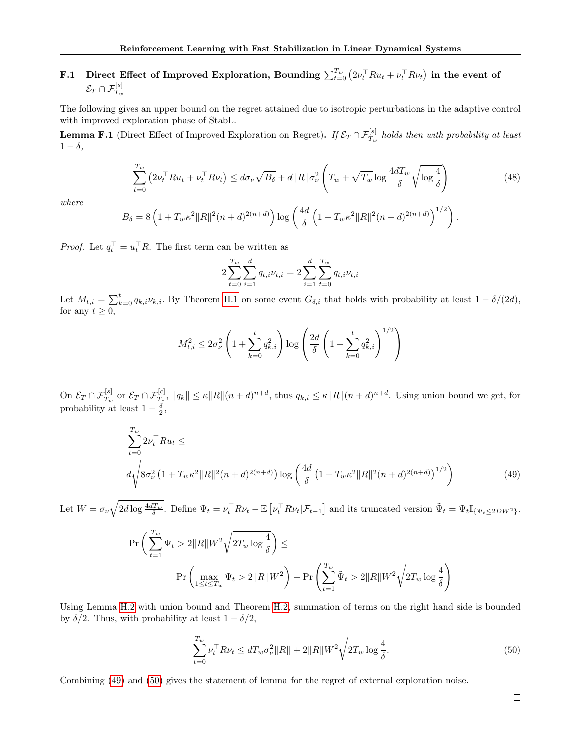# F.1 Direct Effect of Improved Exploration, Bounding  $\sum_{t=0}^{T_w} \left(2\nu_t^\top R u_t + \nu_t^\top R \nu_t\right)$  in the event of  $\mathcal{E}_T \cap \mathcal{F}_{T_w}^{[s]}$

The following gives an upper bound on the regret attained due to isotropic perturbations in the adaptive control with improved exploration phase of StabL.

<span id="page-23-2"></span>**Lemma F.1** (Direct Effect of Improved Exploration on Regret). If  $\mathcal{E}_T \cap \mathcal{F}_{T_w}^{[s]}$  holds then with probability at least  $1 - \delta$ ,

$$
\sum_{t=0}^{T_w} \left( 2\nu_t^\top R u_t + \nu_t^\top R \nu_t \right) \le d\sigma_\nu \sqrt{B_\delta} + d \|R\| \sigma_\nu^2 \left( T_w + \sqrt{T_w} \log \frac{4dT_w}{\delta} \sqrt{\log \frac{4}{\delta}} \right) \tag{48}
$$

where

$$
B_{\delta} = 8\left(1 + T_w\kappa^2 \|R\|^2(n+d)^{2(n+d)}\right) \log\left(\frac{4d}{\delta}\left(1 + T_w\kappa^2 \|R\|^2(n+d)^{2(n+d)}\right)^{1/2}\right).
$$

*Proof.* Let  $q_t^{\top} = u_t^{\top} R$ . The first term can be written as

<span id="page-23-0"></span>
$$
2\sum_{t=0}^{T_w} \sum_{i=1}^d q_{t,i} \nu_{t,i} = 2\sum_{i=1}^d \sum_{t=0}^{T_w} q_{t,i} \nu_{t,i}
$$

Let  $M_{t,i} = \sum_{k=0}^{t} q_{k,i} \nu_{k,i}$ . By Theorem [H.1](#page-29-2) on some event  $G_{\delta,i}$  that holds with probability at least  $1 - \delta/(2d)$ , for any  $t \geq 0$ ,

$$
M_{t,i}^{2} \le 2\sigma_{\nu}^{2} \left( 1 + \sum_{k=0}^{t} q_{k,i}^{2} \right) \log \left( \frac{2d}{\delta} \left( 1 + \sum_{k=0}^{t} q_{k,i}^{2} \right)^{1/2} \right)
$$

On  $\mathcal{E}_T \cap \mathcal{F}_{T_w}^{[s]}$  or  $\mathcal{E}_T \cap \mathcal{F}_{T_c}^{[c]}$ ,  $||q_k|| \leq \kappa ||R|| (n+d)^{n+d}$ , thus  $q_{k,i} \leq \kappa ||R|| (n+d)^{n+d}$ . Using union bound we get, for probability at least  $1 - \frac{\delta}{2}$ ,

$$
\sum_{t=0}^{T_w} 2\nu_t^\top R u_t \le
$$
\n
$$
d\sqrt{8\sigma_\nu^2 \left(1 + T_w \kappa^2 \|R\|^2 (n+d)^{2(n+d)}\right) \log\left(\frac{4d}{\delta} \left(1 + T_w \kappa^2 \|R\|^2 (n+d)^{2(n+d)}\right)^{1/2}\right)}
$$
\n
$$
(49)
$$

Let  $W = \sigma_{\nu} \sqrt{2d \log \frac{4dT_w}{\delta}}$ . Define  $\Psi_t = \nu_t^{\top} R \nu_t - \mathbb{E} \left[ \nu_t^{\top} R \nu_t | \mathcal{F}_{t-1} \right]$  and its truncated version  $\tilde{\Psi}_t = \Psi_t \mathbb{I}_{\{\Psi_t \leq 2DW^2\}}$ .

$$
\Pr\bigg(\sum_{t=1}^{T_w} \Psi_t > 2\|R\|W^2\sqrt{2T_w\log\frac{4}{\delta}}\bigg) \le
$$
\n
$$
\Pr\bigg(\max_{1 \le t \le T_w} \Psi_t > 2\|R\|W^2\bigg) + \Pr\bigg(\sum_{t=1}^{T_w} \tilde{\Psi}_t > 2\|R\|W^2\sqrt{2T_w\log\frac{4}{\delta}}\bigg)
$$

Using Lemma [H.2](#page-29-4) with union bound and Theorem [H.2,](#page-29-5) summation of terms on the right hand side is bounded by  $\delta/2$ . Thus, with probability at least  $1 - \delta/2$ ,

<span id="page-23-1"></span>
$$
\sum_{t=0}^{T_w} \nu_t^{\top} R \nu_t \le d T_w \sigma_\nu^2 \|R\| + 2 \|R\| W^2 \sqrt{2 T_w \log \frac{4}{\delta}}.
$$
\n(50)

Combining [\(49\)](#page-23-0) and [\(50\)](#page-23-1) gives the statement of lemma for the regret of external exploration noise.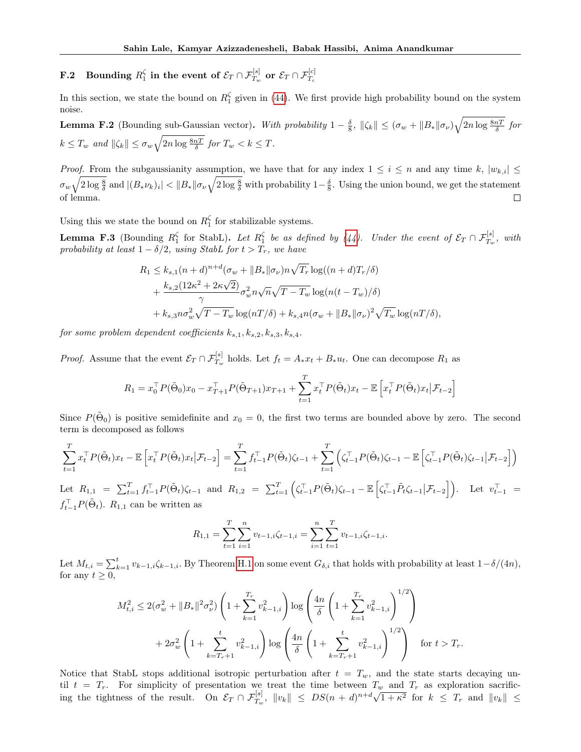$\mathbf{F.2} \quad \textbf{Bounding} \, \, R_1^\zeta \, \, \textbf{in the event of} \, \, \mathcal{E}_T \cap \mathcal{F}_{T_w}^{[s]} \, \, \textbf{or} \, \, \mathcal{E}_T \cap \mathcal{F}_{T_c}^{[c]}$ 

In this section, we state the bound on  $R_1^{\zeta}$  given in [\(44\)](#page-22-1). We first provide high probability bound on the system noise.

**Lemma F.2** (Bounding sub-Gaussian vector). With probability  $1 - \frac{\delta}{8}$ ,  $\|\zeta_k\| \leq (\sigma_w + \|B_*\| \sigma_\nu) \sqrt{2n \log \frac{8nT}{\delta}}$  for  $k \leq T_w$  and  $\|\zeta_k\| \leq \sigma_w \sqrt{2n \log \frac{8nT}{\delta}}$  for  $T_w < k \leq T$ .

*Proof.* From the subgaussianity assumption, we have that for any index  $1 \leq i \leq n$  and any time k,  $|w_{k,i}| \leq$  $\sigma_w\sqrt{2\log{\frac{8}{\delta}}}$  and  $|(B_*\nu_k)_i| < ||B_*||\sigma_\nu\sqrt{2\log{\frac{8}{\delta}}}$  with probability  $1-\frac{\delta}{8}$ . Using the union bound, we get the statement of lemma.  $\Box$ 

Using this we state the bound on  $R_1^{\zeta}$  for stabilizable systems.

<span id="page-24-0"></span>**Lemma F.3** (Bounding  $R_1^{\zeta}$  for StabL). Let  $R_1^{\zeta}$  be as defined by [\(44\)](#page-22-1). Under the event of  $\mathcal{E}_T \cap \mathcal{F}_{T_w}^{[s]}$ , with probability at least  $1 - \delta/2$ , using StabL for  $t > T_r$ , we have

$$
R_1 \le k_{s,1}(n+d)^{n+d}(\sigma_w + ||B_*||\sigma_\nu)n\sqrt{T_r}\log((n+d)T_r/\delta) + \frac{k_{s,2}(12\kappa^2 + 2\kappa\sqrt{2})}{\gamma}\sigma_w^2n\sqrt{n}\sqrt{T-T_w}\log(n(t-T_w)/\delta) + k_{s,3}n\sigma_w^2\sqrt{T-T_w}\log(nT/\delta) + k_{s,4}n(\sigma_w + ||B_*||\sigma_\nu)^2\sqrt{T_w}\log(nT/\delta),
$$

for some problem dependent coefficients  $k_{s,1}, k_{s,2}, k_{s,3}, k_{s,4}$ .

*Proof.* Assume that the event  $\mathcal{E}_T \cap \mathcal{F}_{T_w}^{[s]}$  holds. Let  $f_t = A_* x_t + B_* u_t$ . One can decompose  $R_1$  as

$$
R_1 = x_0^\top P(\tilde{\Theta}_0)x_0 - x_{T+1}^\top P(\tilde{\Theta}_{T+1})x_{T+1} + \sum_{t=1}^T x_t^\top P(\tilde{\Theta}_t)x_t - \mathbb{E}\left[x_t^\top P(\tilde{\Theta}_t)x_t\big|\mathcal{F}_{t-2}\right]
$$

Since  $P(\tilde{\Theta}_0)$  is positive semidefinite and  $x_0 = 0$ , the first two terms are bounded above by zero. The second term is decomposed as follows

$$
\sum_{t=1}^T x_t^\top P(\tilde{\Theta}_t) x_t - \mathbb{E} \left[ x_t^\top P(\tilde{\Theta}_t) x_t \big| \mathcal{F}_{t-2} \right] = \sum_{t=1}^T f_{t-1}^\top P(\tilde{\Theta}_t) \zeta_{t-1} + \sum_{t=1}^T \left( \zeta_{t-1}^\top P(\tilde{\Theta}_t) \zeta_{t-1} - \mathbb{E} \left[ \zeta_{t-1}^\top P(\tilde{\Theta}_t) \zeta_{t-1} \big| \mathcal{F}_{t-2} \right] \right)
$$

Let  $R_{1,1} = \sum_{t=1}^{T} f_{t-1}^{\top} P(\tilde{\Theta}_t) \zeta_{t-1}$  and  $R_{1,2} = \sum_{t=1}^{T} \left( \zeta_{t-1}^{\top} P(\tilde{\Theta}_t) \zeta_{t-1} - \mathbb{E} \left[ \zeta_{t-1}^{\top} \tilde{P}_t \zeta_{t-1} | \mathcal{F}_{t-2} \right] \right)$ . Let  $v_{t-1}^{\top} =$  $f_{t-1}^{\top}P(\tilde{\Theta}_t)$ .  $R_{1,1}$  can be written as

$$
R_{1,1} = \sum_{t=1}^{T} \sum_{i=1}^{n} v_{t-1,i} \zeta_{t-1,i} = \sum_{i=1}^{n} \sum_{t=1}^{T} v_{t-1,i} \zeta_{t-1,i}.
$$

Let  $M_{t,i} = \sum_{k=1}^t v_{k-1,i} \zeta_{k-1,i}$ . By Theorem [H.1](#page-29-2) on some event  $G_{\delta,i}$  that holds with probability at least  $1-\delta/(4n)$ , for any  $t \geq 0$ ,

$$
M_{t,i}^2 \le 2(\sigma_w^2 + ||B_*||^2 \sigma_v^2) \left( 1 + \sum_{k=1}^{T_r} v_{k-1,i}^2 \right) \log \left( \frac{4n}{\delta} \left( 1 + \sum_{k=1}^{T_r} v_{k-1,i}^2 \right)^{1/2} \right)
$$
  
+  $2\sigma_w^2 \left( 1 + \sum_{k=T_r+1}^t v_{k-1,i}^2 \right) \log \left( \frac{4n}{\delta} \left( 1 + \sum_{k=T_r+1}^t v_{k-1,i}^2 \right)^{1/2} \right)$  for  $t > T_r$ .

Notice that StabL stops additional isotropic perturbation after  $t = T_w$ , and the state starts decaying until  $t = T_r$ . For simplicity of presentation we treat the time between  $T_w$  and  $T_r$  as exploration sacrificing the tightness of the result. On  $\mathcal{E}_T \cap \mathcal{F}_{T_w}^{[s]}$ ,  $||v_k|| \leq DS(n+d)^{n+d} \sqrt{m}$  $1 + \kappa^2$  for  $k \leq T_r$  and  $||v_k|| \leq$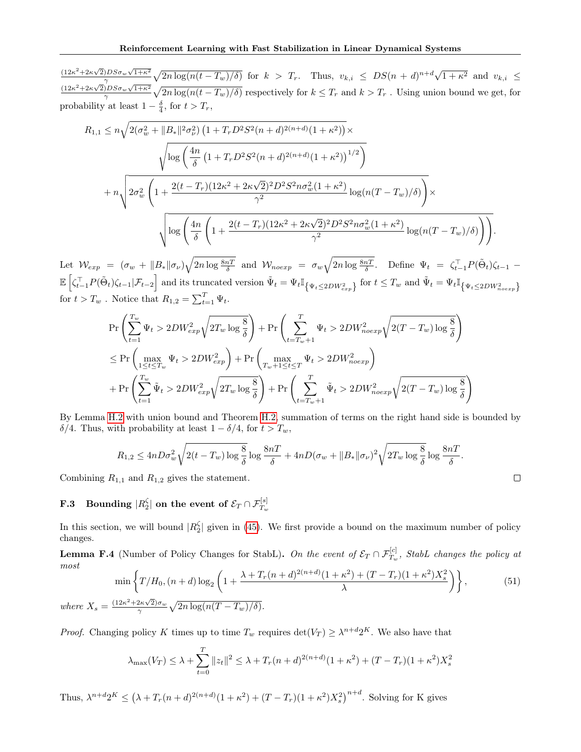$(12\kappa^2+2\kappa\sqrt{2})DS\sigma_w\sqrt{1+\kappa^2}$  $\frac{p_{\beta D S \sigma_w \sqrt{1+\kappa^2}}}{\gamma} \sqrt{2n \log(n(t-T_w)/\delta)}$  for  $k > T_r$ . Thus,  $v_{k,i} \leq DS(n+d)^{n+d} \sqrt{1+\kappa^2}$  $\overline{1+\kappa^2}$  and  $v_{k,i} \leq$  $(12\kappa^2+2\kappa\sqrt{2})DS\sigma_w\sqrt{1+\kappa^2}$  $\frac{pDS\sigma_w\sqrt{1+\kappa^2}}{\gamma}\sqrt{2n\log(n(t-T_w)/\delta)}$  respectively for  $k \leq T_r$  and  $k > T_r$ . Using union bound we get, for probability at least  $1 - \frac{\delta}{4}$ , for  $t > T_r$ ,

$$
R_{1,1} \leq n\sqrt{2(\sigma_w^2 + ||B_*||^2 \sigma_\nu^2) \left(1 + T_r D^2 S^2 (n+d)^{2(n+d)} (1+\kappa^2)\right)} \times \sqrt{\log\left(\frac{4n}{\delta} \left(1 + T_r D^2 S^2 (n+d)^{2(n+d)} (1+\kappa^2)\right)^{1/2}\right)} + n\sqrt{2\sigma_w^2 \left(1 + \frac{2(t-T_r)(12\kappa^2 + 2\kappa\sqrt{2})^2 D^2 S^2 n \sigma_w^2 (1+\kappa^2)}{\gamma^2} \log(n(T-T_w)/\delta)\right)} \times \sqrt{\log\left(\frac{4n}{\delta} \left(1 + \frac{2(t-T_r)(12\kappa^2 + 2\kappa\sqrt{2})^2 D^2 S^2 n \sigma_w^2 (1+\kappa^2)}{\gamma^2} \log(n(T-T_w)/\delta)\right)\right)}.
$$

Let  $\mathcal{W}_{exp} = (\sigma_w + ||B_*||\sigma_\nu)\sqrt{2n\log\frac{8nT}{\delta}}$  and  $\mathcal{W}_{noexp} = \sigma_w\sqrt{2n\log\frac{8nT}{\delta}}$ . Define  $\Psi_t = \zeta_{t-1}^\top P(\tilde{\Theta}_t)\zeta_{t-1}$  $\mathbb{E}\left[\zeta_{t-1}^{\top}P(\tilde{\Theta}_t)\zeta_{t-1}|\mathcal{F}_{t-2}\right]$  and its truncated version  $\tilde{\Psi}_t = \Psi_t \mathbb{I}_{\{\Psi_t \le 2DW_{exp}^2\}}$  for  $t \le T_w$  and  $\tilde{\Psi}_t = \Psi_t \mathbb{I}_{\{\Psi_t \le 2DW_{noexp}^2\}}$ for  $t > T_w$ . Notice that  $R_{1,2} = \sum_{t=1}^{T} \Psi_t$ .

$$
\Pr\left(\sum_{t=1}^{T_w} \Psi_t > 2DW_{exp}^2 \sqrt{2T_w \log \frac{8}{\delta}}\right) + \Pr\left(\sum_{t=T_w+1}^{T} \Psi_t > 2DW_{noexp}^2 \sqrt{2(T-T_w) \log \frac{8}{\delta}}\right)
$$
\n
$$
\leq \Pr\left(\max_{1 \leq t \leq T_w} \Psi_t > 2DW_{exp}^2\right) + \Pr\left(\max_{T_w+1 \leq t \leq T} \Psi_t > 2DW_{noexp}^2\right)
$$
\n
$$
+ \Pr\left(\sum_{t=1}^{T_w} \tilde{\Psi}_t > 2DW_{exp}^2 \sqrt{2T_w \log \frac{8}{\delta}}\right) + \Pr\left(\sum_{t=T_w+1}^{T} \tilde{\Psi}_t > 2DW_{noexp}^2 \sqrt{2(T-T_w) \log \frac{8}{\delta}}\right)
$$

By Lemma [H.2](#page-29-4) with union bound and Theorem [H.2,](#page-29-5) summation of terms on the right hand side is bounded by  $\delta/4$ . Thus, with probability at least  $1 - \delta/4$ , for  $t > T_w$ ,

$$
R_{1,2} \le 4nD\sigma_w^2 \sqrt{2(t-T_w)\log\frac{8}{\delta}}\log\frac{8n}{\delta} + 4nD(\sigma_w + ||B_*||\sigma_\nu)^2 \sqrt{2T_w\log\frac{8}{\delta}}\log\frac{8n}{\delta}.
$$

Combining  $R_{1,1}$  and  $R_{1,2}$  gives the statement.

where  $X_s$ 

 $\mathbf{F.3} \quad \textbf{Bounding} \; |R^\zeta_2| \; \textbf{on the event of} \; \mathcal{E}_T \cap \mathcal{F}^{[s]}_{T_w}$ 

In this section, we will bound  $|R_2^{\zeta}|$  given in [\(45\)](#page-22-2). We first provide a bound on the maximum number of policy changes.

<span id="page-25-0"></span>**Lemma F.4** (Number of Policy Changes for StabL). On the event of  $\mathcal{E}_T \cap \mathcal{F}_{T_w}^{[c]}$ , StabL changes the policy at most

$$
\min\left\{T/H_0, (n+d)\log_2\left(1+\frac{\lambda+T_r(n+d)^{2(n+d)}(1+\kappa^2)+(T-T_r)(1+\kappa^2)X_s^2}{\lambda}\right)\right\},\tag{51}
$$
\n
$$
=\frac{(12\kappa^2+2\kappa\sqrt{2})\sigma_w}{\gamma}\sqrt{2n\log(n(T-T_w)/\delta)}.
$$

*Proof.* Changing policy K times up to time  $T_w$  requires  $\det(V_T) \geq \lambda^{n+d} 2^{K}$ . We also have that

$$
\lambda_{\max}(V_T) \le \lambda + \sum_{t=0}^T \|z_t\|^2 \le \lambda + T_r(n+d)^{2(n+d)}(1+\kappa^2) + (T-T_r)(1+\kappa^2)X_s^2
$$

Thus,  $\lambda^{n+d} 2^K \le (\lambda + T_r(n+d)^{2(n+d)}(1+\kappa^2) + (T-T_r)(1+\kappa^2)X_s^2)^{n+d}$ . Solving for K gives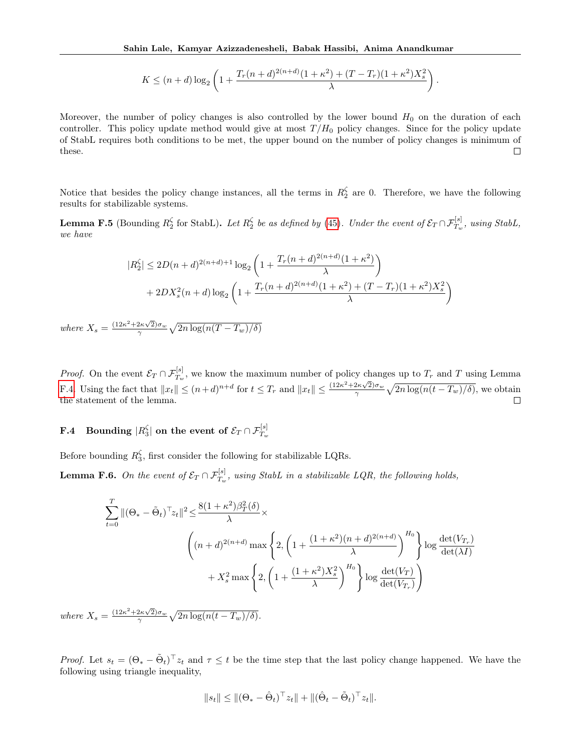$$
K \le (n+d) \log_2 \left( 1 + \frac{T_r(n+d)^{2(n+d)}(1+\kappa^2) + (T-T_r)(1+\kappa^2)X_s^2}{\lambda} \right).
$$

Moreover, the number of policy changes is also controlled by the lower bound  $H_0$  on the duration of each controller. This policy update method would give at most  $T/H_0$  policy changes. Since for the policy update of StabL requires both conditions to be met, the upper bound on the number of policy changes is minimum of these.  $\Box$ 

Notice that besides the policy change instances, all the terms in  $R_2^{\zeta}$  are 0. Therefore, we have the following results for stabilizable systems.

<span id="page-26-1"></span>**Lemma F.5** (Bounding  $R_2^{\zeta}$  for StabL). Let  $R_2^{\zeta}$  be as defined by [\(45\)](#page-22-2). Under the event of  $\mathcal{E}_T \cap \mathcal{F}_{T_w}^{[s]}$ , using StabL, we have

$$
|R_2^{\zeta}| \le 2D(n+d)^{2(n+d)+1} \log_2\left(1 + \frac{T_r(n+d)^{2(n+d)}(1+\kappa^2)}{\lambda}\right) + 2DX_s^2(n+d)\log_2\left(1 + \frac{T_r(n+d)^{2(n+d)}(1+\kappa^2) + (T-T_r)(1+\kappa^2)X_s^2}{\lambda}\right)
$$

where  $X_s = \frac{(12\kappa^2 + 2\kappa\sqrt{2})\sigma_w}{\gamma} \sqrt{2n \log(n(T - T_w)/\delta)}$ 

*Proof.* On the event  $\mathcal{E}_T \cap \mathcal{F}_{T_w}^{[s]}$ , we know the maximum number of policy changes up to  $T_r$  and T using Lemma [F.4.](#page-25-0) Using the fact that  $||x_t|| \leq (n+d)^{n+d}$  for  $t \leq T_r$  and  $||x_t|| \leq \frac{(12\kappa^2 + 2\kappa\sqrt{2})\sigma_w}{\gamma} \sqrt{2n \log(n(t-T_w)/\delta)}$ , we obtain the statement of the lemma.  $\Box$ 

# $\mathbf{F.4} \quad \mathbf{Bounding} \; |R_3^\zeta| \; \mathbf{on} \; \mathbf{the} \; \textbf{event} \; \mathbf{of} \; \mathcal{E}_T \cap \mathcal{F}^{[s]}_{T_w}$

Before bounding  $R_3^{\zeta}$ , first consider the following for stabilizable LQRs.

<span id="page-26-0"></span>**Lemma F.6.** On the event of  $\mathcal{E}_T \cap \mathcal{F}_{T_w}^{[s]}$ , using StabL in a stabilizable LQR, the following holds,

$$
\sum_{t=0}^{T} ||(\Theta_{*} - \tilde{\Theta}_{t})^{\top} z_{t}||^{2} \leq \frac{8(1 + \kappa^{2})\beta_{T}^{2}(\delta)}{\lambda} \times
$$
\n
$$
\left( (n+d)^{2(n+d)} \max\left\{ 2, \left( 1 + \frac{(1 + \kappa^{2})(n+d)^{2(n+d)}}{\lambda} \right)^{H_{0}} \right\} \log \frac{\det(V_{T_{r}})}{\det(\lambda I)} + X_{s}^{2} \max\left\{ 2, \left( 1 + \frac{(1 + \kappa^{2})X_{s}^{2}}{\lambda} \right)^{H_{0}} \right\} \log \frac{\det(V_{T})}{\det(V_{T_{r}})}
$$

where  $X_s = \frac{(12\kappa^2 + 2\kappa\sqrt{2})\sigma_w}{\gamma} \sqrt{2n \log(n(t - T_w)/\delta)}.$ 

*Proof.* Let  $s_t = (\Theta_* - \tilde{\Theta}_t)^{\top} z_t$  and  $\tau \leq t$  be the time step that the last policy change happened. We have the following using triangle inequality,

$$
||s_t|| \le ||(\Theta_* - \hat{\Theta}_t)^\top z_t|| + ||(\hat{\Theta}_t - \tilde{\Theta}_t)^\top z_t||.
$$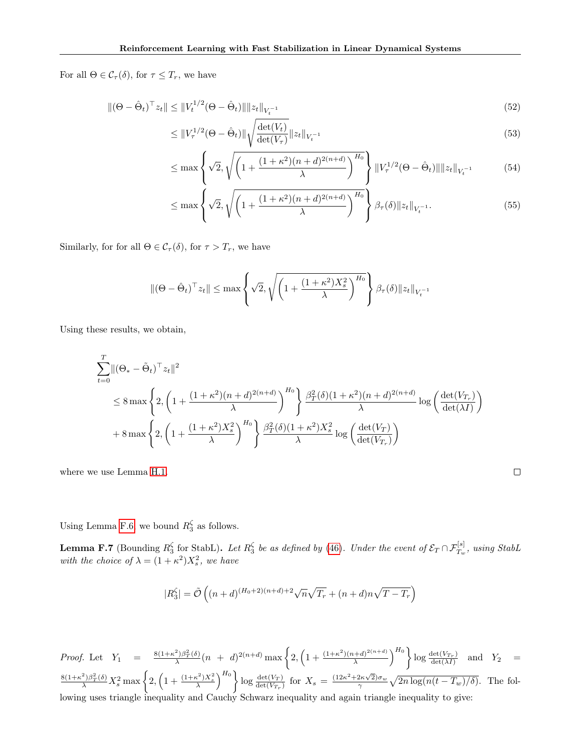For all  $\Theta \in \mathcal{C}_{\tau}(\delta)$ , for  $\tau \leq T_r$ , we have

$$
\|(\Theta - \hat{\Theta}_t)^{\top} z_t\| \le \|V_t^{1/2}(\Theta - \hat{\Theta}_t)\| \|z_t\|_{V_t^{-1}} \tag{52}
$$

$$
\leq \|V_{\tau}^{1/2}(\Theta - \hat{\Theta}_t)\| \sqrt{\frac{\det(V_t)}{\det(V_{\tau})}} \|z_t\|_{V_t^{-1}} \tag{53}
$$

$$
\leq \max\left\{\sqrt{2}, \sqrt{\left(1 + \frac{(1+\kappa^2)(n+d)^{2(n+d)}}{\lambda}\right)^{H_0}}\right\} \|V_{\tau}^{1/2}(\Theta - \hat{\Theta}_t)\| \|z_t\|_{V_{t}^{-1}} \tag{54}
$$

$$
\leq \max \left\{ \sqrt{2}, \sqrt{\left( 1 + \frac{(1 + \kappa^2)(n + d)^{2(n + d)}}{\lambda} \right)^{H_0}} \right\} \beta_{\tau}(\delta) \| z_t \|_{V_t^{-1}}.
$$
\n(55)

 $\Box$ 

Similarly, for for all  $\Theta \in \mathcal{C}_{\tau}(\delta)$ , for  $\tau > T_r$ , we have

$$
\|(\Theta - \hat{\Theta}_t)^\top z_t\| \leq \max\left\{\sqrt{2}, \sqrt{\left(1 + \frac{(1 + \kappa^2)X_s^2}{\lambda}\right)^{H_0}}\right\} \beta_{\tau}(\delta) \|z_t\|_{V_t^{-1}}
$$

Using these results, we obtain,

$$
\sum_{t=0}^{T} ||(\Theta_{*} - \tilde{\Theta}_{t})^{\top} z_{t}||^{2}
$$
\n
$$
\leq 8 \max \left\{ 2, \left( 1 + \frac{(1 + \kappa^{2})(n + d)^{2(n + d)}}{\lambda} \right)^{H_{0}} \right\} \frac{\beta_{T}^{2}(\delta)(1 + \kappa^{2})(n + d)^{2(n + d)}}{\lambda} \log \left( \frac{\det(V_{T_{r}})}{\det(\lambda I)} \right)
$$
\n
$$
+ 8 \max \left\{ 2, \left( 1 + \frac{(1 + \kappa^{2})X_{s}^{2}}{\lambda} \right)^{H_{0}} \right\} \frac{\beta_{T}^{2}(\delta)(1 + \kappa^{2})X_{s}^{2}}{\lambda} \log \left( \frac{\det(V_{T})}{\det(V_{T_{r}})} \right)
$$

where we use Lemma [H.1.](#page-29-3)

Using Lemma [F.6,](#page-26-0) we bound  $R_3^{\zeta}$  as follows.

<span id="page-27-0"></span>**Lemma F.7** (Bounding  $R_3^{\zeta}$  for StabL). Let  $R_3^{\zeta}$  be as defined by [\(46\)](#page-22-3). Under the event of  $\mathcal{E}_T \cap \mathcal{F}_{T_w}^{[s]}$ , using StabL with the choice of  $\lambda = (1 + \kappa^2)X_s^2$ , we have

$$
|R_3^\zeta| = \tilde{\mathcal{O}}\left((n+d)^{(H_0+2)(n+d)+2}\sqrt{n}\sqrt{T_r} + (n+d)n\sqrt{T-T_r}\right)
$$

*Proof.* Let  $Y_1 = \frac{8(1+\kappa^2)\beta_T^2(\delta)}{\lambda}(n + d)^{2(n+d)} \max\left\{2, \left(1 + \frac{(1+\kappa^2)(n+d)^{2(n+d)}}{\lambda}\right)\right\}$  $\frac{(n+d)^{2(n+d)}}{\lambda}$   $\left\{\log \frac{\det(V_{T_r})}{\det(\lambda I)}\right\}$  $\frac{\det(V_{T_r})}{\det(\lambda I)}$  and  $Y_2$  =  $\frac{8(1+\kappa^2)\beta_T^2(\delta)}{\lambda}X_s^2\max\left\{2,\left(1+\frac{(1+\kappa^2)X_s^2}{\lambda}\right)^{H_0}\right\}\log\frac{\det(V_T)}{\det(V_{T_r})}$  for  $X_s=\frac{(12\kappa^2+2\kappa\sqrt{2})\sigma_w}{\gamma}\sqrt{2n\log(n(t-T_w)/\delta)}$ . The following uses triangle inequality and Cauchy Schwarz inequality and again triangle inequality to give: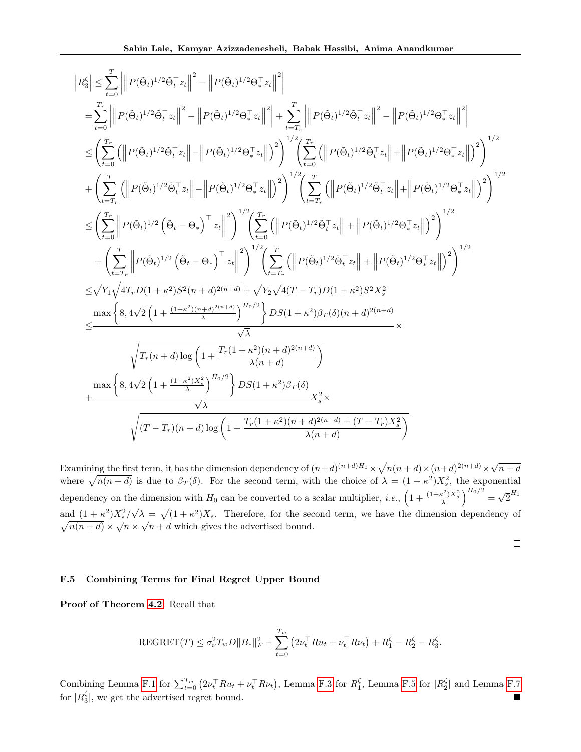$$
\begin{split} \left| R_3^{\zeta} \right| &\leq \sum_{t=0}^{T} \left| \left\| P(\hat{\Theta}_t)^{1/2} \hat{\Theta}_t^{\top} z_t \right\|^2 - \left\| P(\hat{\Theta}_t)^{1/2} \Theta_*^{\top} z_t \right\|^2 \right| \\ & = \sum_{t=0}^{T_r} \left| \left\| P(\hat{\Theta}_t)^{1/2} \hat{\Theta}_t^{\top} z_t \right\|^2 - \left\| P(\hat{\Theta}_t)^{1/2} \Theta_*^{\top} z_t \right\|^2 \right| + \sum_{t=T_r}^{T} \left| \left\| P(\hat{\Theta}_t)^{1/2} \hat{\Theta}_t^{\top} z_t \right\|^2 - \left\| P(\hat{\Theta}_t)^{1/2} \Theta_*^{\top} z_t \right\|^2 \right| \\ & \leq \left( \sum_{t=0}^{T_r} \left( \left\| P(\hat{\Theta}_t)^{1/2} \hat{\Theta}_t^{\top} z_t \right\| - \left\| P(\hat{\Theta}_t)^{1/2} \Theta_*^{\top} z_t \right\| \right)^2 \right)^{1/2} \left( \sum_{t=0}^{T_r} \left( \left\| P(\hat{\Theta}_t)^{1/2} \hat{\Theta}_t^{\top} z_t \right\| + \left\| P(\hat{\Theta}_t)^{1/2} \Theta_*^{\top} z_t \right\| \right)^2 \right)^{1/2} \\ & + \left( \sum_{t=T_r}^{T_r} \left( \left\| P(\hat{\Theta}_t)^{1/2} \hat{\Theta}_t^{\top} z_t \right\| - \left\| P(\hat{\Theta}_t)^{1/2} \Theta_*^{\top} z_t \right\| \right)^2 \right)^{1/2} \left( \sum_{t=T_r}^{T} \left( \left\| P(\hat{\Theta}_t)^{1/2} \hat{\Theta}_t^{\top} z_t \right\| + \left\| P(\hat{\Theta}_t)^{1/2} \Theta_*^{\top} z_t \right\| \right)^2 \right)^{1/2} \\ & \leq \left( \sum_{t=0}^{T_r} \left\| P(\hat{\Theta}_t)^{1/2} \left( \hat{\Theta}_t - \Theta_* \right)^{\top} z_t \right\|^2 \right)^{1/2} \left( \sum_{t=T_r}^{T} \left( \left\| P(\hat{\Theta}_t)^{1/2} \hat{\Theta
$$

Examining the first term, it has the dimension dependency of  $(n+d)^{(n+d)H_0} \times \sqrt{n(n+d)} \times (n+d)^{2(n+d)} \times \sqrt{n(n+d)}$  $n + d$ where  $\sqrt{n(n+d)}$  is due to  $\beta_T(\delta)$ . For the second term, with the choice of  $\lambda = (1 + \kappa^2)X_s^2$ , the exponential dependency on the dimension with  $H_0$  can be converted to a scalar multiplier, *i.e.*,  $\left(1 + \frac{(1+\kappa^2)X_s^2}{\lambda}\right)^{H_0/2}$ √  $\overline{2}^{H_0}$ and  $(1 + \kappa^2)X_s^2/\sqrt{\lambda} = \sqrt{(1 + \kappa^2)}$ √  $\sqrt{ }$  $X<sub>s</sub>$ . Therefore, for the second term, we have the dimension dependency of  $\frac{n(n+d)}{n(n+d)} \times \sqrt{n} \times$  $^{\prime}$  ,  $n + d$  which gives the advertised bound.

 $\Box$ 

### F.5 Combining Terms for Final Regret Upper Bound

Proof of Theorem [4.2:](#page-5-6) Recall that

$$
REGRET(T) \leq \sigma_{\nu}^{2} T_{w} D ||B_{*}||_{F}^{2} + \sum_{t=0}^{T_{w}} (2\nu_{t}^{\top} R u_{t} + \nu_{t}^{\top} R \nu_{t}) + R_{1}^{\zeta} - R_{2}^{\zeta} - R_{3}^{\zeta}.
$$

Combining Lemma [F.1](#page-23-2) for  $\sum_{t=0}^{T_w} (2\nu_t^\top R u_t + \nu_t^\top R \nu_t)$ , Lemma [F.3](#page-24-0) for  $R_1^{\zeta}$ , Lemma [F.5](#page-26-1) for  $|R_2^{\zeta}|$  and Lemma [F.7](#page-27-0) for  $|R_3^{\zeta}|$ , we get the advertised regret bound.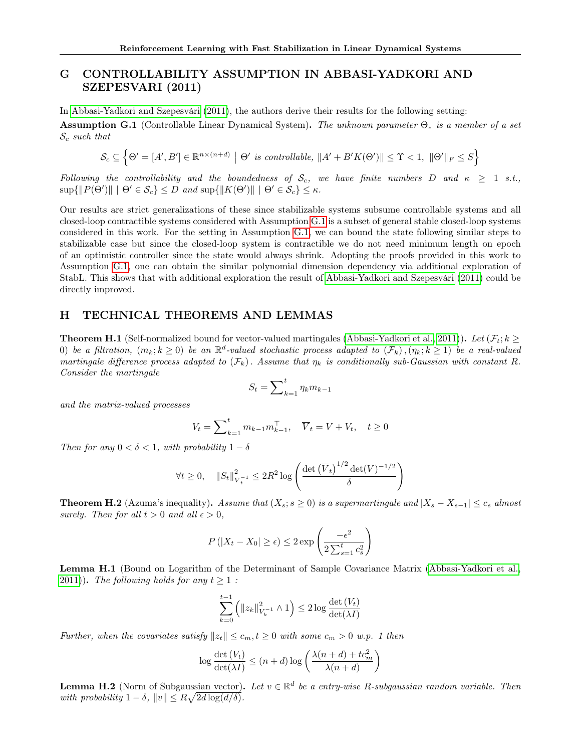# <span id="page-29-0"></span>G CONTROLLABILITY ASSUMPTION IN ABBASI-YADKORI AND SZEPESVARI (2011)

In [Abbasi-Yadkori and Szepesvári](#page-9-1) [\(2011\)](#page-9-1), the authors derive their results for the following setting:

<span id="page-29-6"></span>**Assumption G.1** (Controllable Linear Dynamical System). The unknown parameter  $\Theta_*$  is a member of a set  $\mathcal{S}_c$  such that

$$
\mathcal{S}_c \subseteq \left\{\Theta' = [A', B'] \in \mathbb{R}^{n \times (n+d)} \mid \Theta' \text{ is controllable, } \|A' + B'K(\Theta')\| \leq \Upsilon < 1, \ \|\Theta'\|_F \leq S\right\}
$$

Following the controllability and the boundedness of  $S_c$ , we have finite numbers D and  $\kappa \geq 1$  s.t.,  $\sup\{\|P(\Theta')\| \mid \Theta' \in \mathcal{S}_c\} \leq D \text{ and } \sup\{\|K(\Theta')\| \mid \Theta' \in \mathcal{S}_c\} \leq \kappa.$ 

Our results are strict generalizations of these since stabilizable systems subsume controllable systems and all closed-loop contractible systems considered with Assumption [G.1](#page-29-6) is a subset of general stable closed-loop systems considered in this work. For the setting in Assumption [G.1,](#page-29-6) we can bound the state following similar steps to stabilizable case but since the closed-loop system is contractible we do not need minimum length on epoch of an optimistic controller since the state would always shrink. Adopting the proofs provided in this work to Assumption [G.1,](#page-29-6) one can obtain the similar polynomial dimension dependency via additional exploration of StabL. This shows that with additional exploration the result of [Abbasi-Yadkori and Szepesvári](#page-9-1) [\(2011\)](#page-9-1) could be directly improved.

## <span id="page-29-1"></span>H TECHNICAL THEOREMS AND LEMMAS

<span id="page-29-2"></span>**Theorem H.1** (Self-normalized bound for vector-valued martingales [\(Abbasi-Yadkori et al., 2011\)](#page-10-0)). Let  $(\mathcal{F}_t; k \geq 0)$ (a) be a filtration,  $(m_k; k \geq 0)$  be an  $\mathbb{R}^d$ -valued stochastic process adapted to  $(\mathcal{F}_k)$ ,  $(\eta_k; k \geq 1)$  be a real-valued martingale difference process adapted to  $(\mathcal{F}_k)$ . Assume that  $\eta_k$  is conditionally sub-Gaussian with constant R. Consider the martingale

$$
S_t = \sum_{k=1}^t \eta_k m_{k-1}
$$

and the matrix-valued processes

$$
V_t = \sum_{k=1}^t m_{k-1} m_{k-1}^\top, \quad \overline{V}_t = V + V_t, \quad t \ge 0
$$

Then for any  $0 < \delta < 1$ , with probability  $1 - \delta$ 

$$
\forall t \ge 0, \quad ||S_t||_{V_t^{-1}}^2 \le 2R^2 \log \left( \frac{\det \left( \overline{V}_t \right)^{1/2} \det(V)^{-1/2}}{\delta} \right)
$$

<span id="page-29-5"></span>**Theorem H.2** (Azuma's inequality). Assume that  $(X_s; s \geq 0)$  is a supermartingale and  $|X_s - X_{s-1}| \leq c_s$  almost surely. Then for all  $t > 0$  and all  $\epsilon > 0$ ,

$$
P(|X_t - X_0| \ge \epsilon) \le 2 \exp\left(\frac{-\epsilon^2}{2\sum_{s=1}^t c_s^2}\right)
$$

<span id="page-29-3"></span>Lemma H.1 (Bound on Logarithm of the Determinant of Sample Covariance Matrix [\(Abbasi-Yadkori et al.,](#page-10-0) [2011\)](#page-10-0)). The following holds for any  $t \geq 1$ :

$$
\sum_{k=0}^{t-1} \left( \|z_k\|_{V_k^{-1}}^2 \wedge 1 \right) \le 2 \log \frac{\det (V_t)}{\det (\lambda I)}
$$

Further, when the covariates satisfy  $||z_t|| \leq c_m$ ,  $t \geq 0$  with some  $c_m > 0$  w.p. 1 then

$$
\log \frac{\det\left(V_{t}\right)}{\det(\lambda I)} \leq (n+d) \log \left( \frac{\lambda(n+d)+tc_{m}^{2}}{\lambda(n+d)}\right)
$$

<span id="page-29-4"></span>**Lemma H.2** (Norm of Subgaussian vector). Let  $v \in \mathbb{R}^d$  be a entry-wise R-subgaussian random variable. Then with probability  $1 - \delta$ ,  $||v|| \leq R\sqrt{2d \log(d/\delta)}$ .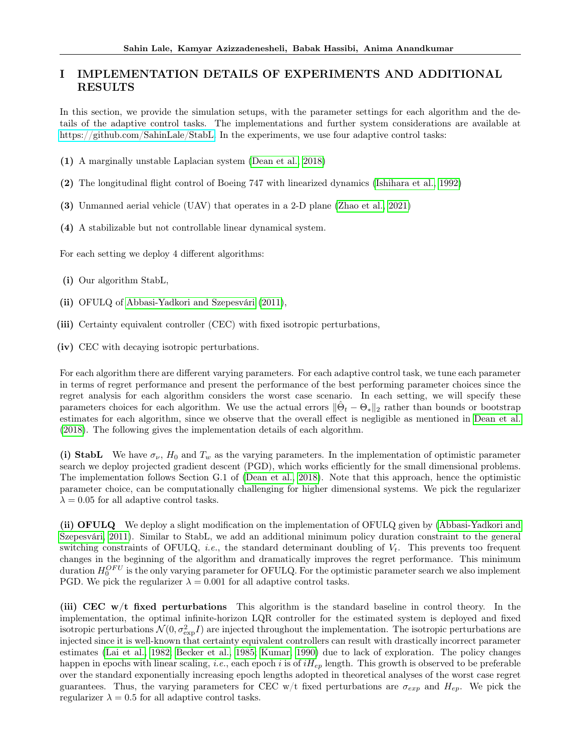# <span id="page-30-0"></span>I IMPLEMENTATION DETAILS OF EXPERIMENTS AND ADDITIONAL RESULTS

In this section, we provide the simulation setups, with the parameter settings for each algorithm and the details of the adaptive control tasks. The implementations and further system considerations are available at [https://github.com/SahinLale/StabL.](https://github.com/SahinLale/StabL) In the experiments, we use four adaptive control tasks:

- (1) A marginally unstable Laplacian system [\(Dean et al., 2018\)](#page-9-8)
- (2) The longitudinal flight control of Boeing 747 with linearized dynamics [\(Ishihara et al., 1992\)](#page-9-16)
- (3) Unmanned aerial vehicle (UAV) that operates in a 2-D plane [\(Zhao et al., 2021\)](#page-9-17)
- (4) A stabilizable but not controllable linear dynamical system.

For each setting we deploy 4 different algorithms:

- (i) Our algorithm StabL,
- (ii) OFULQ of [Abbasi-Yadkori and Szepesvári](#page-9-1) [\(2011\)](#page-9-1),
- (iii) Certainty equivalent controller (CEC) with fixed isotropic perturbations,

(iv) CEC with decaying isotropic perturbations.

For each algorithm there are different varying parameters. For each adaptive control task, we tune each parameter in terms of regret performance and present the performance of the best performing parameter choices since the regret analysis for each algorithm considers the worst case scenario. In each setting, we will specify these parameters choices for each algorithm. We use the actual errors  $\|\hat{\Theta}_t - \Theta_*\|_2$  rather than bounds or bootstrap estimates for each algorithm, since we observe that the overall effect is negligible as mentioned in [Dean et al.](#page-9-8) [\(2018\)](#page-9-8). The following gives the implementation details of each algorithm.

(i) StabL We have  $\sigma_{\nu}$ ,  $H_0$  and  $T_w$  as the varying parameters. In the implementation of optimistic parameter search we deploy projected gradient descent (PGD), which works efficiently for the small dimensional problems. The implementation follows Section G.1 of [\(Dean et al., 2018\)](#page-9-8). Note that this approach, hence the optimistic parameter choice, can be computationally challenging for higher dimensional systems. We pick the regularizer  $\lambda = 0.05$  for all adaptive control tasks.

(ii) OFULQ We deploy a slight modification on the implementation of OFULQ given by [\(Abbasi-Yadkori and](#page-9-1) [Szepesvári, 2011\)](#page-9-1). Similar to StabL, we add an additional minimum policy duration constraint to the general switching constraints of OFULQ, *i.e.*, the standard determinant doubling of  $V_t$ . This prevents too frequent changes in the beginning of the algorithm and dramatically improves the regret performance. This minimum duration  $H_0^{OFU}$  is the only varying parameter for OFULQ. For the optimistic parameter search we also implement PGD. We pick the regularizer  $\lambda = 0.001$  for all adaptive control tasks.

(iii) CEC w/t fixed perturbations This algorithm is the standard baseline in control theory. In the implementation, the optimal infinite-horizon LQR controller for the estimated system is deployed and fixed isotropic perturbations  $\mathcal{N}(0, \sigma_{\rm exp}^2 I)$  are injected throughout the implementation. The isotropic perturbations are injected since it is well-known that certainty equivalent controllers can result with drastically incorrect parameter estimates [\(Lai et al., 1982;](#page-10-1) [Becker et al., 1985;](#page-10-2) [Kumar, 1990\)](#page-10-3) due to lack of exploration. The policy changes happen in epochs with linear scaling, *i.e.*, each epoch i is of  $iH_{ep}$  length. This growth is observed to be preferable over the standard exponentially increasing epoch lengths adopted in theoretical analyses of the worst case regret guarantees. Thus, the varying parameters for CEC w/t fixed perturbations are  $\sigma_{exp}$  and  $H_{ep}$ . We pick the regularizer  $\lambda = 0.5$  for all adaptive control tasks.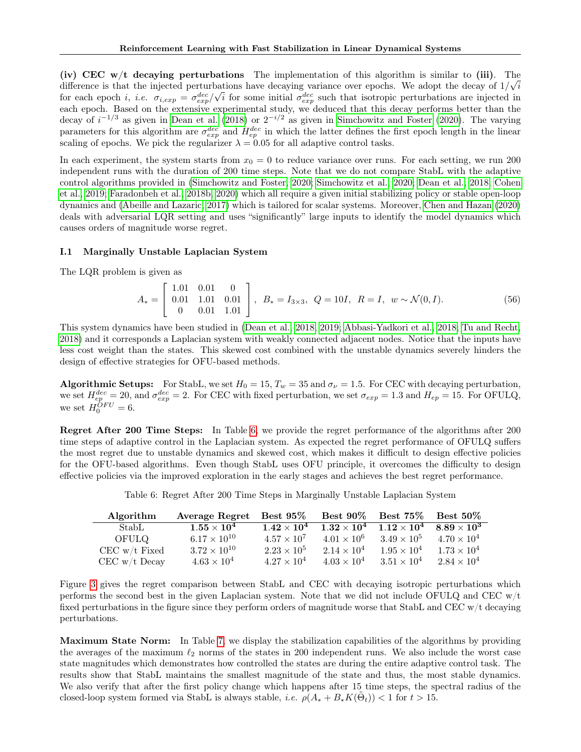(iv) CEC w/t decaying perturbations The implementation of this algorithm is similar to (iii). The difference is that the injected perturbations have decaying variance over epochs. We adopt the decay of  $1/\sqrt{i}$ for each epoch *i*, *i.e.*  $\sigma_{i,exp} = \sigma_{exp}^{dec}/\sqrt{i}$  for some initial  $\sigma_{exp}^{dec}$  such that isotropic perturbations are injected in each epoch. Based on the extensive experimental study, we deduced that this decay performs better than the decay of  $i^{-1/3}$  as given in [Dean et al.](#page-9-8) [\(2018\)](#page-9-8) or  $2^{-i/2}$  as given in [Simchowitz and Foster](#page-9-6) [\(2020\)](#page-9-6). The varying parameters for this algorithm are  $\sigma_{exp}^{dec}$  and  $H_{ep}^{dec}$  in which the latter defines the first epoch length in the linear scaling of epochs. We pick the regularizer  $\lambda = 0.05$  for all adaptive control tasks.

In each experiment, the system starts from  $x_0 = 0$  to reduce variance over runs. For each setting, we run 200 independent runs with the duration of 200 time steps. Note that we do not compare StabL with the adaptive control algorithms provided in [\(Simchowitz and Foster, 2020;](#page-9-6) [Simchowitz et al., 2020;](#page-9-25) [Dean et al., 2018;](#page-9-8) [Cohen](#page-9-14) [et al., 2019;](#page-9-14) [Faradonbeh et al., 2018b,](#page-9-18) [2020\)](#page-9-19) which all require a given initial stabilizing policy or stable open-loop dynamics and [\(Abeille and Lazaric, 2017\)](#page-9-7) which is tailored for scalar systems. Moreover, [Chen and Hazan](#page-9-3) [\(2020\)](#page-9-3) deals with adversarial LQR setting and uses "significantly" large inputs to identify the model dynamics which causes orders of magnitude worse regret.

### <span id="page-31-0"></span>I.1 Marginally Unstable Laplacian System

The LQR problem is given as

$$
A_* = \begin{bmatrix} 1.01 & 0.01 & 0 \\ 0.01 & 1.01 & 0.01 \\ 0 & 0.01 & 1.01 \end{bmatrix}, B_* = I_{3 \times 3}, Q = 10I, R = I, w \sim \mathcal{N}(0, I). \tag{56}
$$

This system dynamics have been studied in [\(Dean et al., 2018,](#page-9-8) [2019;](#page-9-20) [Abbasi-Yadkori et al., 2018;](#page-10-4) [Tu and Recht,](#page-10-5) [2018\)](#page-10-5) and it corresponds a Laplacian system with weakly connected adjacent nodes. Notice that the inputs have less cost weight than the states. This skewed cost combined with the unstable dynamics severely hinders the design of effective strategies for OFU-based methods.

**Algorithmic Setups:** For StabL, we set  $H_0 = 15$ ,  $T_w = 35$  and  $\sigma_\nu = 1.5$ . For CEC with decaying perturbation, we set  $H_{ep}^{dec} = 20$ , and  $\sigma_{exp}^{dec} = 2$ . For CEC with fixed perturbation, we set  $\sigma_{exp} = 1.3$  and  $H_{ep} = 15$ . For OFULQ, we set  $H_0^{\tilde{O}FU}=6$ .

Regret After 200 Time Steps: In Table [6,](#page-31-1) we provide the regret performance of the algorithms after 200 time steps of adaptive control in the Laplacian system. As expected the regret performance of OFULQ suffers the most regret due to unstable dynamics and skewed cost, which makes it difficult to design effective policies for the OFU-based algorithms. Even though StabL uses OFU principle, it overcomes the difficulty to design effective policies via the improved exploration in the early stages and achieves the best regret performance.

| Table 6: Regret After 200 Time Steps in Marginally Unstable Laplacian System |  |
|------------------------------------------------------------------------------|--|
|                                                                              |  |

<span id="page-31-1"></span>

| Algorithm       | Average Regret Best 95\% |                      |                      | Best 90\% Best 75\% Best 50\%                            |                      |
|-----------------|--------------------------|----------------------|----------------------|----------------------------------------------------------|----------------------|
| StabL.          | $1.55\times10^4$         | $1.42 \times 10^{4}$ |                      | $1.32 \times 10^4$ $1.12 \times 10^4$ $8.89 \times 10^3$ |                      |
| OFULO           | $6.17 \times 10^{10}$    | $4.57 \times 10^{7}$ | $4.01 \times 10^{6}$ | $3.49 \times 10^{5}$                                     | $4.70 \times 10^{4}$ |
| CEC $w/t$ Fixed | $3.72 \times 10^{10}$    | $2.23 \times 10^{5}$ | $2.14 \times 10^{4}$ | $1.95 \times 10^{4}$                                     | $1.73 \times 10^{4}$ |
| $CEC$ w/t Decay | $4.63 \times 10^{4}$     | $4.27 \times 10^{4}$ | $4.03 \times 10^{4}$ | $3.51 \times 10^{4}$                                     | $2.84 \times 10^{4}$ |

Figure [3](#page-32-1) gives the regret comparison between StabL and CEC with decaying isotropic perturbations which performs the second best in the given Laplacian system. Note that we did not include OFULQ and CEC  $w/t$ fixed perturbations in the figure since they perform orders of magnitude worse that StabL and CEC w/t decaying perturbations.

Maximum State Norm: In Table [7,](#page-32-2) we display the stabilization capabilities of the algorithms by providing the averages of the maximum  $\ell_2$  norms of the states in 200 independent runs. We also include the worst case state magnitudes which demonstrates how controlled the states are during the entire adaptive control task. The results show that StabL maintains the smallest magnitude of the state and thus, the most stable dynamics. We also verify that after the first policy change which happens after 15 time steps, the spectral radius of the closed-loop system formed via StabL is always stable, *i.e.*  $\rho(A_* + B_*K(\tilde{\Theta}_t)) < 1$  for  $t > 15$ .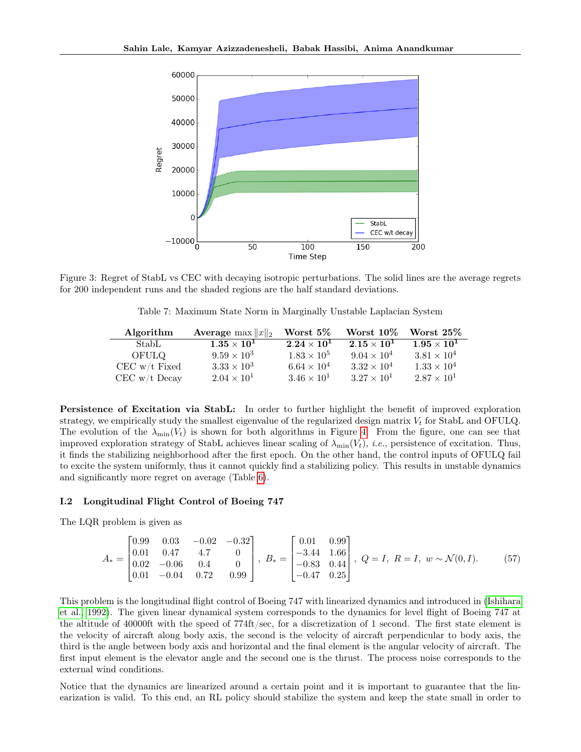<span id="page-32-1"></span>

<span id="page-32-2"></span>Figure 3: Regret of StabL vs CEC with decaying isotropic perturbations. The solid lines are the average regrets for 200 independent runs and the shaded regions are the half standard deviations.

Table 7: Maximum State Norm in Marginally Unstable Laplacian System

| Algorithm       | <b>Average</b> max $  x  _2$ | Worst $5\%$          | Worst 10\%           | Worst 25%            |
|-----------------|------------------------------|----------------------|----------------------|----------------------|
| StabL           | $1.35\times10^{1}$           | $2.24\times10^{1}$   | $2.15\times10^{1}$   | $1.95\times10^{1}$   |
| OFULO           | $9.59 \times 10^3$           | $1.83 \times 10^{5}$ | $9.04 \times 10^{4}$ | $3.81 \times 10^{4}$ |
| $CEC$ w/t Fixed | $3.33 \times 10^{3}$         | $6.64 \times 10^{4}$ | $3.32 \times 10^{4}$ | $1.33 \times 10^{4}$ |
| $CEC$ w/t Decay | $2.04 \times 10^{1}$         | $3.46 \times 10^{1}$ | $3.27 \times 10^{1}$ | $2.87 \times 10^{1}$ |

Persistence of Excitation via StabL: In order to further highlight the benefit of improved exploration strategy, we empirically study the smallest eigenvalue of the regularized design matrix  $V_t$  for StabL and OFULQ. The evolution of the  $\lambda_{\min}(V_t)$  is shown for both algorithms in Figure [4.](#page-33-0) From the figure, one can see that improved exploration strategy of StabL achieves linear scaling of  $\lambda_{\min}(V_t)$ , *i.e.*, persistence of excitation. Thus, it finds the stabilizing neighborhood after the first epoch. On the other hand, the control inputs of OFULQ fail to excite the system uniformly, thus it cannot quickly find a stabilizing policy. This results in unstable dynamics and significantly more regret on average (Table [6\)](#page-31-1).

### <span id="page-32-0"></span>I.2 Longitudinal Flight Control of Boeing 747

The LQR problem is given as

$$
A_* = \begin{bmatrix} 0.99 & 0.03 & -0.02 & -0.32 \\ 0.01 & 0.47 & 4.7 & 0 \\ 0.02 & -0.06 & 0.4 & 0 \\ 0.01 & -0.04 & 0.72 & 0.99 \end{bmatrix}, B_* = \begin{bmatrix} 0.01 & 0.99 \\ -3.44 & 1.66 \\ -0.83 & 0.44 \\ -0.47 & 0.25 \end{bmatrix}, Q = I, R = I, w \sim \mathcal{N}(0, I). \tag{57}
$$

This problem is the longitudinal flight control of Boeing 747 with linearized dynamics and introduced in [\(Ishihara](#page-9-16) [et al., 1992\)](#page-9-16). The given linear dynamical system corresponds to the dynamics for level flight of Boeing 747 at the altitude of 40000ft with the speed of 774ft/sec, for a discretization of 1 second. The first state element is the velocity of aircraft along body axis, the second is the velocity of aircraft perpendicular to body axis, the third is the angle between body axis and horizontal and the final element is the angular velocity of aircraft. The first input element is the elevator angle and the second one is the thrust. The process noise corresponds to the external wind conditions.

Notice that the dynamics are linearized around a certain point and it is important to guarantee that the linearization is valid. To this end, an RL policy should stabilize the system and keep the state small in order to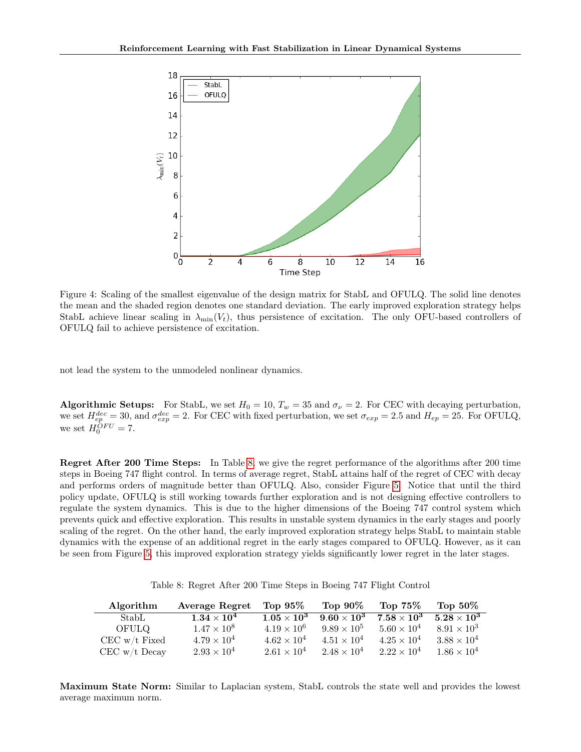<span id="page-33-0"></span>

Figure 4: Scaling of the smallest eigenvalue of the design matrix for StabL and OFULQ. The solid line denotes the mean and the shaded region denotes one standard deviation. The early improved exploration strategy helps StabL achieve linear scaling in  $\lambda_{\min}(V_t)$ , thus persistence of excitation. The only OFU-based controllers of OFULQ fail to achieve persistence of excitation.

not lead the system to the unmodeled nonlinear dynamics.

Algorithmic Setups: For StabL, we set  $H_0 = 10$ ,  $T_w = 35$  and  $\sigma_\nu = 2$ . For CEC with decaying perturbation, we set  $H_{ep}^{dec} = 30$ , and  $\sigma_{exp}^{dec} = 2$ . For CEC with fixed perturbation, we set  $\sigma_{exp} = 2.5$  and  $H_{ep} = 25$ . For OFULQ, we set  $H_0^{OFU} = 7$ .

Regret After 200 Time Steps: In Table [8,](#page-33-1) we give the regret performance of the algorithms after 200 time steps in Boeing 747 flight control. In terms of average regret, StabL attains half of the regret of CEC with decay and performs orders of magnitude better than OFULQ. Also, consider Figure [5.](#page-34-1) Notice that until the third policy update, OFULQ is still working towards further exploration and is not designing effective controllers to regulate the system dynamics. This is due to the higher dimensions of the Boeing 747 control system which prevents quick and effective exploration. This results in unstable system dynamics in the early stages and poorly scaling of the regret. On the other hand, the early improved exploration strategy helps StabL to maintain stable dynamics with the expense of an additional regret in the early stages compared to OFULQ. However, as it can be seen from Figure [5,](#page-34-1) this improved exploration strategy yields significantly lower regret in the later stages.

<span id="page-33-1"></span>

| Algorithm       | Average Regret       | Top $95\%$           | Top $90\%$           | Top $75\%$           | Top $50\%$           |
|-----------------|----------------------|----------------------|----------------------|----------------------|----------------------|
| StabL           | $1.34\times10^4$     | $1.05 \times 10^3$   | $9.60\times10^3$     | $7.58\times10^3$     | $5.28\times10^3$     |
| <b>OFULO</b>    | $1.47 \times 10^8$   | $4.19 \times 10^{6}$ | $9.89 \times 10^5$   | $5.60 \times 10^{4}$ | $8.91 \times 10^{3}$ |
| $CEC$ w/t Fixed | $4.79 \times 10^{4}$ | $4.62 \times 10^{4}$ | $4.51 \times 10^{4}$ | $4.25 \times 10^{4}$ | $3.88 \times 10^{4}$ |
| $CEC$ w/t Decay | $2.93 \times 10^{4}$ | $2.61 \times 10^{4}$ | $2.48 \times 10^{4}$ | $2.22 \times 10^{4}$ | $1.86 \times 10^4$   |

Maximum State Norm: Similar to Laplacian system, StabL controls the state well and provides the lowest average maximum norm.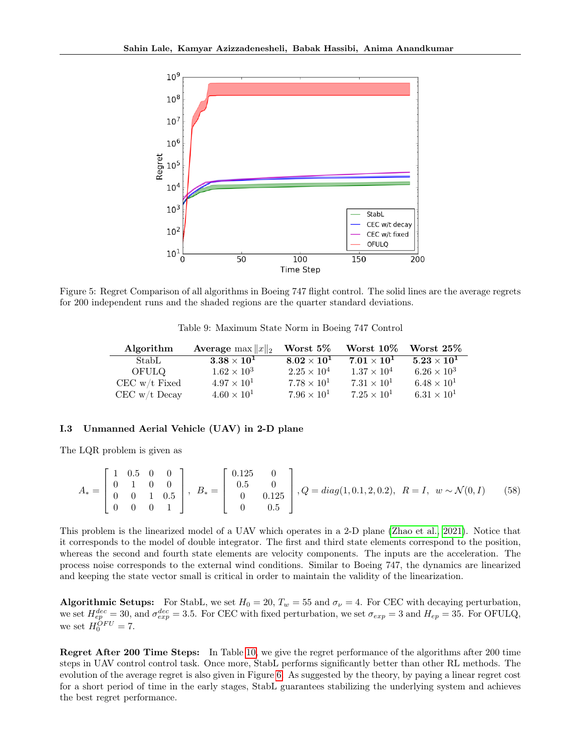<span id="page-34-1"></span>

Figure 5: Regret Comparison of all algorithms in Boeing 747 flight control. The solid lines are the average regrets for 200 independent runs and the shaded regions are the quarter standard deviations.

Table 9: Maximum State Norm in Boeing 747 Control

| Algorithm       | <b>Average</b> max $  x  _2$ | Worst $5\%$          | Worst 10\%           | Worst $25\%$         |
|-----------------|------------------------------|----------------------|----------------------|----------------------|
| StabL           | $3.38\times10^{1}$           | $8.02 \times 10^{1}$ | $7.01\times10^{1}$   | $5.23\times10^{1}$   |
| OFULQ           | $1.62 \times 10^{3}$         | $2.25 \times 10^{4}$ | $1.37 \times 10^4$   | $6.26 \times 10^{3}$ |
| $CEC$ w/t Fixed | $4.97 \times 10^{1}$         | $7.78 \times 10^{1}$ | $7.31 \times 10^{1}$ | $6.48 \times 10^{1}$ |
| $CEC$ w/t Decay | $4.60 \times 10^{1}$         | $7.96 \times 10^{1}$ | $7.25 \times 10^{1}$ | $6.31 \times 10^{1}$ |

#### <span id="page-34-0"></span>I.3 Unmanned Aerial Vehicle (UAV) in 2-D plane

The LQR problem is given as

$$
A_* = \begin{bmatrix} 1 & 0.5 & 0 & 0 \\ 0 & 1 & 0 & 0 \\ 0 & 0 & 1 & 0.5 \\ 0 & 0 & 0 & 1 \end{bmatrix}, B_* = \begin{bmatrix} 0.125 & 0 \\ 0.5 & 0 \\ 0 & 0.125 \\ 0 & 0.5 \end{bmatrix}, Q = diag(1, 0.1, 2, 0.2), R = I, w \sim \mathcal{N}(0, I)
$$
 (58)

This problem is the linearized model of a UAV which operates in a 2-D plane [\(Zhao et al., 2021\)](#page-9-17). Notice that it corresponds to the model of double integrator. The first and third state elements correspond to the position, whereas the second and fourth state elements are velocity components. The inputs are the acceleration. The process noise corresponds to the external wind conditions. Similar to Boeing 747, the dynamics are linearized and keeping the state vector small is critical in order to maintain the validity of the linearization.

Algorithmic Setups: For StabL, we set  $H_0 = 20$ ,  $T_w = 55$  and  $\sigma_{\nu} = 4$ . For CEC with decaying perturbation, we set  $H_{ep}^{dec} = 30$ , and  $\sigma_{exp}^{dec} = 3.5$ . For CEC with fixed perturbation, we set  $\sigma_{exp} = 3$  and  $H_{ep} = 35$ . For OFULQ, we set  $H_0^{OFU} = 7$ .

Regret After 200 Time Steps: In Table [10,](#page-35-1) we give the regret performance of the algorithms after 200 time steps in UAV control control task. Once more, StabL performs significantly better than other RL methods. The evolution of the average regret is also given in Figure [6.](#page-35-2) As suggested by the theory, by paying a linear regret cost for a short period of time in the early stages, StabL guarantees stabilizing the underlying system and achieves the best regret performance.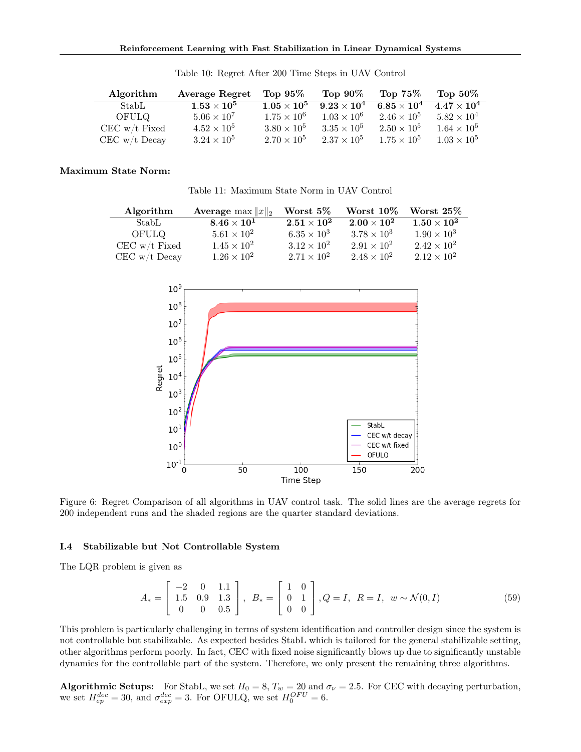<span id="page-35-1"></span>

| Algorithm       | Average Regret       | Top $95\%$           | Top $90\%$           | Top $75\%$           | Top $50\%$           |
|-----------------|----------------------|----------------------|----------------------|----------------------|----------------------|
| StabL           | $1.53\times10^5$     | $1.05\times10^5$     | $9.23\times10^4$     | $6.85\times10^4$     | $4.47 \times 10^{4}$ |
| OFULO           | $5.06 \times 10^{7}$ | $1.75 \times 10^{6}$ | $1.03 \times 10^{6}$ | $2.46 \times 10^{5}$ | $5.82 \times 10^{4}$ |
| $CEC$ w/t Fixed | $4.52 \times 10^{5}$ | $3.80 \times 10^{5}$ | $3.35 \times 10^{5}$ | $2.50 \times 10^{5}$ | $1.64 \times 10^{5}$ |
| $CEC$ w/t Decay | $3.24 \times 10^{5}$ | $2.70 \times 10^{5}$ | $2.37 \times 10^5$   | $1.75 \times 10^{5}$ | $1.03 \times 10^{5}$ |

Table 10: Regret After 200 Time Steps in UAV Control

## Maximum State Norm:

Table 11: Maximum State Norm in UAV Control

| Algorithm       | <b>Average</b> max $  x  _2$ | Worst $5\%$          | Worst $10\%$         | Worst $25\%$         |
|-----------------|------------------------------|----------------------|----------------------|----------------------|
| StabL           | $8.46\times10^{1}$           | $2.51\times10^{2}$   | $2.00\times10^{2}$   | $1.50\times10^{2}$   |
| OFULO           | $5.61 \times 10^{2}$         | $6.35 \times 10^{3}$ | $3.78 \times 10^{3}$ | $1.90 \times 10^{3}$ |
| $CEC$ w/t Fixed | $1.45 \times 10^{2}$         | $3.12 \times 10^{2}$ | $2.91 \times 10^{2}$ | $2.42 \times 10^{2}$ |
| $CEC$ w/t Decay | $1.26 \times 10^{2}$         | $2.71 \times 10^{2}$ | $2.48 \times 10^{2}$ | $2.12 \times 10^{2}$ |

<span id="page-35-2"></span>

Figure 6: Regret Comparison of all algorithms in UAV control task. The solid lines are the average regrets for 200 independent runs and the shaded regions are the quarter standard deviations.

### <span id="page-35-0"></span>I.4 Stabilizable but Not Controllable System

The LQR problem is given as

<span id="page-35-3"></span>
$$
A_* = \begin{bmatrix} -2 & 0 & 1.1 \\ 1.5 & 0.9 & 1.3 \\ 0 & 0 & 0.5 \end{bmatrix}, B_* = \begin{bmatrix} 1 & 0 \\ 0 & 1 \\ 0 & 0 \end{bmatrix}, Q = I, R = I, w \sim \mathcal{N}(0, I)
$$
(59)

This problem is particularly challenging in terms of system identification and controller design since the system is not controllable but stabilizable. As expected besides StabL which is tailored for the general stabilizable setting, other algorithms perform poorly. In fact, CEC with fixed noise significantly blows up due to significantly unstable dynamics for the controllable part of the system. Therefore, we only present the remaining three algorithms.

**Algorithmic Setups:** For StabL, we set  $H_0 = 8$ ,  $T_w = 20$  and  $\sigma_\nu = 2.5$ . For CEC with decaying perturbation, we set  $H_{ep}^{dec} = 30$ , and  $\sigma_{exp}^{dec} = 3$ . For OFULQ, we set  $H_0^{OFU} = 6$ .